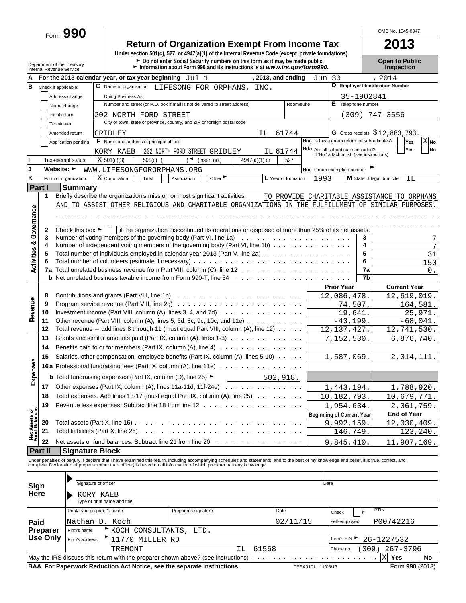Form **990**

# **Return of Organization Exempt From Income Tax 2013**

**Under section 501(c), 527, or 4947(a)(1) of the Internal Revenue Code (except private foundations)** ► Do not enter Social Security numbers on this form as it may be made public. **Open to Public** 

OMB No. 1545-0047

|                                | Internal Revenue Service | Department of the Treasury | Information about Form 990 and its instructions is at www.irs.gov/form990.                                                                                                                    |                    |                      |                                                                                   |                 | Inspection                                  |
|--------------------------------|--------------------------|----------------------------|-----------------------------------------------------------------------------------------------------------------------------------------------------------------------------------------------|--------------------|----------------------|-----------------------------------------------------------------------------------|-----------------|---------------------------------------------|
|                                |                          |                            | For the 2013 calendar year, or tax year beginning $Jul$ 1                                                                                                                                     | , 2013, and ending |                      | Jun 30                                                                            |                 | , 2014                                      |
| В                              | Check if applicable:     |                            | C Name of organization<br>LIFESONG FOR ORPHANS,                                                                                                                                               | INC.               |                      |                                                                                   |                 | D Employer Identification Number            |
|                                |                          | Address change             | Doing Business As                                                                                                                                                                             |                    |                      |                                                                                   | 35-1902841      |                                             |
|                                |                          | Name change                | Number and street (or P.O. box if mail is not delivered to street address)                                                                                                                    |                    | Room/suite           | E Telephone number                                                                |                 |                                             |
|                                |                          | Initial return             | 202 NORTH FORD STREET                                                                                                                                                                         |                    |                      |                                                                                   |                 | $(309)$ 747-3556                            |
|                                |                          | Terminated                 | City or town, state or province, country, and ZIP or foreign postal code                                                                                                                      |                    |                      |                                                                                   |                 |                                             |
|                                |                          | Amended return             | GRIDLEY                                                                                                                                                                                       | IL.                | 61744                |                                                                                   |                 | G Gross receipts $$12,883,793$ .            |
|                                |                          | Application pending        | <b>F</b> Name and address of principal officer:                                                                                                                                               |                    |                      | H(a) Is this a group return for subordinates?                                     |                 | $X_{N0}$<br>Yes                             |
|                                |                          |                            | 202 NORTH FORD STREET GRIDLEY<br>KORY KAEB                                                                                                                                                    | IL 61744           |                      | H(b) Are all subordinates included?<br>If 'No,' attach a list. (see instructions) |                 | Yes<br>No                                   |
|                                |                          | Tax-exempt status          | X 501(c)(3)<br>501(c)<br>(insert no.)                                                                                                                                                         | $4947(a)(1)$ or    | 527                  |                                                                                   |                 |                                             |
| J                              |                          | Website: ►                 | WWW.LIFESONGFORORPHANS.ORG                                                                                                                                                                    |                    |                      | H(c) Group exemption number                                                       |                 |                                             |
| κ                              |                          | Form of organization:      | X Corporation<br>Trust<br>Association                                                                                                                                                         | Other              | L Year of formation: | 1993                                                                              |                 | M State of legal domicile:<br>ΙL            |
| <b>Part I</b>                  |                          | <b>Summary</b>             |                                                                                                                                                                                               |                    |                      |                                                                                   |                 |                                             |
|                                | 1                        |                            | Briefly describe the organization's mission or most significant activities:                                                                                                                   |                    |                      |                                                                                   |                 | TO PROVIDE CHARITABLE ASSISTANCE TO ORPHANS |
|                                |                          |                            | AND TO ASSIST OTHER RELIGIOUS AND CHARITABLE ORGANIZATIONS IN THE FULFILLMENT OF SIMILAR PURPOSES.                                                                                            |                    |                      |                                                                                   |                 |                                             |
|                                |                          |                            |                                                                                                                                                                                               |                    |                      |                                                                                   |                 |                                             |
| Governance                     |                          |                            |                                                                                                                                                                                               |                    |                      |                                                                                   |                 |                                             |
|                                | 2                        |                            | Check this box $\blacktriangleright$   if the organization discontinued its operations or disposed of more than 25% of its net assets.                                                        |                    |                      |                                                                                   |                 |                                             |
|                                | 3<br>4                   |                            | Number of voting members of the governing body (Part VI, line 1a) $\ldots \ldots \ldots \ldots \ldots \ldots \ldots$                                                                          |                    |                      |                                                                                   | 3<br>4          | 7                                           |
|                                | 5                        |                            | Number of independent voting members of the governing body (Part VI, line 1b)<br>Total number of individuals employed in calendar year 2013 (Part V, line 2a)                                 |                    |                      |                                                                                   | 5               | 7                                           |
|                                | 6                        |                            |                                                                                                                                                                                               |                    |                      |                                                                                   | $6\overline{6}$ | 31<br>150                                   |
| <b>Activities &amp;</b>        | 7a                       |                            |                                                                                                                                                                                               |                    |                      |                                                                                   | 7a              | 0.                                          |
|                                |                          |                            |                                                                                                                                                                                               |                    |                      |                                                                                   | 7b              |                                             |
| Revenue                        |                          |                            |                                                                                                                                                                                               |                    |                      | <b>Prior Year</b>                                                                 |                 | <b>Current Year</b>                         |
|                                | 8                        |                            |                                                                                                                                                                                               |                    |                      | 12,086,478.                                                                       |                 | 12,619,019.                                 |
|                                | 9                        |                            | Program service revenue (Part VIII, line 2g) $\ldots \ldots \ldots \ldots \ldots \ldots \ldots \ldots \ldots$                                                                                 |                    |                      | 74,507.                                                                           |                 | 164,581.                                    |
|                                | 10                       |                            | Investment income (Part VIII, column $(A)$ , lines 3, 4, and 7d) $\ldots$                                                                                                                     |                    |                      | 19,641.                                                                           |                 | 25,971.                                     |
|                                | 11                       |                            | Other revenue (Part VIII, column (A), lines 5, 6d, 8c, 9c, 10c, and 11e) $\ldots \ldots \ldots$                                                                                               |                    |                      | $-43, 199.$                                                                       |                 | $-68,041.$                                  |
|                                | 12                       |                            | Total revenue $-$ add lines 8 through 11 (must equal Part VIII, column (A), line 12) $\ldots \ldots$                                                                                          |                    |                      | 12, 137, 427.                                                                     |                 | 12,741,530.                                 |
|                                | 13                       |                            | Grants and similar amounts paid (Part IX, column $(A)$ , lines 1-3) $\ldots$                                                                                                                  |                    |                      | 7,152,530.                                                                        |                 | 6,876,740.                                  |
|                                | 14                       |                            | Benefits paid to or for members (Part IX, column $(A)$ , line $A$ ) $\cdots$                                                                                                                  |                    |                      |                                                                                   |                 |                                             |
|                                | 15                       |                            | Salaries, other compensation, employee benefits (Part IX, column (A), lines 5-10)                                                                                                             |                    |                      | 1,587,069.                                                                        |                 | 2,014,111.                                  |
| Expenses                       |                          |                            | <b>16a</b> Professional fundraising fees (Part IX, column (A), line 11e)                                                                                                                      |                    |                      |                                                                                   |                 |                                             |
|                                |                          |                            | <b>b</b> Total fundraising expenses (Part IX, column (D), line 25) $\blacktriangleright$                                                                                                      | 502,918.           |                      |                                                                                   |                 |                                             |
|                                | 17                       |                            | Other expenses (Part IX, column (A), lines 11a-11d, 11f-24e)                                                                                                                                  |                    |                      | 1,443,194.                                                                        |                 | 1,788,920.                                  |
|                                | 18                       |                            | Total expenses. Add lines 13-17 (must equal Part IX, column (A), line 25)                                                                                                                     |                    |                      | 10,182,793.                                                                       |                 | 10,679,771.                                 |
|                                | 19                       |                            |                                                                                                                                                                                               |                    |                      | 1,954,634.                                                                        |                 | 2,061,759.                                  |
| Net Assets of<br>Fund Balances |                          |                            |                                                                                                                                                                                               |                    |                      | <b>Beginning of Current Year</b>                                                  |                 | End of Year                                 |
|                                | 20                       |                            |                                                                                                                                                                                               |                    |                      | 9,992,159.                                                                        |                 | 12,030,409.                                 |
|                                | 21                       |                            |                                                                                                                                                                                               |                    |                      | 146,749.                                                                          |                 | 123,240.                                    |
|                                | 22                       |                            | Net assets or fund balances. Subtract line 21 from line 20 $\ldots$                                                                                                                           |                    |                      | 9,845,410.                                                                        |                 | 11,907,169.                                 |
|                                | Part II                  | <b>Signature Block</b>     |                                                                                                                                                                                               |                    |                      |                                                                                   |                 |                                             |
|                                |                          |                            | Under penalties of perjury, I declare that I have examined this return, including accompanying schedules and statements, and to the best of my knowledge and belief, it is true, correct, and |                    |                      |                                                                                   |                 |                                             |
|                                |                          |                            | complete. Declaration of preparer (other than officer) is based on all information of which preparer has any knowledge.                                                                       |                    |                      |                                                                                   |                 |                                             |
|                                |                          |                            |                                                                                                                                                                                               |                    |                      |                                                                                   |                 |                                             |
| Sign                           |                          | Signature of officer       |                                                                                                                                                                                               |                    |                      | Date                                                                              |                 |                                             |
| Here                           |                          |                            | KORY KAEB                                                                                                                                                                                     |                    |                      |                                                                                   |                 |                                             |
|                                |                          |                            | Type or print name and title.                                                                                                                                                                 |                    |                      |                                                                                   |                 |                                             |
|                                |                          | Print/Type preparer's name | Preparer's signature                                                                                                                                                                          | Date               |                      | Check                                                                             | if              | PTIN                                        |
| Paid                           |                          |                            | Nathan D. Koch                                                                                                                                                                                |                    | 02/11/15             | self-employed                                                                     |                 | P00742216                                   |
|                                | Preparer                 | Firm's name                | KOCH CONSULTANTS,<br>LTD.                                                                                                                                                                     |                    |                      |                                                                                   |                 |                                             |
|                                | <b>Use Only</b>          | Firm's address             | 11770 MILLER RD                                                                                                                                                                               |                    |                      | Firm's EIN ▶                                                                      |                 | 26-1227532                                  |
|                                |                          |                            | TREMONT                                                                                                                                                                                       | 61568<br>ΙL        |                      | Phone no.                                                                         |                 | (309) 267-3796                              |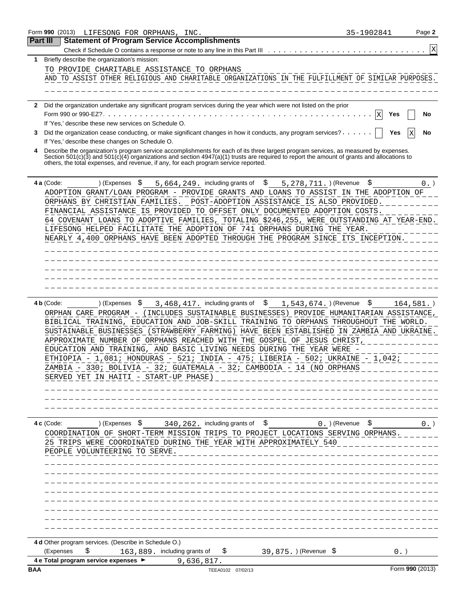|            | Form 990 (2013)<br>LIFESONG FOR ORPHANS, INC.                                                                                                                                                                                                                                                                                                                                                                                                                                                                                                                                                                                       | 35-1902841       | Page 2          |
|------------|-------------------------------------------------------------------------------------------------------------------------------------------------------------------------------------------------------------------------------------------------------------------------------------------------------------------------------------------------------------------------------------------------------------------------------------------------------------------------------------------------------------------------------------------------------------------------------------------------------------------------------------|------------------|-----------------|
| Part III   | <b>Statement of Program Service Accomplishments</b>                                                                                                                                                                                                                                                                                                                                                                                                                                                                                                                                                                                 |                  |                 |
|            | Check if Schedule O contains a response or note to any line in this Part III                                                                                                                                                                                                                                                                                                                                                                                                                                                                                                                                                        |                  | X               |
| 1.         | Briefly describe the organization's mission:                                                                                                                                                                                                                                                                                                                                                                                                                                                                                                                                                                                        |                  |                 |
|            | TO PROVIDE CHARITABLE ASSISTANCE TO ORPHANS                                                                                                                                                                                                                                                                                                                                                                                                                                                                                                                                                                                         |                  |                 |
|            | AND TO ASSIST OTHER RELIGIOUS AND CHARITABLE ORGANIZATIONS IN THE FULFILLMENT OF SIMILAR PURPOSES.                                                                                                                                                                                                                                                                                                                                                                                                                                                                                                                                  |                  |                 |
|            |                                                                                                                                                                                                                                                                                                                                                                                                                                                                                                                                                                                                                                     |                  |                 |
|            | Did the organization undertake any significant program services during the year which were not listed on the prior                                                                                                                                                                                                                                                                                                                                                                                                                                                                                                                  |                  |                 |
| 2          |                                                                                                                                                                                                                                                                                                                                                                                                                                                                                                                                                                                                                                     | X<br>Yes         | No              |
|            | If 'Yes,' describe these new services on Schedule O.                                                                                                                                                                                                                                                                                                                                                                                                                                                                                                                                                                                |                  |                 |
| 3          | Did the organization cease conducting, or make significant changes in how it conducts, any program services?                                                                                                                                                                                                                                                                                                                                                                                                                                                                                                                        | Yes              | No              |
|            | If 'Yes,' describe these changes on Schedule O.                                                                                                                                                                                                                                                                                                                                                                                                                                                                                                                                                                                     |                  |                 |
|            | Describe the organization's program service accomplishments for each of its three largest program services, as measured by expenses.                                                                                                                                                                                                                                                                                                                                                                                                                                                                                                |                  |                 |
|            | Section 501(c)(3) and 501(c)(4) organizations and section 4947(a)(1) trusts are required to report the amount of grants and allocations to<br>others, the total expenses, and revenue, if any, for each program service reported.                                                                                                                                                                                                                                                                                                                                                                                                   |                  |                 |
|            | 4 a (Code:<br>\$<br>5,664,249. including grants of<br>\$<br>) (Expenses<br>5, 278, 711. ) (Revenue                                                                                                                                                                                                                                                                                                                                                                                                                                                                                                                                  | \$               | $0.$ )          |
|            | ADOPTION GRANT/LOAN PROGRAM - PROVIDE GRANTS AND LOANS TO ASSIST IN THE ADOPTION OF                                                                                                                                                                                                                                                                                                                                                                                                                                                                                                                                                 |                  |                 |
|            | ORPHANS BY CHRISTIAN FAMILIES. POST-ADOPTION ASSISTANCE IS ALSO PROVIDED.                                                                                                                                                                                                                                                                                                                                                                                                                                                                                                                                                           |                  |                 |
|            | FINANCIAL ASSISTANCE IS PROVIDED TO OFFSET ONLY DOCUMENTED ADOPTION COSTS.                                                                                                                                                                                                                                                                                                                                                                                                                                                                                                                                                          |                  |                 |
|            | 64 COVENANT LOANS TO ADOPTIVE FAMILIES, TOTALING \$246,255, WERE OUTSTANDING AT YEAR-END.                                                                                                                                                                                                                                                                                                                                                                                                                                                                                                                                           |                  |                 |
|            | LIFESONG HELPED FACILITATE THE ADOPTION OF 741 ORPHANS DURING THE YEAR.                                                                                                                                                                                                                                                                                                                                                                                                                                                                                                                                                             |                  |                 |
|            | NEARLY 4,400 ORPHANS HAVE BEEN ADOPTED THROUGH THE PROGRAM SINCE ITS INCEPTION.                                                                                                                                                                                                                                                                                                                                                                                                                                                                                                                                                     |                  |                 |
|            |                                                                                                                                                                                                                                                                                                                                                                                                                                                                                                                                                                                                                                     |                  |                 |
|            |                                                                                                                                                                                                                                                                                                                                                                                                                                                                                                                                                                                                                                     |                  |                 |
|            |                                                                                                                                                                                                                                                                                                                                                                                                                                                                                                                                                                                                                                     |                  |                 |
|            |                                                                                                                                                                                                                                                                                                                                                                                                                                                                                                                                                                                                                                     |                  |                 |
|            |                                                                                                                                                                                                                                                                                                                                                                                                                                                                                                                                                                                                                                     |                  |                 |
|            | ORPHAN CARE PROGRAM - (INCLUDES SUSTAINABLE BUSINESSES) PROVIDE HUMANITARIAN ASSISTANCE,<br>BIBLICAL TRAINING, EDUCATION AND JOB-SKILL TRAINING TO ORPHANS THROUGHOUT THE WORLD.<br>SUSTAINABLE BUSINESSES (STRAWBERRY FARMING) HAVE BEEN ESTABLISHED IN ZAMBIA AND UKRAINE.<br>APPROXIMATE NUMBER OF ORPHANS REACHED WITH THE GOSPEL OF JESUS CHRIST,<br>EDUCATION AND TRAINING, AND BASIC LIVING NEEDS DURING THE YEAR WERE -<br>ETHIOPIA - 1,081; HONDURAS - 521; INDIA - 475; LIBERIA - 502; UKRAINE - 1,042;<br>ZAMBIA - 330; BOLIVIA - 32; GUATEMALA - 32; CAMBODIA - 14 (NO ORPHANS<br>SERVED YET IN HAITI - START-UP PHASE) |                  |                 |
|            |                                                                                                                                                                                                                                                                                                                                                                                                                                                                                                                                                                                                                                     |                  |                 |
|            |                                                                                                                                                                                                                                                                                                                                                                                                                                                                                                                                                                                                                                     |                  |                 |
|            | 340, 262. including grants of \$<br>4 c (Code:<br>) (Expenses \$<br>COORDINATION OF SHORT-TERM MISSION TRIPS TO PROJECT LOCATIONS SERVING ORPHANS.<br>25 TRIPS WERE COORDINATED DURING THE YEAR WITH APPROXIMATELY 540<br>PEOPLE VOLUNTEERING TO SERVE.                                                                                                                                                                                                                                                                                                                                                                             | 0. ) (Revenue \$ | $0.$ )          |
|            |                                                                                                                                                                                                                                                                                                                                                                                                                                                                                                                                                                                                                                     |                  |                 |
|            |                                                                                                                                                                                                                                                                                                                                                                                                                                                                                                                                                                                                                                     |                  |                 |
|            |                                                                                                                                                                                                                                                                                                                                                                                                                                                                                                                                                                                                                                     |                  |                 |
|            |                                                                                                                                                                                                                                                                                                                                                                                                                                                                                                                                                                                                                                     |                  |                 |
|            |                                                                                                                                                                                                                                                                                                                                                                                                                                                                                                                                                                                                                                     |                  |                 |
|            |                                                                                                                                                                                                                                                                                                                                                                                                                                                                                                                                                                                                                                     |                  |                 |
|            |                                                                                                                                                                                                                                                                                                                                                                                                                                                                                                                                                                                                                                     |                  |                 |
|            | 4 d Other program services. (Describe in Schedule O.)                                                                                                                                                                                                                                                                                                                                                                                                                                                                                                                                                                               |                  |                 |
|            | \$<br>(Expenses<br>163,889. including grants of<br>39,875. ) (Revenue \$<br>\$.                                                                                                                                                                                                                                                                                                                                                                                                                                                                                                                                                     |                  | $0.$ )          |
|            | 4 e Total program service expenses ▶<br>9,636,817.                                                                                                                                                                                                                                                                                                                                                                                                                                                                                                                                                                                  |                  |                 |
| <b>BAA</b> | TEEA0102 07/02/13                                                                                                                                                                                                                                                                                                                                                                                                                                                                                                                                                                                                                   |                  | Form 990 (2013) |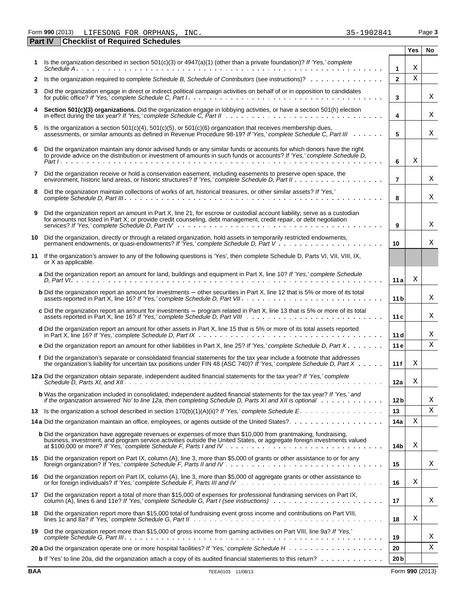Form **990** (2013) Page **3** LIFESONG FOR ORPHANS, INC. 35-1902841

|    | <b>Checklist of Required Schedules</b><br><b>Part IV</b>                                                                                                                                                                                                                                |                 |     |    |
|----|-----------------------------------------------------------------------------------------------------------------------------------------------------------------------------------------------------------------------------------------------------------------------------------------|-----------------|-----|----|
|    |                                                                                                                                                                                                                                                                                         |                 | Yes | No |
| 1. | Is the organization described in section $501(c)(3)$ or $4947(a)(1)$ (other than a private foundation)? If 'Yes,' complete                                                                                                                                                              | $\mathbf 1$     | X   |    |
| 2  | Is the organization required to complete Schedule B, Schedule of Contributors (see instructions)?                                                                                                                                                                                       | $\mathbf{2}$    | X   |    |
| 3  | Did the organization engage in direct or indirect political campaign activities on behalf of or in opposition to candidates                                                                                                                                                             | 3               |     | Χ  |
| 4  | Section 501(c)(3) organizations. Did the organization engage in lobbying activities, or have a section 501(h) election                                                                                                                                                                  | 4               |     | Χ  |
| 5  | Is the organization a section 501(c)(4), 501(c)(5), or 501(c)(6) organization that receives membership dues,<br>assessments, or similar amounts as defined in Revenue Procedure 98-19? If 'Yes,' complete Schedule C, Part III                                                          | 5               |     | Χ  |
| 6  | Did the organization maintain any donor advised funds or any similar funds or accounts for which donors have the right to provide advice on the distribution or investment of amounts in such funds or accounts? If 'Yes,' com                                                          | 6               | х   |    |
| 7  | Did the organization receive or hold a conservation easement, including easements to preserve open space, the                                                                                                                                                                           | $\overline{7}$  |     | Χ  |
| 8  | Did the organization maintain collections of works of art, historical treasures, or other similar assets? If 'Yes,'                                                                                                                                                                     | 8               |     | Χ  |
| 9  | Did the organization report an amount in Part X, line 21, for escrow or custodial account liability; serve as a custodian<br>for amounts not listed in Part X; or provide credit counseling, debt management, credit repair, or debt negotiation                                        | 9               |     | Χ  |
| 10 | Did the organization, directly or through a related organization, hold assets in temporarily restricted endowments,                                                                                                                                                                     | 10              |     | Χ  |
| 11 | If the organization's answer to any of the following questions is 'Yes', then complete Schedule D, Parts VI, VII, VIII, IX,<br>or X as applicable.                                                                                                                                      |                 |     |    |
|    | a Did the organization report an amount for land, buildings and equipment in Part X, line 10? If 'Yes,' complete Schedule                                                                                                                                                               | 11a             | X   |    |
|    | <b>b</b> Did the organization report an amount for investments - other securities in Part X, line 12 that is 5% or more of its total                                                                                                                                                    | 11 <sub>b</sub> |     | Χ  |
|    | c Did the organization report an amount for investments - program related in Part X, line 13 that is 5% or more of its total                                                                                                                                                            | 11c             |     | Χ  |
|    | d Did the organization report an amount for other assets in Part X, line 15 that is 5% or more of its total assets reported                                                                                                                                                             | 11d             |     | Χ  |
|    | e Did the organization report an amount for other liabilities in Part X, line 25? If 'Yes,' complete Schedule D, Part X                                                                                                                                                                 | 11 e            |     | Χ  |
|    | f Did the organization's separate or consolidated financial statements for the tax year include a footnote that addresses<br>the organization's liability for uncertain tax positions under FIN 48 (ASC 740)? If Yes, complete Schedule D, Part X                                       | 11f             | Χ   |    |
|    | 12a Did the organization obtain separate, independent audited financial statements for the tax year? If 'Yes,' complete<br>Schedule D, Parts XI, and XII. $\ldots$ $\ldots$ $\ldots$ $\ldots$ $\ldots$ $\ldots$ $\ldots$ $\ldots$ $\ldots$ $\ldots$ $\ldots$ $\ldots$ $\ldots$ $\ldots$ | 12a             | Χ   |    |
|    | <b>b</b> Was the organization included in consolidated, independent audited financial statements for the tax year? If 'Yes,' and<br>if the organization answered 'No' to line 12a, then completing Schedule D, Parts XI and XII is optional wimbed we                                   | 12 <sub>b</sub> |     | Χ  |
| 13 |                                                                                                                                                                                                                                                                                         | 13              |     | Χ  |
|    |                                                                                                                                                                                                                                                                                         | 14a             | Χ   |    |
|    | <b>b</b> Did the organization have aggregate revenues or expenses of more than \$10,000 from grantmaking, fundraising,<br>business, investment, and program service activities outside the United States, or aggregate foreign investments valued                                       | 14b             | Χ   |    |
|    | 15 Did the organization report on Part IX, column (A), line 3, more than \$5,000 of grants or other assistance to or for any                                                                                                                                                            | 15              |     | Χ  |
| 16 | Did the organization report on Part IX, column (A), line 3, more than \$5,000 of aggregate grants or other assistance to                                                                                                                                                                | 16              | Χ   |    |
| 17 | Did the organization report a total of more than \$15,000 of expenses for professional fundraising services on Part IX,                                                                                                                                                                 | 17              |     | Χ  |
| 18 | Did the organization report more than \$15,000 total of fundraising event gross income and contributions on Part VIII,                                                                                                                                                                  | 18              | Χ   |    |
| 19 | Did the organization report more than \$15,000 of gross income from gaming activities on Part VIII, line 9a? If 'Yes,'                                                                                                                                                                  | 19              |     | X  |
|    |                                                                                                                                                                                                                                                                                         | 20              |     | Χ  |
|    | <b>b</b> If 'Yes' to line 20a, did the organization attach a copy of its audited financial statements to this return?                                                                                                                                                                   | 20 <sub>b</sub> |     |    |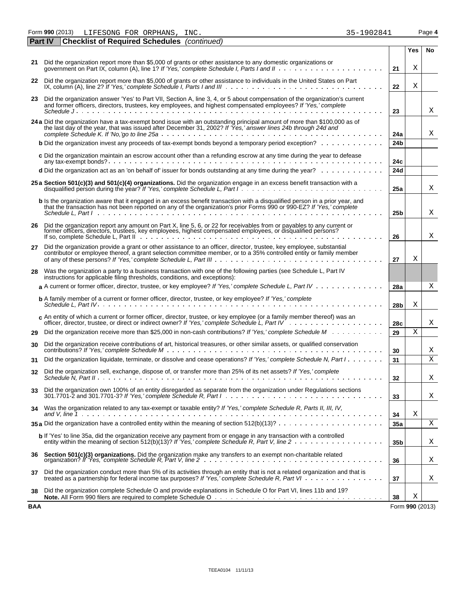Form **990** (2013) Page **4** LIFESONG FOR ORPHANS, INC. 35-1902841

 $\overline{\phantom{a}}$ 

|     | <b>Part IV</b> | <b>Checklist of Required Schedules</b> (continued)                                                                                                                                                                                                    |                 |                 |     |
|-----|----------------|-------------------------------------------------------------------------------------------------------------------------------------------------------------------------------------------------------------------------------------------------------|-----------------|-----------------|-----|
|     |                |                                                                                                                                                                                                                                                       |                 | Yes             | No. |
|     |                | 21 Did the organization report more than \$5,000 of grants or other assistance to any domestic organizations or                                                                                                                                       | 21              | Χ               |     |
| 22  |                | Did the organization report more than \$5,000 of grants or other assistance to individuals in the United States on Part                                                                                                                               | 22              | х               |     |
| 23  |                | Did the organization answer 'Yes' to Part VII, Section A, line 3, 4, or 5 about compensation of the organization's current<br>and former officers, directors, trustees, key employees, and highest compensated employees? If 'Yes,' complete          | 23              |                 | Χ   |
|     |                |                                                                                                                                                                                                                                                       |                 |                 |     |
|     |                | 24 a Did the organization have a tax-exempt bond issue with an outstanding principal amount of more than \$100,000 as of<br>the last day of the year, that was issued after December 31, 2002? If 'Yes,' answer lines 24b through 24d and             | 24a             |                 | Χ   |
|     |                | <b>b</b> Did the organization invest any proceeds of tax-exempt bonds beyond a temporary period exception?                                                                                                                                            | 24 <sub>b</sub> |                 |     |
|     |                | c Did the organization maintain an escrow account other than a refunding escrow at any time during the year to defease                                                                                                                                | 24c             |                 |     |
|     |                | d Did the organization act as an 'on behalf of' issuer for bonds outstanding at any time during the year?                                                                                                                                             | 24d             |                 |     |
|     |                | 25 a Section 501(c)(3) and 501(c)(4) organizations. Did the organization engage in an excess benefit transaction with a                                                                                                                               | 25a             |                 | X   |
|     |                | b Is the organization aware that it engaged in an excess benefit transaction with a disqualified person in a prior year, and<br>that the transaction has not been reported on any of the organization's prior Forms 990 or 990-EZ? If 'Yes,' complete | 25 <sub>b</sub> |                 | X   |
| 26  |                | Did the organization report any amount on Part X, line 5, 6, or 22 for receivables from or payables to any current or<br>former officers, directors, trustees, key employees, highest compensated employees, or disqualified pers                     | 26              |                 | Χ   |
| 27  |                | Did the organization provide a grant or other assistance to an officer, director, trustee, key employee, substantial<br>contributor or employee thereof, a grant selection committee member, or to a 35% controlled entity or family member           | 27              | х               |     |
| 28  |                | Was the organization a party to a business transaction with one of the following parties (see Schedule L, Part IV<br>instructions for applicable filing thresholds, conditions, and exceptions):                                                      |                 |                 |     |
|     |                | a A current or former officer, director, trustee, or key employee? If 'Yes,' complete Schedule L, Part IV                                                                                                                                             | 28a             |                 | Χ   |
|     |                | <b>b</b> A family member of a current or former officer, director, trustee, or key employee? If 'Yes,' complete                                                                                                                                       | 28 <sub>b</sub> | Χ               |     |
|     |                | $c$ An entity of which a current or former officer, director, trustee, or key employee (or a family member thereof) was an                                                                                                                            | 28c             |                 | Χ   |
| 29  |                | Did the organization receive more than \$25,000 in non-cash contributions? If 'Yes,' complete Schedule M                                                                                                                                              | 29              | Χ               |     |
| 30  |                | Did the organization receive contributions of art, historical treasures, or other similar assets, or qualified conservation                                                                                                                           | 30              |                 | Χ   |
| 31  |                | Did the organization liquidate, terminate, or dissolve and cease operations? If 'Yes,' complete Schedule N, Part I                                                                                                                                    | 31              |                 | X   |
| 32  |                | Did the organization sell, exchange, dispose of, or transfer more than 25% of its net assets? If 'Yes,' complete                                                                                                                                      | 32              |                 |     |
| 33. |                | Did the organization own 100% of an entity disregarded as separate from the organization under Regulations sections                                                                                                                                   | 33              |                 | X   |
| 34  |                | Was the organization related to any tax-exempt or taxable entity? If 'Yes,' complete Schedule R, Parts II, III, IV,                                                                                                                                   | 34              | Χ               |     |
|     |                | 35 a Did the organization have a controlled entity within the meaning of section $512(b)(13)? \ldots \ldots \ldots \ldots \ldots \ldots$                                                                                                              | 35a             |                 | Χ   |
|     |                | <b>b</b> If 'Yes' to line 35a, did the organization receive any payment from or engage in any transaction with a controlled                                                                                                                           | 35 <sub>b</sub> |                 | Χ   |
| 36  |                |                                                                                                                                                                                                                                                       | 36              |                 | X   |
| 37  |                | Did the organization conduct more than 5% of its activities through an entity that is not a related organization and that is<br>treated as a partnership for federal income tax purposes? If 'Yes,' complete Schedule R, Part VI                      | 37              |                 | Χ   |
| 38  |                | Did the organization complete Schedule O and provide explanations in Schedule O for Part VI, lines 11b and 19?                                                                                                                                        | 38              | Χ               |     |
| BAA |                |                                                                                                                                                                                                                                                       |                 | Form 990 (2013) |     |

| 35–1902841 |  |  |  |  |
|------------|--|--|--|--|
|            |  |  |  |  |
|            |  |  |  |  |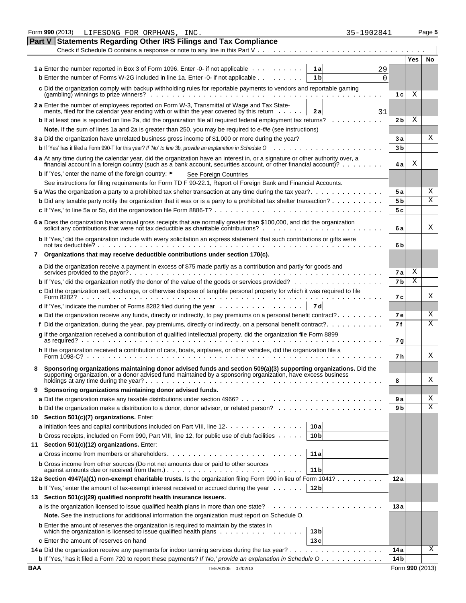|            | Form 990 (2013)<br>35-1902841<br>LIFESONG FOR ORPHANS, INC.                                                                                                                                                                        |                 |                 | Page 5 |
|------------|------------------------------------------------------------------------------------------------------------------------------------------------------------------------------------------------------------------------------------|-----------------|-----------------|--------|
| Part V     | <b>Statements Regarding Other IRS Filings and Tax Compliance</b>                                                                                                                                                                   |                 |                 |        |
|            | Check if Schedule O contains a response or note to any line in this Part V                                                                                                                                                         |                 |                 |        |
|            |                                                                                                                                                                                                                                    |                 | <b>Yes</b>      | No     |
|            | <b>1a</b> Enter the number reported in Box 3 of Form 1096. Enter -0- if not applicable<br>1al<br>29                                                                                                                                |                 |                 |        |
|            | <b>b</b> Enter the number of Forms W-2G included in line 1a. Enter -0- if not applicable<br>1 b<br>$\Omega$                                                                                                                        |                 |                 |        |
|            | c Did the organization comply with backup withholding rules for reportable payments to vendors and reportable gaming                                                                                                               |                 |                 |        |
|            |                                                                                                                                                                                                                                    | 1 <sub>c</sub>  | Χ               |        |
|            | 2 a Enter the number of employees reported on Form W-3, Transmittal of Wage and Tax State-<br>ments, filed for the calendar year ending with or within the year covered by this return $\dots$ .<br>2 a<br>31                      |                 |                 |        |
|            | <b>b</b> If at least one is reported on line 2a, did the organization file all required federal employment tax returns?                                                                                                            | 2 <sub>b</sub>  | Χ               |        |
|            | Note. If the sum of lines 1a and 2a is greater than 250, you may be required to e-file (see instructions)                                                                                                                          |                 |                 |        |
|            | 3 a Did the organization have unrelated business gross income of \$1,000 or more during the year?                                                                                                                                  | Зa              |                 | Χ      |
|            |                                                                                                                                                                                                                                    | 3 <sub>b</sub>  |                 |        |
|            | 4 a At any time during the calendar year, did the organization have an interest in, or a signature or other authority over, a                                                                                                      |                 |                 |        |
|            | financial account in a foreign country (such as a bank account, securities account, or other financial account)?                                                                                                                   | 4 a             | Χ               |        |
|            | <b>b</b> If 'Yes,' enter the name of the foreign country: ►<br>See Foreign Countries                                                                                                                                               |                 |                 |        |
|            | See instructions for filing requirements for Form TD F 90-22.1, Report of Foreign Bank and Financial Accounts.                                                                                                                     |                 |                 |        |
|            |                                                                                                                                                                                                                                    | 5 a             |                 | Χ      |
|            | <b>b</b> Did any taxable party notify the organization that it was or is a party to a prohibited tax shelter transaction?                                                                                                          | 5 <sub>b</sub>  |                 | Χ      |
|            |                                                                                                                                                                                                                                    | 5c              |                 |        |
|            | 6 a Does the organization have annual gross receipts that are normally greater than \$100,000, and did the organization solicit any contributions that were not tax deductible as charitable contributions?                        | 6а              |                 | Χ      |
|            | b If 'Yes,' did the organization include with every solicitation an express statement that such contributions or gifts were                                                                                                        |                 |                 |        |
|            |                                                                                                                                                                                                                                    | 6b              |                 |        |
|            | 7 Organizations that may receive deductible contributions under section 170(c).                                                                                                                                                    |                 |                 |        |
|            | a Did the organization receive a payment in excess of \$75 made partly as a contribution and partly for goods and                                                                                                                  | 7a              | Χ               |        |
|            | <b>b</b> If 'Yes,' did the organization notify the donor of the value of the goods or services provided?                                                                                                                           | 7 <sub>b</sub>  | Χ               |        |
|            | c Did the organization sell, exchange, or otherwise dispose of tangible personal property for which it was required to file<br>Form 8282?                                                                                          | 7 с             |                 | Χ      |
|            | <b>d</b> If 'Yes,' indicate the number of Forms 8282 filed during the year $\ldots \ldots \ldots \ldots \ldots$<br>7 dl                                                                                                            |                 |                 |        |
|            | <b>e</b> Did the organization receive any funds, directly or indirectly, to pay premiums on a personal benefit contract? $\dots \dots \dots$                                                                                       | <b>7e</b>       |                 | Χ      |
|            | f Did the organization, during the year, pay premiums, directly or indirectly, on a personal benefit contract?                                                                                                                     | 7f              |                 | Χ      |
|            | g If the organization received a contribution of qualified intellectual property, did the organization file Form 8899                                                                                                              |                 |                 |        |
|            | as required?                                                                                                                                                                                                                       | 7 g             |                 |        |
|            | h If the organization received a contribution of cars, boats, airplanes, or other vehicles, did the organization file a<br>Form 1098-C? .                                                                                          | 7 h             |                 | Χ      |
|            |                                                                                                                                                                                                                                    |                 |                 |        |
|            | Sponsoring organizations maintaining donor advised funds and section 509(a)(3) supporting organizations. Did the<br>supporting organization, or a donor advised fund maintained by a sponsoring organization, have excess business | 8               |                 | X      |
| 9.         | Sponsoring organizations maintaining donor advised funds.                                                                                                                                                                          |                 |                 |        |
|            |                                                                                                                                                                                                                                    | 9 a             |                 | Χ      |
|            |                                                                                                                                                                                                                                    | 9 b             |                 | Χ      |
|            | 10 Section 501(c)(7) organizations. Enter:                                                                                                                                                                                         |                 |                 |        |
|            | a Initiation fees and capital contributions included on Part VIII, line 12.<br>10a                                                                                                                                                 |                 |                 |        |
|            | <b>b</b> Gross receipts, included on Form 990, Part VIII, line 12, for public use of club facilities<br>10 <sub>b</sub>                                                                                                            |                 |                 |        |
| 11         | Section 501(c)(12) organizations. Enter:                                                                                                                                                                                           |                 |                 |        |
|            | 11a                                                                                                                                                                                                                                |                 |                 |        |
|            | <b>b</b> Gross income from other sources (Do not net amounts due or paid to other sources                                                                                                                                          |                 |                 |        |
|            | 11 b                                                                                                                                                                                                                               |                 |                 |        |
|            | 12a Section 4947(a)(1) non-exempt charitable trusts. Is the organization filing Form 990 in lieu of Form 1041?                                                                                                                     | 12 a            |                 |        |
|            | 12 <sub>b</sub><br><b>b</b> If 'Yes,' enter the amount of tax-exempt interest received or accrued during the year $\dots$                                                                                                          |                 |                 |        |
|            | 13 Section 501(c)(29) qualified nonprofit health insurance issuers.                                                                                                                                                                |                 |                 |        |
|            | Note. See the instructions for additional information the organization must report on Schedule O.                                                                                                                                  | 13 a            |                 |        |
|            | <b>b</b> Enter the amount of reserves the organization is required to maintain by the states in                                                                                                                                    |                 |                 |        |
|            | which the organization is licensed to issue qualified health plans $\ldots$ , $\ldots$ , $\ldots$ , $\ldots$ , $\ldots$<br>13 <sub>b</sub>                                                                                         |                 |                 |        |
|            | <b>c</b> Enter the amount of reserves on hand $\ldots$ , $\ldots$ , $\ldots$ , $\ldots$ , $\ldots$ , $\ldots$ , $\ldots$ , $\ldots$ , $\ldots$<br>13c                                                                              |                 |                 |        |
|            |                                                                                                                                                                                                                                    | 14 a            |                 | X      |
|            | <b>b</b> If 'Yes,' has it filed a Form 720 to report these payments? If 'No,' provide an explanation in Schedule $0, \ldots, \ldots, \ldots$                                                                                       | 14 <sub>b</sub> |                 |        |
| <b>BAA</b> | TEEA0105 07/02/13                                                                                                                                                                                                                  |                 | Form 990 (2013) |        |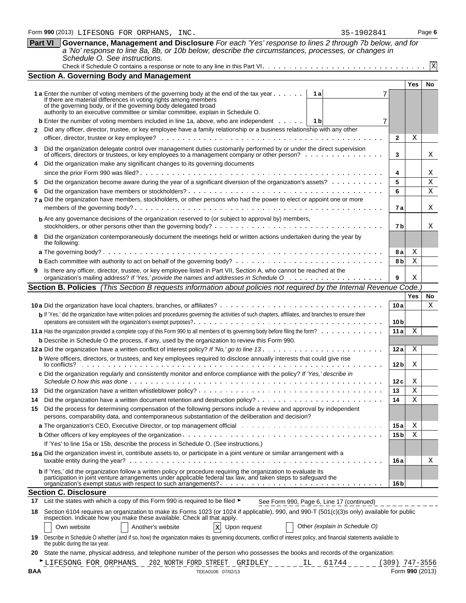|              | Schedule O. See instructions.                                                                                                                                                                                                                                                                                                    |                  |                 |              |
|--------------|----------------------------------------------------------------------------------------------------------------------------------------------------------------------------------------------------------------------------------------------------------------------------------------------------------------------------------|------------------|-----------------|--------------|
|              |                                                                                                                                                                                                                                                                                                                                  |                  |                 | $\mathbf{X}$ |
|              | <b>Section A. Governing Body and Management</b>                                                                                                                                                                                                                                                                                  |                  |                 |              |
|              |                                                                                                                                                                                                                                                                                                                                  |                  | <b>Yes</b>      | No.          |
|              | 1al<br><b>1 a</b> Enter the number of voting members of the governing body at the end of the tax year<br>If there are material differences in voting rights among members<br>of the governing body, or if the governing body delegated broad<br>authority to an executive committee or similar committee, explain in Schedule O. |                  |                 |              |
|              |                                                                                                                                                                                                                                                                                                                                  |                  |                 |              |
|              | <b>b</b> Enter the number of voting members included in line 1a, above, who are independent $\dots$ , $\begin{bmatrix} 1 & b \end{bmatrix}$<br>7<br>Did any officer, director, trustee, or key employee have a family relationship or a business relationship with any other                                                     |                  |                 |              |
| $\mathbf{2}$ |                                                                                                                                                                                                                                                                                                                                  | $\mathbf{2}$     | Χ               |              |
|              |                                                                                                                                                                                                                                                                                                                                  |                  |                 |              |
| 3            | Did the organization delegate control over management duties customarily performed by or under the direct supervision<br>of officers, directors or trustees, or key employees to a management company or other person?                                                                                                           | 3                |                 | Χ            |
|              | Did the organization make any significant changes to its governing documents                                                                                                                                                                                                                                                     |                  |                 |              |
|              |                                                                                                                                                                                                                                                                                                                                  | 4                |                 | Χ            |
| 5            | Did the organization become aware during the year of a significant diversion of the organization's assets?                                                                                                                                                                                                                       | 5                |                 | X            |
| 6            |                                                                                                                                                                                                                                                                                                                                  | 6                |                 | Χ            |
|              | 7 a Did the organization have members, stockholders, or other persons who had the power to elect or appoint one or more                                                                                                                                                                                                          | 7а               |                 | Χ            |
|              | <b>b</b> Are any governance decisions of the organization reserved to (or subject to approval by) members,                                                                                                                                                                                                                       |                  |                 |              |
|              |                                                                                                                                                                                                                                                                                                                                  | 7 b              |                 | Χ            |
| 8            | Did the organization contemporaneously document the meetings held or written actions undertaken during the year by<br>the following:                                                                                                                                                                                             |                  |                 |              |
|              |                                                                                                                                                                                                                                                                                                                                  | 8а               | Χ               |              |
|              |                                                                                                                                                                                                                                                                                                                                  | 8b               | Χ               |              |
| 9            | Is there any officer, director, trustee, or key employee listed in Part VII, Section A, who cannot be reached at the                                                                                                                                                                                                             | 9                | Χ               |              |
|              | Section B. Policies (This Section B requests information about policies not required by the Internal Revenue Code.                                                                                                                                                                                                               |                  |                 |              |
|              |                                                                                                                                                                                                                                                                                                                                  |                  | Yes             | <b>No</b>    |
|              |                                                                                                                                                                                                                                                                                                                                  | 10 a             |                 | Χ            |
|              | b If 'Yes,' did the organization have written policies and procedures governing the activities of such chapters, affiliates, and branches to ensure their                                                                                                                                                                        |                  |                 |              |
|              |                                                                                                                                                                                                                                                                                                                                  | 10 <sub>b</sub>  |                 |              |
|              |                                                                                                                                                                                                                                                                                                                                  | 11a              | Χ               |              |
|              | <b>b</b> Describe in Schedule O the process, if any, used by the organization to review this Form 990.                                                                                                                                                                                                                           |                  |                 |              |
|              |                                                                                                                                                                                                                                                                                                                                  | 12 a             | Χ               |              |
|              | <b>b</b> Were officers, directors, or trustees, and key employees required to disclose annually interests that could give rise                                                                                                                                                                                                   | 12 b             | Χ               |              |
|              | c Did the organization regularly and consistently monitor and enforce compliance with the policy? If 'Yes,' describe in                                                                                                                                                                                                          | 12 c             | Χ               |              |
|              |                                                                                                                                                                                                                                                                                                                                  | 13               | Χ               |              |
| 14           |                                                                                                                                                                                                                                                                                                                                  | 14               | Χ               |              |
| 15           | Did the process for determining compensation of the following persons include a review and approval by independent                                                                                                                                                                                                               |                  |                 |              |
|              | persons, comparability data, and contemporaneous substantiation of the deliberation and decision?                                                                                                                                                                                                                                |                  |                 |              |
|              | a The organization's CEO, Executive Director, or top management official with the state of the organization's CEO, Executive Director, or top management official with the state of the state of the state of the state of the                                                                                                   | 15a              | Χ               |              |
|              |                                                                                                                                                                                                                                                                                                                                  | 15 <sub>b</sub>  | X               |              |
|              | If 'Yes' to line 15a or 15b, describe the process in Schedule O. (See instructions.)                                                                                                                                                                                                                                             |                  |                 |              |
|              | 16a Did the organization invest in, contribute assets to, or participate in a joint venture or similar arrangement with a                                                                                                                                                                                                        |                  |                 |              |
|              |                                                                                                                                                                                                                                                                                                                                  | 16 a             |                 | Χ            |
|              | b If 'Yes,' did the organization follow a written policy or procedure requiring the organization to evaluate its<br>participation in joint venture arrangements under applicable federal tax law, and taken steps to safeguard the                                                                                               |                  |                 |              |
|              |                                                                                                                                                                                                                                                                                                                                  | 16 <sub>b</sub>  |                 |              |
|              | <b>Section C. Disclosure</b>                                                                                                                                                                                                                                                                                                     |                  |                 |              |
| 17           | List the states with which a copy of this Form 990 is required to be filed ►<br>See Form 990, Page 6, Line 17 (continued)                                                                                                                                                                                                        |                  |                 |              |
| 18           | Section 6104 requires an organization to make its Forms 1023 (or 1024 if applicable), 990, and 990-T (501(c)(3)s only) available for public                                                                                                                                                                                      |                  |                 |              |
|              | inspection. Indicate how you make these available. Check all that apply.<br>Other (explain in Schedule O)<br>$\mathbf x$<br>Another's website<br>Upon request<br>Own website                                                                                                                                                     |                  |                 |              |
| 19           | Describe in Schedule O whether (and if so, how) the organization makes its governing documents, conflict of interest policy, and financial statements available to<br>the public during the tax year.                                                                                                                            |                  |                 |              |
| 20           | State the name, physical address, and telephone number of the person who possesses the books and records of the organization:                                                                                                                                                                                                    |                  |                 |              |
|              | LIFESONG FOR ORPHANS 202 NORTH FORD STREET GRIDLEY<br>IL 61744                                                                                                                                                                                                                                                                   | $(309)$ 747-3556 |                 |              |
| BAA          | TEEA0106 07/02/13                                                                                                                                                                                                                                                                                                                |                  | Form 990 (2013) |              |
|              |                                                                                                                                                                                                                                                                                                                                  |                  |                 |              |
|              |                                                                                                                                                                                                                                                                                                                                  |                  |                 |              |

**Part VI Governance, Management and Disclosure** *For each 'Yes' response to lines 2 through 7b below, and for a 'No' response to line 8a, 8b, or 10b below, describe the circumstances, processes, or changes in*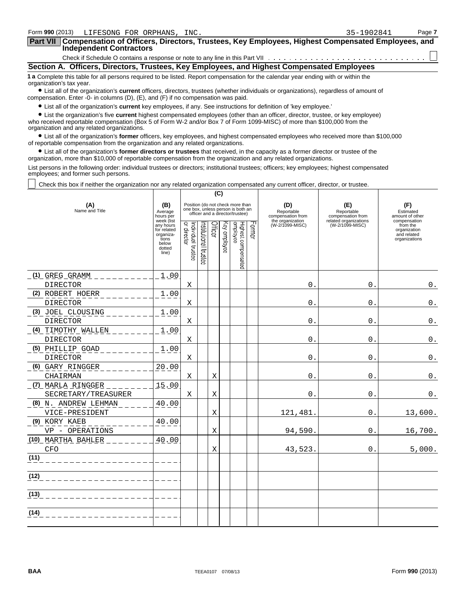| Form 990 (2013)<br>LIFESONG FOR ORPHANS, INC.                                                                                                                                                                                      | 35-1902841 | Page 7 |
|------------------------------------------------------------------------------------------------------------------------------------------------------------------------------------------------------------------------------------|------------|--------|
| Part VII Compensation of Officers, Directors, Trustees, Key Employees, Highest Compensated Employees, and<br><b>Independent Contractors</b>                                                                                        |            |        |
|                                                                                                                                                                                                                                    |            |        |
| Section A. Officers, Directors, Trustees, Key Employees, and Highest Compensated Employees                                                                                                                                         |            |        |
| 1 a Complete this table for all persons required to be listed. Report compensation for the calendar year ending with or within the<br>organization's tax year.                                                                     |            |        |
| • List all of the organization's <b>current</b> officers, directors, trustees (whether individuals or organizations), regardless of amount of<br>compensation. Enter -0- in columns (D), (E), and (F) if no compensation was paid. |            |        |
| • List all of the organization's current key employees, if any. See instructions for definition of 'key employee.'                                                                                                                 |            |        |
|                                                                                                                                                                                                                                    |            |        |

? List the organization's five **current** highest compensated employees (other than an officer, director, trustee, or key employee) who received reportable compensation (Box 5 of Form W-2 and/or Box 7 of Form 1099-MISC) of more than \$100,000 from the organization and any related organizations.

? List all of the organization's **former** officers, key employees, and highest compensated employees who received more than \$100,000 of reportable compensation from the organization and any related organizations.

? List all of the organization's **former directors or trustees** that received, in the capacity as a former director or trustee of the organization, more than \$10,000 of reportable compensation from the organization and any related organizations.

List persons in the following order: individual trustees or directors; institutional trustees; officers; key employees; highest compensated employees; and former such persons.

Check this box if neither the organization nor any related organization compensated any current officer, director, or trustee.

|                                        |                                                                                          | (C)                               |                                 |   |              |                                                                                                          |  |                                        |                                          |                                                                          |
|----------------------------------------|------------------------------------------------------------------------------------------|-----------------------------------|---------------------------------|---|--------------|----------------------------------------------------------------------------------------------------------|--|----------------------------------------|------------------------------------------|--------------------------------------------------------------------------|
| (A)<br>Name and Title                  | (B)<br>Average<br>hours per                                                              |                                   |                                 |   |              | Position (do not check more than<br>one box, unless person is both an<br>officer and a director/trustee) |  | (D)<br>Reportable<br>compensation from | (E)<br>Reportable<br>compensation from   | (F)<br>Estimated<br>amount of other                                      |
|                                        | week (list<br>any hours<br>for related<br>organiza-<br>tions<br>below<br>dotted<br>line) | Individual trustee<br>or director | Officer<br>nstitutional trustee |   | Key employee | Former<br>Highest compensated<br>employee                                                                |  | the organization<br>(W-2/1099-MISC)    | related organizations<br>(W-2/1099-MISC) | compensation<br>from the<br>organization<br>and related<br>organizations |
| $(1)$ GREG GRAMM                       | 1.00                                                                                     |                                   |                                 |   |              |                                                                                                          |  |                                        |                                          |                                                                          |
| <b>DIRECTOR</b>                        |                                                                                          | X                                 |                                 |   |              |                                                                                                          |  | $\Omega$                               | $\mathbf{0}$ .                           | $\boldsymbol{0}$ .                                                       |
| (2) ROBERT HOERR                       | 1.00                                                                                     |                                   |                                 |   |              |                                                                                                          |  |                                        |                                          |                                                                          |
| <b>DIRECTOR</b>                        |                                                                                          | Χ                                 |                                 |   |              |                                                                                                          |  | 0                                      | $\mathbf{0}$                             | $\mathbf 0$ .                                                            |
| (3) JOEL CLOUSING                      | 1.00                                                                                     |                                   |                                 |   |              |                                                                                                          |  |                                        |                                          |                                                                          |
| <b>DIRECTOR</b>                        |                                                                                          | Χ                                 |                                 |   |              |                                                                                                          |  | 0                                      | $\Omega$ .                               | $0$ .                                                                    |
| (4) TIMOTHY WALLEN                     | 1.00                                                                                     |                                   |                                 |   |              |                                                                                                          |  |                                        |                                          |                                                                          |
| <b>DIRECTOR</b>                        |                                                                                          | х                                 |                                 |   |              |                                                                                                          |  | 0.                                     | $0$ .                                    | $\mathbf 0$ .                                                            |
| (5) PHILLIP GOAD                       | 1.00                                                                                     |                                   |                                 |   |              |                                                                                                          |  |                                        | $\overline{0}$ .                         |                                                                          |
| <b>DIRECTOR</b><br>(6) GARY RINGGER    | 20.00                                                                                    | Χ                                 |                                 |   |              |                                                                                                          |  | 0.                                     |                                          | $0$ .                                                                    |
| CHAIRMAN                               |                                                                                          | х                                 |                                 | Χ |              |                                                                                                          |  | $\mathbf 0$ .                          | $\mathbf 0$ .                            | $\boldsymbol{0}$ .                                                       |
| (7) MARLA RINGGER                      | 15.00                                                                                    |                                   |                                 |   |              |                                                                                                          |  |                                        |                                          |                                                                          |
| SECRETARY/TREASURER                    |                                                                                          | Χ                                 |                                 | Χ |              |                                                                                                          |  | 0                                      | $\mathbf{0}$ .                           | $0$ .                                                                    |
| (8) N. ANDREW LEHMAN<br>VICE-PRESIDENT | 40.00                                                                                    |                                   |                                 | Χ |              |                                                                                                          |  | 121,481                                | $\mathbf 0$ .                            | 13,600.                                                                  |
| (9) KORY KAEB<br>VP - OPERATIONS       | 40.00                                                                                    |                                   |                                 | Χ |              |                                                                                                          |  | 94,590.                                | 0.                                       | 16,700.                                                                  |
| (10) MARTHA BAHLER<br><b>CFO</b>       | 40.00                                                                                    |                                   |                                 | X |              |                                                                                                          |  | 43,523                                 | 0.                                       | 5,000.                                                                   |
| (11)                                   |                                                                                          |                                   |                                 |   |              |                                                                                                          |  |                                        |                                          |                                                                          |
| (12)                                   |                                                                                          |                                   |                                 |   |              |                                                                                                          |  |                                        |                                          |                                                                          |
| (13)                                   |                                                                                          |                                   |                                 |   |              |                                                                                                          |  |                                        |                                          |                                                                          |
| (14)                                   |                                                                                          |                                   |                                 |   |              |                                                                                                          |  |                                        |                                          |                                                                          |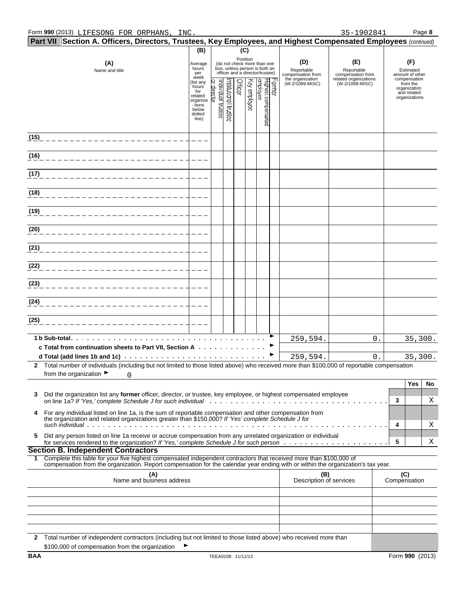|      | Part VII Section A. Officers, Directors, Trustees, Key Employees, and Highest Compensated Employees (continued)                                                                                                                                        |                                                                                                                |                   |                                          |         |                          |                                                                  |                                 |                         |                                 |              |                              |    |
|------|--------------------------------------------------------------------------------------------------------------------------------------------------------------------------------------------------------------------------------------------------------|----------------------------------------------------------------------------------------------------------------|-------------------|------------------------------------------|---------|--------------------------|------------------------------------------------------------------|---------------------------------|-------------------------|---------------------------------|--------------|------------------------------|----|
|      |                                                                                                                                                                                                                                                        | (B)                                                                                                            |                   |                                          |         | (C)                      |                                                                  |                                 |                         |                                 |              |                              |    |
|      | (A)                                                                                                                                                                                                                                                    | Average                                                                                                        |                   |                                          |         | Position                 | (do not check more than one                                      |                                 | (D)                     | (E)                             |              | (F)                          |    |
|      | Name and title                                                                                                                                                                                                                                         | hours<br>per                                                                                                   |                   |                                          |         |                          | box, unless person is both an<br>officer and a director/trustee) | Reportable<br>compensation from |                         | Reportable<br>compensation from |              | Estimated<br>amount of other |    |
|      |                                                                                                                                                                                                                                                        | week<br>the organization<br>Former<br>Highest compensated<br>employee<br>list any)<br>(W-2/1099-MISC)<br>hours |                   | related organizations<br>(W-2/1099-MISC) |         | compensation<br>from the |                                                                  |                                 |                         |                                 |              |                              |    |
|      |                                                                                                                                                                                                                                                        | for<br>related                                                                                                 | or director       |                                          | Officer | Key employee             |                                                                  |                                 |                         |                                 |              | organization<br>and related  |    |
|      |                                                                                                                                                                                                                                                        | organiza<br>- tions                                                                                            |                   |                                          |         |                          |                                                                  |                                 |                         |                                 |              | organizations                |    |
|      |                                                                                                                                                                                                                                                        | below<br>dotted                                                                                                | ndividual trustee | rstitutional trustes                     |         |                          |                                                                  |                                 |                         |                                 |              |                              |    |
|      |                                                                                                                                                                                                                                                        | line)                                                                                                          |                   |                                          |         |                          |                                                                  |                                 |                         |                                 |              |                              |    |
|      |                                                                                                                                                                                                                                                        |                                                                                                                |                   |                                          |         |                          |                                                                  |                                 |                         |                                 |              |                              |    |
|      |                                                                                                                                                                                                                                                        |                                                                                                                |                   |                                          |         |                          |                                                                  |                                 |                         |                                 |              |                              |    |
| (16) |                                                                                                                                                                                                                                                        |                                                                                                                |                   |                                          |         |                          |                                                                  |                                 |                         |                                 |              |                              |    |
|      |                                                                                                                                                                                                                                                        |                                                                                                                |                   |                                          |         |                          |                                                                  |                                 |                         |                                 |              |                              |    |
| (17) |                                                                                                                                                                                                                                                        |                                                                                                                |                   |                                          |         |                          |                                                                  |                                 |                         |                                 |              |                              |    |
|      |                                                                                                                                                                                                                                                        |                                                                                                                |                   |                                          |         |                          |                                                                  |                                 |                         |                                 |              |                              |    |
| (18) |                                                                                                                                                                                                                                                        |                                                                                                                |                   |                                          |         |                          |                                                                  |                                 |                         |                                 |              |                              |    |
|      |                                                                                                                                                                                                                                                        |                                                                                                                |                   |                                          |         |                          |                                                                  |                                 |                         |                                 |              |                              |    |
| (19) |                                                                                                                                                                                                                                                        |                                                                                                                |                   |                                          |         |                          |                                                                  |                                 |                         |                                 |              |                              |    |
|      |                                                                                                                                                                                                                                                        |                                                                                                                |                   |                                          |         |                          |                                                                  |                                 |                         |                                 |              |                              |    |
| (20) |                                                                                                                                                                                                                                                        |                                                                                                                |                   |                                          |         |                          |                                                                  |                                 |                         |                                 |              |                              |    |
|      |                                                                                                                                                                                                                                                        |                                                                                                                |                   |                                          |         |                          |                                                                  |                                 |                         |                                 |              |                              |    |
| (21) |                                                                                                                                                                                                                                                        |                                                                                                                |                   |                                          |         |                          |                                                                  |                                 |                         |                                 |              |                              |    |
| (22) |                                                                                                                                                                                                                                                        |                                                                                                                |                   |                                          |         |                          |                                                                  |                                 |                         |                                 |              |                              |    |
|      |                                                                                                                                                                                                                                                        |                                                                                                                |                   |                                          |         |                          |                                                                  |                                 |                         |                                 |              |                              |    |
| (23) |                                                                                                                                                                                                                                                        |                                                                                                                |                   |                                          |         |                          |                                                                  |                                 |                         |                                 |              |                              |    |
|      |                                                                                                                                                                                                                                                        |                                                                                                                |                   |                                          |         |                          |                                                                  |                                 |                         |                                 |              |                              |    |
| (24) |                                                                                                                                                                                                                                                        |                                                                                                                |                   |                                          |         |                          |                                                                  |                                 |                         |                                 |              |                              |    |
|      |                                                                                                                                                                                                                                                        |                                                                                                                |                   |                                          |         |                          |                                                                  |                                 |                         |                                 |              |                              |    |
| (25) |                                                                                                                                                                                                                                                        |                                                                                                                |                   |                                          |         |                          |                                                                  |                                 |                         |                                 |              |                              |    |
|      |                                                                                                                                                                                                                                                        |                                                                                                                |                   |                                          |         |                          |                                                                  |                                 |                         |                                 |              |                              |    |
|      | 1 b Sub-total.                                                                                                                                                                                                                                         |                                                                                                                |                   |                                          |         |                          |                                                                  |                                 | 259,594.                | 0.                              |              | 35,300.                      |    |
|      | c Total from continuation sheets to Part VII, Section A                                                                                                                                                                                                |                                                                                                                |                   |                                          |         |                          |                                                                  |                                 |                         |                                 |              |                              |    |
|      | 2 Total number of individuals (including but not limited to those listed above) who received more than \$100,000 of reportable compensation                                                                                                            |                                                                                                                |                   |                                          |         |                          |                                                                  |                                 | 259,594.                | 0.                              |              | 35,300.                      |    |
|      | from the organization $\blacktriangleright$<br>0                                                                                                                                                                                                       |                                                                                                                |                   |                                          |         |                          |                                                                  |                                 |                         |                                 |              |                              |    |
|      |                                                                                                                                                                                                                                                        |                                                                                                                |                   |                                          |         |                          |                                                                  |                                 |                         |                                 |              | Yes                          | No |
| 3    | Did the organization list any former officer, director, or trustee, key employee, or highest compensated employee                                                                                                                                      |                                                                                                                |                   |                                          |         |                          |                                                                  |                                 |                         |                                 |              |                              |    |
|      |                                                                                                                                                                                                                                                        |                                                                                                                |                   |                                          |         |                          |                                                                  |                                 |                         |                                 | 3            |                              | Χ  |
| 4    | For any individual listed on line 1a, is the sum of reportable compensation and other compensation from                                                                                                                                                |                                                                                                                |                   |                                          |         |                          |                                                                  |                                 |                         |                                 |              |                              |    |
|      | the organization and related organizations greater than \$150,000? If 'Yes' complete Schedule J for                                                                                                                                                    |                                                                                                                |                   |                                          |         |                          |                                                                  |                                 |                         |                                 | 4            |                              | Χ  |
| 5    | Did any person listed on line 1a receive or accrue compensation from any unrelated organization or individual                                                                                                                                          |                                                                                                                |                   |                                          |         |                          |                                                                  |                                 |                         |                                 |              |                              |    |
|      |                                                                                                                                                                                                                                                        |                                                                                                                |                   |                                          |         |                          |                                                                  |                                 |                         |                                 | 5            |                              | Χ  |
|      | <b>Section B. Independent Contractors</b>                                                                                                                                                                                                              |                                                                                                                |                   |                                          |         |                          |                                                                  |                                 |                         |                                 |              |                              |    |
| 1.   | Complete this table for your five highest compensated independent contractors that received more than \$100,000 of<br>compensation from the organization. Report compensation for the calendar year ending with or within the organization's tax year. |                                                                                                                |                   |                                          |         |                          |                                                                  |                                 |                         |                                 |              |                              |    |
|      | (A)                                                                                                                                                                                                                                                    |                                                                                                                |                   |                                          |         |                          |                                                                  |                                 | (B)                     |                                 | (C)          |                              |    |
|      | Name and business address                                                                                                                                                                                                                              |                                                                                                                |                   |                                          |         |                          |                                                                  |                                 | Description of services |                                 | Compensation |                              |    |
|      |                                                                                                                                                                                                                                                        |                                                                                                                |                   |                                          |         |                          |                                                                  |                                 |                         |                                 |              |                              |    |
|      |                                                                                                                                                                                                                                                        |                                                                                                                |                   |                                          |         |                          |                                                                  |                                 |                         |                                 |              |                              |    |
|      |                                                                                                                                                                                                                                                        |                                                                                                                |                   |                                          |         |                          |                                                                  |                                 |                         |                                 |              |                              |    |
|      |                                                                                                                                                                                                                                                        |                                                                                                                |                   |                                          |         |                          |                                                                  |                                 |                         |                                 |              |                              |    |
|      |                                                                                                                                                                                                                                                        |                                                                                                                |                   |                                          |         |                          |                                                                  |                                 |                         |                                 |              |                              |    |
|      | 2 Total number of independent contractors (including but not limited to those listed above) who received more than                                                                                                                                     |                                                                                                                |                   |                                          |         |                          |                                                                  |                                 |                         |                                 |              |                              |    |
| BAA  | \$100,000 of compensation from the organization                                                                                                                                                                                                        |                                                                                                                |                   |                                          |         |                          |                                                                  |                                 |                         |                                 |              | Form 990 (2013)              |    |
|      |                                                                                                                                                                                                                                                        |                                                                                                                | TEEA0108 11/11/13 |                                          |         |                          |                                                                  |                                 |                         |                                 |              |                              |    |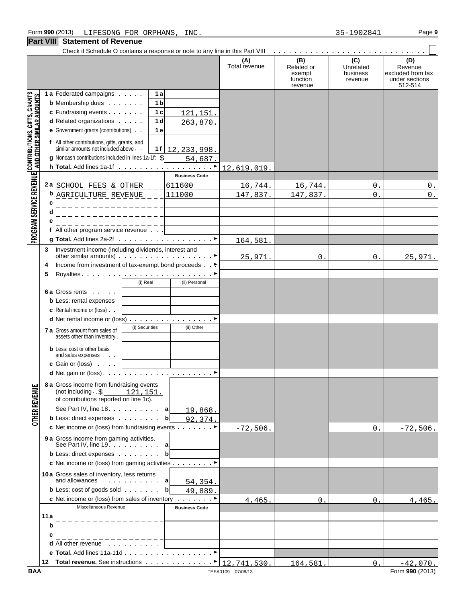#### **Part VIII Statement of Revenue**

|                                                                                                           | II GIL VIII I | <b>ORIGINGIN OF IVERGING</b>                                                                                                |                             |                      |                                                    |                                         |                                                                  |
|-----------------------------------------------------------------------------------------------------------|---------------|-----------------------------------------------------------------------------------------------------------------------------|-----------------------------|----------------------|----------------------------------------------------|-----------------------------------------|------------------------------------------------------------------|
|                                                                                                           |               |                                                                                                                             |                             | (A)<br>Total revenue | (B)<br>Related or<br>exempt<br>function<br>revenue | (C)<br>Unrelated<br>business<br>revenue | (D)<br>Revenue<br>excluded from tax<br>under sections<br>512-514 |
|                                                                                                           |               | 1 a Federated campaigns                                                                                                     | 1 a                         |                      |                                                    |                                         |                                                                  |
|                                                                                                           |               | <b>b</b> Membership dues                                                                                                    | 1 b                         |                      |                                                    |                                         |                                                                  |
|                                                                                                           |               | c Fundraising events                                                                                                        | 1 <sub>c</sub><br>121, 151. |                      |                                                    |                                         |                                                                  |
|                                                                                                           |               | d Related organizations                                                                                                     | 1 d<br>263,870.             |                      |                                                    |                                         |                                                                  |
|                                                                                                           |               | e Government grants (contributions)                                                                                         | 1 e                         |                      |                                                    |                                         |                                                                  |
| PROGRAM SERVICE REVENUE CONTRIBUTIONS, GIFTS, GRANTS<br>PROGRAM SERVICE REVENUE AND OTHER SIMILAR AMOUNTS |               | f All other contributions, gifts, grants, and<br>similar amounts not included above.                                        | $1f$   12, 233, 998.        |                      |                                                    |                                         |                                                                  |
|                                                                                                           |               | g Noncash contributions included in lines 1a-1f: \$                                                                         | 54,687.                     |                      |                                                    |                                         |                                                                  |
|                                                                                                           |               |                                                                                                                             |                             | 12,619,019.          |                                                    |                                         |                                                                  |
|                                                                                                           |               |                                                                                                                             | <b>Business Code</b>        |                      |                                                    |                                         |                                                                  |
|                                                                                                           |               | 2a SCHOOL FEES & OTHER                                                                                                      | 611600                      | 16,744.              | 16,744.                                            | 0.                                      | $0$ .                                                            |
|                                                                                                           |               | <b>b</b> AGRICULTURE REVENUE $_{-}$                                                                                         | 111000                      | 147,837.             | 147,837.                                           | 0.                                      | $0_{\perp}$                                                      |
|                                                                                                           | c             | ________________                                                                                                            |                             |                      |                                                    |                                         |                                                                  |
|                                                                                                           | d             | ________________                                                                                                            |                             |                      |                                                    |                                         |                                                                  |
|                                                                                                           |               | ________________<br>f All other program service revenue $\ldots$                                                            |                             |                      |                                                    |                                         |                                                                  |
|                                                                                                           |               |                                                                                                                             |                             |                      |                                                    |                                         |                                                                  |
|                                                                                                           |               |                                                                                                                             |                             | 164,581.             |                                                    |                                         |                                                                  |
|                                                                                                           | 3             | Investment income (including dividends, interest and<br>other similar amounts) $\cdots$ $\cdots$ $\cdots$ $\cdots$ $\cdots$ |                             | 25,971.              | $0$ .                                              | 0.                                      | 25,971.                                                          |
|                                                                                                           | 4             | Income from investment of tax-exempt bond proceeds                                                                          |                             |                      |                                                    |                                         |                                                                  |
|                                                                                                           | 5             |                                                                                                                             |                             |                      |                                                    |                                         |                                                                  |
|                                                                                                           |               | (i) Real                                                                                                                    | (ii) Personal               |                      |                                                    |                                         |                                                                  |
|                                                                                                           |               | 6 a Gross rents                                                                                                             |                             |                      |                                                    |                                         |                                                                  |
|                                                                                                           |               | <b>b</b> Less: rental expenses                                                                                              |                             |                      |                                                    |                                         |                                                                  |
|                                                                                                           |               | <b>c</b> Rental income or (loss).                                                                                           |                             |                      |                                                    |                                         |                                                                  |
|                                                                                                           |               | d Net rental income or (loss)                                                                                               |                             |                      |                                                    |                                         |                                                                  |
|                                                                                                           |               | (i) Securities<br><b>7 a</b> Gross amount from sales of                                                                     | (ii) Other                  |                      |                                                    |                                         |                                                                  |
|                                                                                                           |               | assets other than inventory.                                                                                                |                             |                      |                                                    |                                         |                                                                  |
|                                                                                                           |               | <b>b</b> Less: cost or other basis                                                                                          |                             |                      |                                                    |                                         |                                                                  |
|                                                                                                           |               | and sales expenses                                                                                                          |                             |                      |                                                    |                                         |                                                                  |
|                                                                                                           |               | <b>c</b> Gain or (loss) $\cdots$                                                                                            |                             |                      |                                                    |                                         |                                                                  |
|                                                                                                           |               |                                                                                                                             |                             |                      |                                                    |                                         |                                                                  |
|                                                                                                           |               | 8 a Gross income from fundraising events<br>(not including $\cdot$ \$ 121, 151.                                             |                             |                      |                                                    |                                         |                                                                  |
|                                                                                                           |               | of contributions reported on line 1c).                                                                                      |                             |                      |                                                    |                                         |                                                                  |
|                                                                                                           |               | See Part IV, line 18. a                                                                                                     | 19,868.                     |                      |                                                    |                                         |                                                                  |
| <b>OTHER REVENUE</b>                                                                                      |               | <b>b</b> Less: direct expenses                                                                                              | bl<br>92,374.               |                      |                                                    |                                         |                                                                  |
|                                                                                                           |               | c Net income or (loss) from fundraising events $\ldots$                                                                     |                             | $-72,506.$           |                                                    | 0.                                      | $-72,506.$                                                       |
|                                                                                                           |               | <b>9 a</b> Gross income from gaming activities.<br>See Part IV, line 19. $\ldots$ . $\ldots$ a                              |                             |                      |                                                    |                                         |                                                                  |
|                                                                                                           |               | <b>b</b> Less: direct expenses                                                                                              | bl                          |                      |                                                    |                                         |                                                                  |
|                                                                                                           |               | c Net income or (loss) from gaming activities $\dots$ $\blacktriangleright$                                                 |                             |                      |                                                    |                                         |                                                                  |
|                                                                                                           |               | 10a Gross sales of inventory, less returns                                                                                  |                             |                      |                                                    |                                         |                                                                  |
|                                                                                                           |               | and allowances $\cdots$ $\cdots$ a                                                                                          | 54, 354.                    |                      |                                                    |                                         |                                                                  |
|                                                                                                           |               | <b>b</b> Less: cost of goods sold $\cdots$                                                                                  | b<br>49,889.                |                      |                                                    |                                         |                                                                  |
|                                                                                                           |               | c Net income or (loss) from sales of inventory ▶                                                                            |                             | 4,465.               | 0.                                                 | 0.                                      | 4,465.                                                           |
|                                                                                                           |               | Miscellaneous Revenue                                                                                                       | <b>Business Code</b>        |                      |                                                    |                                         |                                                                  |
|                                                                                                           | 11 a          |                                                                                                                             |                             |                      |                                                    |                                         |                                                                  |
|                                                                                                           | b             |                                                                                                                             |                             |                      |                                                    |                                         |                                                                  |
|                                                                                                           |               |                                                                                                                             |                             |                      |                                                    |                                         |                                                                  |
|                                                                                                           |               | d All other revenue<br>e Total. Add lines 11a-11d                                                                           |                             |                      |                                                    |                                         |                                                                  |
|                                                                                                           |               | 12 Total revenue. See instructions $\cdots \cdots \cdots \cdots$   12,741,530.                                              |                             |                      |                                                    |                                         |                                                                  |
|                                                                                                           |               |                                                                                                                             |                             |                      | 164,581.                                           | $0$ .                                   | $-42,070.$                                                       |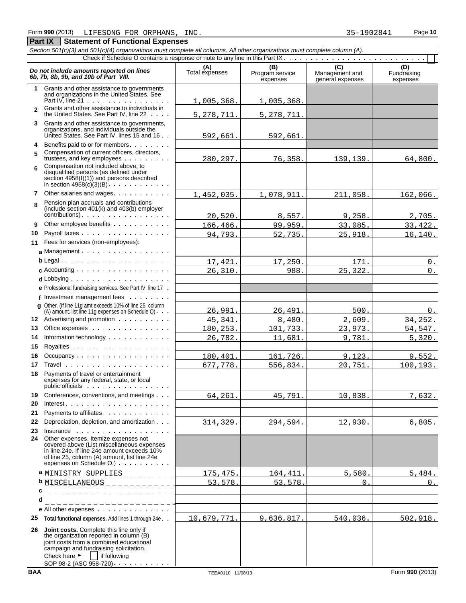#### *Section 501(c)(3) and 501(c)(4) organizations must complete all columns. All other organizations must complete column (A).* Check if Schedule O contains a response or note to any line in this Part IX **Do not include amounts reported on lines**<br> **(A)** (A) (B) (C) (C) (D)<br> **6b, 7b, 8b, 9b, and 10b of Part VIII.** Total expenses Program service Management and Fundraising<br>
expenses expenses expenses expenses **1** Grants and other assistance to governments and organizations in the United States. See Part IV, line 21 . . . . . . . . . . . . . . . . **2** Grants and other assistance to individuals in the United States. See Part IV, line 22 **3** Grants and other assistance to governments, organizations, and individuals outside the United States. See Part IV, lines 15 and 16  $\cdot$  . **4** Benefits paid to or for members **5** Compensation of current officers, directors, trustees, and key employees . . . . . . . . Compensation not included above, to **6** disqualified persons (as defined under section 4958(f)(1)) and persons described in section  $4958(c)(3)(B)$ . . . . . . . . . . . **7** Other salaries and wages Pension plan accruals and contributions **8** (include section 401(k) and 403(b) employer contributions). **9** Other employee benefits . . . . . . . . . . . **10** Payroll taxes **11** Fees for services (non-employees): a Management . . . . . . . . . . . . . . . . . **b** Legal **c** Accounting **d** Lobbying **e** Professional fundraising services. See Part IV, line 17 **f** Investment management fees **g** Other. (If line 11g amt exceeds 10% of line 25, column  $(A)$  amount, list line 11g expenses on Schedule O)  $\cdots$ **12** Advertising and promotion **13** Office expenses **14** Information technology **15** Royalties 16 Occupancy . . . . . . . . . . . . . . . . . . **17** Travel **18** Payments of travel or entertainment expenses for any federal, state, or local public officials : . . . . . . . . . . . . . . . . 19 Conferences, conventions, and meetings . . . **20** Interest **21** Payments to affiliates **22** Depreciation, depletion, and amortization **23** Insurance **24** Other expenses. Itemize expenses not covered above (List miscellaneous expenses in line 24e. If line 24e amount exceeds 10% of line 25, column (A) amount, list line 24e expenses on Schedule O.) **a** <u>MINISTRY SUPPLIES</u> \_ \_ \_ \_ \_ \_ \_ <del>\_ \_ \_ \_ \_ 175,475. 164,411. 5,580. 5,484. 5,484.</del> **b** MISCELLANEOUS 53,578. 53,578. 0. 0.**c d e** All other expenses **25 Total functional expenses.** Add lines 1 through 24e **26 Joint costs.** Complete this line only if the organization reported in column (B) joint costs from a combined educational campaign and fundraising solicitation. Check here  $\blacktriangleright$  if following SOP 98-2 (ASC 958-720) . . . . 1,005,368. 1,005,368. 5, 278, 711. 5, 278, 711 592,661. 592,661. 280,297. 76,358. 139,139. 64,800. 1,452,035. 1,078,911. 211,058. 162,066. 20,520. 8,557. 9,258. 2,705. 166,466. 99,959. 33,085. 33,422. 94,793. 52,735. 25,918. 16,140. 17,421. 17,250. 171. 0. 26,310. 988. 25,322. 0. 26,991. 26,491. 500. 500. 0. 45,341. 8,480. 2,609. 34,252. 180,253. 101,733. 23,973. 54,547. 26,782. 11,681. 9,781. 5,320. 180,401. 161,726. 9,123. 9,552. 677,778. 556,834. 20,751. 100,193. 64,261. 45,791. 10,838. 7,632. 314,329. 294,594. 12,930. 6,805. 10,679,771. 9,636,817. 540,036. 502,918.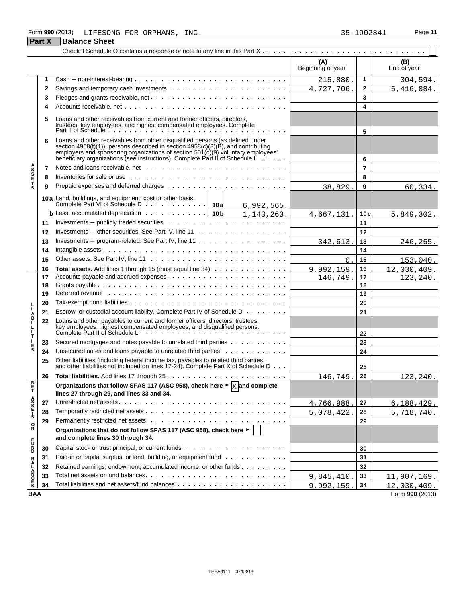#### Form **990** (2013) Page **11** LIFESONG FOR ORPHANS, INC. 35-1902841

**Part X** Balance Sheet

|                            | $\mathbf{r}$ and $\mathbf{r}$ | וסטומוטס טווסט                                                                                                                                                                                                                                                                                                                           |                   |                |                    |
|----------------------------|-------------------------------|------------------------------------------------------------------------------------------------------------------------------------------------------------------------------------------------------------------------------------------------------------------------------------------------------------------------------------------|-------------------|----------------|--------------------|
|                            |                               |                                                                                                                                                                                                                                                                                                                                          | (A)               |                |                    |
|                            |                               |                                                                                                                                                                                                                                                                                                                                          | Beginning of year |                | (B)<br>End of year |
|                            | 1                             |                                                                                                                                                                                                                                                                                                                                          | 215,880.          | 1              | 304,594.           |
|                            | 2                             |                                                                                                                                                                                                                                                                                                                                          | 4,727,706.        | 2              | 5,416,884.         |
|                            | 3                             |                                                                                                                                                                                                                                                                                                                                          |                   | 3              |                    |
|                            |                               |                                                                                                                                                                                                                                                                                                                                          |                   | 4              |                    |
|                            | 5                             | Loans and other receivables from current and former officers, directors,                                                                                                                                                                                                                                                                 |                   |                |                    |
|                            |                               | trustees, key employees, and highest compensated employees. Complete<br>Part II of Schedule L                                                                                                                                                                                                                                            |                   | 5              |                    |
|                            | 6                             | Loans and other receivables from other disqualified persons (as defined under<br>section 4958(f)(1)), persons described in section 4958(c)(3)(B), and contributing<br>employers and sponsoring organizations of section $501(c)(9)$ voluntary employees'<br>beneficiary organizations (see instructions). Complete Part II of Schedule L |                   | 6              |                    |
|                            | 7                             |                                                                                                                                                                                                                                                                                                                                          |                   | $\overline{7}$ |                    |
| <b>ASSETS</b>              | 8                             | Inventories for sale or use with an array and a series and array and array and the series of the series of the                                                                                                                                                                                                                           |                   | 8              |                    |
|                            | 9                             |                                                                                                                                                                                                                                                                                                                                          | 38,829            | 9              | 60, 334.           |
|                            |                               | 10a Land, buildings, and equipment: cost or other basis.                                                                                                                                                                                                                                                                                 |                   |                |                    |
|                            |                               | Complete Part VI of Schedule D 10a<br>6,992,565.                                                                                                                                                                                                                                                                                         |                   |                |                    |
|                            |                               | <b>b</b> Less: accumulated depreciation $\cdots \cdots \cdots \cdots$   10b   1, 143, 263.                                                                                                                                                                                                                                               | 4,667,131         | 10c            | 5,849,302.         |
|                            | 11                            |                                                                                                                                                                                                                                                                                                                                          |                   | 11             |                    |
|                            | 12                            |                                                                                                                                                                                                                                                                                                                                          |                   | 12             |                    |
|                            | 13                            | Investments – program-related. See Part IV, line $11 \cdot \cdot \cdot \cdot \cdot \cdot \cdot \cdot \cdot \cdot \cdot \cdot \cdot \cdot \cdot \cdot \cdot \cdot$                                                                                                                                                                        | 342,613           | 13             | 246,255.           |
|                            | 14                            |                                                                                                                                                                                                                                                                                                                                          |                   | 14             |                    |
|                            | 15                            |                                                                                                                                                                                                                                                                                                                                          | $\Omega$          | 15             | 153,040.           |
|                            | 16                            | Total assets. Add lines 1 through 15 (must equal line 34)                                                                                                                                                                                                                                                                                | 9,992,159         | 16             | 12,030,409.        |
|                            | 17                            |                                                                                                                                                                                                                                                                                                                                          | 146,749.          | 17             | 123, 240.          |
|                            | 18                            |                                                                                                                                                                                                                                                                                                                                          |                   | 18             |                    |
|                            | 19                            | Deferred revenue www.assets.com/www.assets.com/www.assets.com/www.assets.com/www.assets.com/www.assets.com/www.                                                                                                                                                                                                                          |                   | 19             |                    |
|                            | 20                            |                                                                                                                                                                                                                                                                                                                                          |                   | 20             |                    |
| A<br>B                     | 21                            | Escrow or custodial account liability. Complete Part IV of Schedule D                                                                                                                                                                                                                                                                    |                   | 21             |                    |
| г<br>L<br>L                | 22                            | Loans and other payables to current and former officers, directors, trustees,<br>key employees, highest compensated employees, and disqualified persons.                                                                                                                                                                                 |                   | 22             |                    |
| т                          | 23                            | Secured mortgages and notes payable to unrelated third parties                                                                                                                                                                                                                                                                           |                   | 23             |                    |
| Е<br>S                     | 24                            | Unsecured notes and loans payable to unrelated third parties                                                                                                                                                                                                                                                                             |                   | 24             |                    |
|                            | 25                            | Other liabilities (including federal income tax, payables to related third parties,<br>and other liabilities not included on lines 17-24). Complete Part X of Schedule D                                                                                                                                                                 |                   | 25             |                    |
|                            | 26                            |                                                                                                                                                                                                                                                                                                                                          | 146,749           | 26             | 123,240.           |
| N<br>Ë                     |                               | Organizations that follow SFAS 117 (ASC 958), check here $\blacktriangleright \boxed{\chi}$ and complete                                                                                                                                                                                                                                 |                   |                |                    |
|                            |                               | lines 27 through 29, and lines 33 and 34.                                                                                                                                                                                                                                                                                                |                   |                |                    |
|                            | 27                            |                                                                                                                                                                                                                                                                                                                                          | 4,766,988.        | 27             | <u>6,188,429.</u>  |
| A<br>S<br>T<br>S<br>T<br>S | 28                            |                                                                                                                                                                                                                                                                                                                                          | 5,078,422.        | 28             | 5,718,740.         |
|                            | 29                            |                                                                                                                                                                                                                                                                                                                                          |                   | 29             |                    |
| o<br>R                     |                               | Organizations that do not follow SFAS 117 (ASC 958), check here ►  <br>and complete lines 30 through 34.                                                                                                                                                                                                                                 |                   |                |                    |
| <b>PDZC</b>                | 30                            |                                                                                                                                                                                                                                                                                                                                          |                   | 30             |                    |
|                            | 31                            | Paid-in or capital surplus, or land, building, or equipment fund                                                                                                                                                                                                                                                                         |                   | 31             |                    |
|                            | 32                            | Retained earnings, endowment, accumulated income, or other funds                                                                                                                                                                                                                                                                         |                   | 32             |                    |
| <b>BALANCES</b>            | 33                            |                                                                                                                                                                                                                                                                                                                                          | 9,845,410.        | 33             | 11,907,169.        |
|                            | 34                            |                                                                                                                                                                                                                                                                                                                                          | 9,992,159.        | 34             | 12,030,409.        |
| <b>BAA</b>                 |                               |                                                                                                                                                                                                                                                                                                                                          |                   |                | Form 990 (2013)    |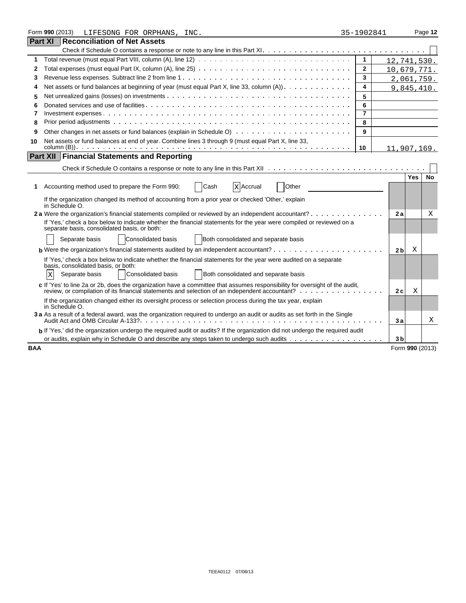|            | Form 990 (2013)<br>LIFESONG FOR ORPHANS, INC.                                                                                                                                                                                 | 35-1902841     |                |                 | Page 12   |
|------------|-------------------------------------------------------------------------------------------------------------------------------------------------------------------------------------------------------------------------------|----------------|----------------|-----------------|-----------|
|            | <b>Part XI Reconciliation of Net Assets</b>                                                                                                                                                                                   |                |                |                 |           |
|            |                                                                                                                                                                                                                               |                |                |                 |           |
| 1          |                                                                                                                                                                                                                               | 1              |                | 12,741,530.     |           |
| 2          |                                                                                                                                                                                                                               | $\mathbf{2}$   |                | 10,679,771.     |           |
| 3          |                                                                                                                                                                                                                               | 3              |                | 2,061,759.      |           |
| 4          | Net assets or fund balances at beginning of year (must equal Part X, line 33, column (A))                                                                                                                                     | 4              |                | 9,845,410.      |           |
| 5          |                                                                                                                                                                                                                               | 5              |                |                 |           |
| 6          |                                                                                                                                                                                                                               | 6              |                |                 |           |
| 7          |                                                                                                                                                                                                                               | $\overline{7}$ |                |                 |           |
| 8          |                                                                                                                                                                                                                               | 8              |                |                 |           |
| 9          |                                                                                                                                                                                                                               | 9              |                |                 |           |
| 10         | Net assets or fund balances at end of year. Combine lines 3 through 9 (must equal Part X, line 33,                                                                                                                            |                |                |                 |           |
|            |                                                                                                                                                                                                                               | 10             |                | 11,907,169.     |           |
|            | <b>Part XII Financial Statements and Reporting</b>                                                                                                                                                                            |                |                |                 |           |
|            |                                                                                                                                                                                                                               |                |                |                 |           |
|            |                                                                                                                                                                                                                               |                |                | <b>Yes</b>      | <b>No</b> |
| 1          | Other<br>Accounting method used to prepare the Form 990:<br>Cash<br>X Accrual                                                                                                                                                 |                |                |                 |           |
|            | If the organization changed its method of accounting from a prior year or checked 'Other,' explain<br>in Schedule O.                                                                                                          |                |                |                 |           |
|            | 2 a Were the organization's financial statements compiled or reviewed by an independent accountant?                                                                                                                           |                | 2a             |                 | X         |
|            | If 'Yes,' check a box below to indicate whether the financial statements for the year were compiled or reviewed on a<br>separate basis, consolidated basis, or both:                                                          |                |                |                 |           |
|            | Consolidated basis<br>Both consolidated and separate basis<br>Separate basis                                                                                                                                                  |                |                |                 |           |
|            | <b>b</b> Were the organization's financial statements audited by an independent accountant? $\cdots$ , $\cdots$ , $\cdots$ , $\cdots$ , $\cdots$                                                                              |                | 2 <sub>b</sub> | Χ               |           |
|            | If 'Yes,' check a box below to indicate whether the financial statements for the year were audited on a separate                                                                                                              |                |                |                 |           |
|            | basis, consolidated basis, or both:<br><b>Consolidated basis</b><br>Both consolidated and separate basis<br>Separate basis<br>X                                                                                               |                |                |                 |           |
|            |                                                                                                                                                                                                                               |                |                |                 |           |
|            | c If 'Yes' to line 2a or 2b, does the organization have a committee that assumes responsibility for oversight of the audit,<br>review, or compilation of its financial statements and selection of an independent accountant? |                | 2c             | Χ               |           |
|            | If the organization changed either its oversight process or selection process during the tax year, explain<br>in Schedule O.                                                                                                  |                |                |                 |           |
|            | 3 a As a result of a federal award, was the organization required to undergo an audit or audits as set forth in the Single                                                                                                    |                | 3a             |                 | Χ         |
|            | b If 'Yes,' did the organization undergo the required audit or audits? If the organization did not undergo the required audit                                                                                                 |                |                |                 |           |
|            |                                                                                                                                                                                                                               |                | 3 <sub>b</sub> |                 |           |
| <b>BAA</b> |                                                                                                                                                                                                                               |                |                | Form 990 (2013) |           |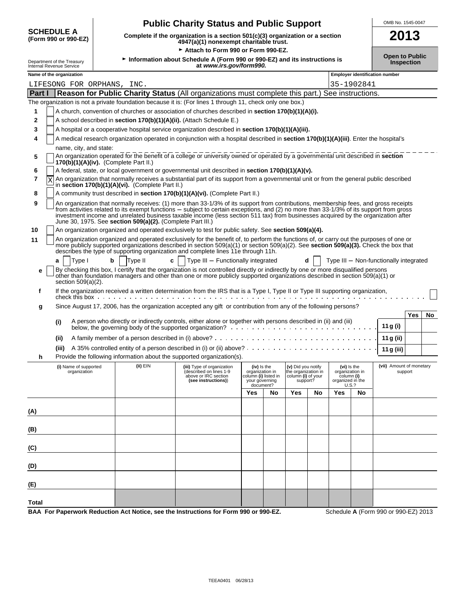|              |                                                        |   |                                                                                                                                 | <b>Public Charity Status and Public Support</b>                                                                                                                                                                                                                                                                                                                                                                      |                                                                          |           |                                                                             |    |                                |                                         | OMB No. 1545-0047                      |            |    |
|--------------|--------------------------------------------------------|---|---------------------------------------------------------------------------------------------------------------------------------|----------------------------------------------------------------------------------------------------------------------------------------------------------------------------------------------------------------------------------------------------------------------------------------------------------------------------------------------------------------------------------------------------------------------|--------------------------------------------------------------------------|-----------|-----------------------------------------------------------------------------|----|--------------------------------|-----------------------------------------|----------------------------------------|------------|----|
|              | <b>SCHEDULE A</b><br>(Form 990 or 990-EZ)              |   | 2013<br>Complete if the organization is a section 501(c)(3) organization or a section<br>4947(a)(1) nonexempt charitable trust. |                                                                                                                                                                                                                                                                                                                                                                                                                      |                                                                          |           |                                                                             |    |                                |                                         |                                        |            |    |
|              |                                                        |   |                                                                                                                                 | Attach to Form 990 or Form 990-EZ.                                                                                                                                                                                                                                                                                                                                                                                   |                                                                          |           |                                                                             |    |                                |                                         | <b>Open to Public</b>                  |            |    |
|              | Department of the Treasury<br>Internal Revenue Service |   |                                                                                                                                 | Information about Schedule A (Form 990 or 990-EZ) and its instructions is<br>at www.irs.gov/form990.                                                                                                                                                                                                                                                                                                                 |                                                                          |           |                                                                             |    |                                |                                         |                                        | Inspection |    |
|              | Name of the organization                               |   |                                                                                                                                 |                                                                                                                                                                                                                                                                                                                                                                                                                      |                                                                          |           |                                                                             |    |                                |                                         | Employer identification number         |            |    |
|              | LIFESONG FOR ORPHANS, INC.                             |   |                                                                                                                                 |                                                                                                                                                                                                                                                                                                                                                                                                                      |                                                                          |           |                                                                             |    |                                | 35-1902841                              |                                        |            |    |
| Part I       |                                                        |   |                                                                                                                                 | Reason for Public Charity Status (All organizations must complete this part.) See instructions.                                                                                                                                                                                                                                                                                                                      |                                                                          |           |                                                                             |    |                                |                                         |                                        |            |    |
|              |                                                        |   |                                                                                                                                 | The organization is not a private foundation because it is: (For lines 1 through 11, check only one box.)                                                                                                                                                                                                                                                                                                            |                                                                          |           |                                                                             |    |                                |                                         |                                        |            |    |
| 1            |                                                        |   |                                                                                                                                 | A church, convention of churches or association of churches described in <b>section 170(b)(1)(A)(i).</b>                                                                                                                                                                                                                                                                                                             |                                                                          |           |                                                                             |    |                                |                                         |                                        |            |    |
| 2            |                                                        |   |                                                                                                                                 | A school described in section 170(b)(1)(A)(ii). (Attach Schedule E.)                                                                                                                                                                                                                                                                                                                                                 |                                                                          |           |                                                                             |    |                                |                                         |                                        |            |    |
| 3            |                                                        |   |                                                                                                                                 | A hospital or a cooperative hospital service organization described in section 170(b)(1)(A)(iii).                                                                                                                                                                                                                                                                                                                    |                                                                          |           |                                                                             |    |                                |                                         |                                        |            |    |
| 4            |                                                        |   |                                                                                                                                 | A medical research organization operated in conjunction with a hospital described in section 170(b)(1)(A)(iii). Enter the hospital's                                                                                                                                                                                                                                                                                 |                                                                          |           |                                                                             |    |                                |                                         |                                        |            |    |
|              | name, city, and state:                                 |   |                                                                                                                                 |                                                                                                                                                                                                                                                                                                                                                                                                                      |                                                                          |           |                                                                             |    |                                |                                         |                                        |            |    |
| 5            |                                                        |   | 170(b)(1)(A)(iv). (Complete Part II.)                                                                                           | An organization operated for the benefit of a college or university owned or operated by a governmental unit described in section                                                                                                                                                                                                                                                                                    |                                                                          |           |                                                                             |    |                                |                                         |                                        |            |    |
| 6            |                                                        |   |                                                                                                                                 | A federal, state, or local government or governmental unit described in section 170(b)(1)(A)(v).                                                                                                                                                                                                                                                                                                                     |                                                                          |           |                                                                             |    |                                |                                         |                                        |            |    |
| 7<br>Χ       |                                                        |   | in section 170(b)(1)(A)(vi). (Complete Part II.)                                                                                | An organization that normally receives a substantial part of its support from a governmental unit or from the general public described                                                                                                                                                                                                                                                                               |                                                                          |           |                                                                             |    |                                |                                         |                                        |            |    |
| 8            |                                                        |   |                                                                                                                                 | A community trust described in section 170(b)(1)(A)(vi). (Complete Part II.)                                                                                                                                                                                                                                                                                                                                         |                                                                          |           |                                                                             |    |                                |                                         |                                        |            |    |
| 9            |                                                        |   | June 30, 1975. See section 509(a)(2). (Complete Part III.)                                                                      | An organization that normally receives: (1) more than 33-1/3% of its support from contributions, membership fees, and gross receipts<br>from activities related to its exempt functions – subject to certain exceptions, and (2) no more than 33-1/3% of its support from gross<br>investment income and unrelated business taxable income (less section 511 tax) from businesses acquired by the organization after |                                                                          |           |                                                                             |    |                                |                                         |                                        |            |    |
| 10           |                                                        |   |                                                                                                                                 | An organization organized and operated exclusively to test for public safety. See section 509(a)(4).                                                                                                                                                                                                                                                                                                                 |                                                                          |           |                                                                             |    |                                |                                         |                                        |            |    |
| 11           |                                                        |   |                                                                                                                                 | An organization organized and operated exclusively for the benefit of, to perform the functions of, or carry out the purposes of one or<br>more publicly supported organizations described in section $509(a)(1)$ or section $509(a)(2)$ . See section $509(a)(3)$ . Check the box that<br>describes the type of supporting organization and complete lines 11e through 11h.                                         |                                                                          |           |                                                                             |    |                                |                                         |                                        |            |    |
| е            | Type I<br>a<br>section $509(a)(2)$ .                   | b | Type II                                                                                                                         | Type III - Functionally integrated<br>c<br>By checking this box, I certify that the organization is not controlled directly or indirectly by one or more disqualified persons<br>other than foundation managers and other than one or more publicly supported organizations described in section 509(a)(1) or                                                                                                        |                                                                          |           |                                                                             | d  |                                |                                         | Type III - Non-functionally integrated |            |    |
| f            |                                                        |   | check this box $\cdots$ $\cdots$ $\cdots$ $\cdots$ $\cdots$                                                                     | If the organization received a written determination from the IRS that is a Type I, Type II or Type III supporting organization,                                                                                                                                                                                                                                                                                     |                                                                          |           |                                                                             |    |                                |                                         |                                        |            |    |
| g            |                                                        |   |                                                                                                                                 | Since August 17, 2006, has the organization accepted any gift or contribution from any of the following persons?                                                                                                                                                                                                                                                                                                     |                                                                          |           |                                                                             |    |                                |                                         |                                        |            |    |
|              |                                                        |   |                                                                                                                                 | A person who directly or indirectly controls, either alone or together with persons described in (ii) and (iii)                                                                                                                                                                                                                                                                                                      |                                                                          |           |                                                                             |    |                                |                                         |                                        | Yes        | No |
|              | (i)                                                    |   |                                                                                                                                 |                                                                                                                                                                                                                                                                                                                                                                                                                      |                                                                          |           |                                                                             |    |                                |                                         | 11 g (i)                               |            |    |
|              | (ii)                                                   |   |                                                                                                                                 |                                                                                                                                                                                                                                                                                                                                                                                                                      |                                                                          |           |                                                                             |    |                                |                                         | 11 g (ii)                              |            |    |
| h            | (iii)                                                  |   |                                                                                                                                 | Provide the following information about the supported organization(s).                                                                                                                                                                                                                                                                                                                                               |                                                                          |           |                                                                             |    |                                |                                         | 11 g (iii)                             |            |    |
|              | (i) Name of supported<br>organization                  |   | (ii) EIN                                                                                                                        | (iii) Type of organization<br>(described on lines 1-9<br>above or IRC section<br>(see instructions))                                                                                                                                                                                                                                                                                                                 | (iv) is the<br>organization in<br>column (i) listed in<br>your governing | document? | (v) Did you notify<br>the organization in<br>column (i) of your<br>support? |    | column (i)<br>organized in the | (vi) is the<br>organization in<br>U.S.? | (vii) Amount of monetary               | support    |    |
|              |                                                        |   |                                                                                                                                 |                                                                                                                                                                                                                                                                                                                                                                                                                      | Yes                                                                      | No        | Yes                                                                         | No | Yes                            | No                                      |                                        |            |    |
| (A)          |                                                        |   |                                                                                                                                 |                                                                                                                                                                                                                                                                                                                                                                                                                      |                                                                          |           |                                                                             |    |                                |                                         |                                        |            |    |
|              |                                                        |   |                                                                                                                                 |                                                                                                                                                                                                                                                                                                                                                                                                                      |                                                                          |           |                                                                             |    |                                |                                         |                                        |            |    |
| (B)          |                                                        |   |                                                                                                                                 |                                                                                                                                                                                                                                                                                                                                                                                                                      |                                                                          |           |                                                                             |    |                                |                                         |                                        |            |    |
| (C)          |                                                        |   |                                                                                                                                 |                                                                                                                                                                                                                                                                                                                                                                                                                      |                                                                          |           |                                                                             |    |                                |                                         |                                        |            |    |
| (D)          |                                                        |   |                                                                                                                                 |                                                                                                                                                                                                                                                                                                                                                                                                                      |                                                                          |           |                                                                             |    |                                |                                         |                                        |            |    |
| (E)          |                                                        |   |                                                                                                                                 |                                                                                                                                                                                                                                                                                                                                                                                                                      |                                                                          |           |                                                                             |    |                                |                                         |                                        |            |    |
| <b>Total</b> |                                                        |   |                                                                                                                                 |                                                                                                                                                                                                                                                                                                                                                                                                                      |                                                                          |           |                                                                             |    |                                |                                         |                                        |            |    |

**BAA For Paperwork Reduction Act Notice, see the Instructions for Form 990 or 990-EZ.** Schedule **A** (Form 990 or 990-EZ) 2013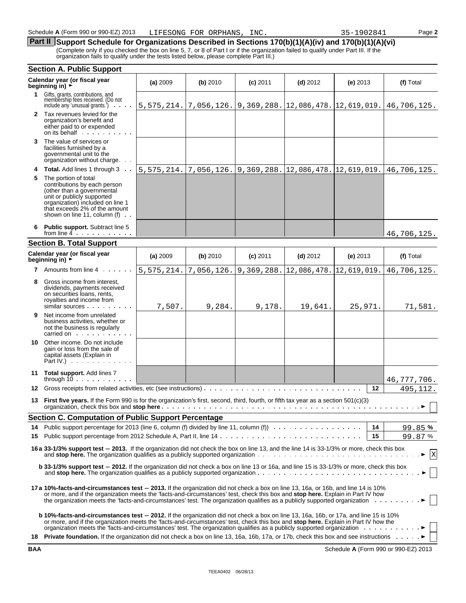## **Part II** Support Schedule for Organizations Described in Sections 170(b)(1)(A)(iv) and 170(b)(1)(A)(vi) (Complete only if you checked the box on line 5, 7, or 8 of Part I or if the organization failed to qualify under Part III. If the

organization fails to qualify under the tests listed below, please complete Part III.)

|     | <b>Section A. Public Support</b>                                                                                                                                                                                                                                                                                                                                                                  |            |            |                          |                                                                    |             |             |
|-----|---------------------------------------------------------------------------------------------------------------------------------------------------------------------------------------------------------------------------------------------------------------------------------------------------------------------------------------------------------------------------------------------------|------------|------------|--------------------------|--------------------------------------------------------------------|-------------|-------------|
|     | Calendar year (or fiscal year<br>beginning in) $\rightarrow$                                                                                                                                                                                                                                                                                                                                      | (a) 2009   | (b) 2010   | $(c)$ 2011               | $(d)$ 2012                                                         | $(e)$ 2013  | (f) Total   |
|     | 1 Gifts, grants, contributions, and<br>membership fees received. (Do not<br>include any 'unusual grants.')                                                                                                                                                                                                                                                                                        |            |            |                          | 5, 575, 214. 7, 056, 126. 9, 369, 288. 12, 086, 478. 12, 619, 019. |             | 46,706,125. |
|     | 2 Tax revenues levied for the<br>organization's benefit and<br>either paid to or expended<br>on its behalf                                                                                                                                                                                                                                                                                        |            |            |                          |                                                                    |             |             |
| 3   | The value of services or<br>facilities furnished by a<br>governmental unit to the<br>organization without charge                                                                                                                                                                                                                                                                                  |            |            |                          |                                                                    |             |             |
| 4   | <b>Total.</b> Add lines 1 through 3                                                                                                                                                                                                                                                                                                                                                               | 5,575,214. | 7,056,126. | $9,369,288.$ 12,086,478. |                                                                    | 12,619,019. | 46,706,125. |
| 5   | The portion of total<br>contributions by each person<br>(other than a governmental<br>unit or publicly supported<br>organization) included on line 1<br>that exceeds 2% of the amount<br>shown on line 11, column $(f)$ .                                                                                                                                                                         |            |            |                          |                                                                    |             |             |
|     | Public support. Subtract line 5<br>from line $4 \cdot \cdot \cdot \cdot \cdot \cdot$                                                                                                                                                                                                                                                                                                              |            |            |                          |                                                                    |             | 46,706,125. |
|     | <b>Section B. Total Support</b>                                                                                                                                                                                                                                                                                                                                                                   |            |            |                          |                                                                    |             |             |
|     | Calendar year (or fiscal year<br>beginning in) $\rightarrow$                                                                                                                                                                                                                                                                                                                                      | (a) 2009   | (b) 2010   | $(c)$ 2011               | $(d)$ 2012                                                         | $(e)$ 2013  | (f) Total   |
|     | 7 Amounts from line 4.                                                                                                                                                                                                                                                                                                                                                                            | 5,575,214. | 7,056,126. | 9,369,288.               | 12,086,478.                                                        | 12,619,019. | 46,706,125. |
| 8   | Gross income from interest,<br>dividends, payments received<br>on securities loans, rents,<br>royalties and income from<br>similar sources                                                                                                                                                                                                                                                        | 7,507.     | 9,284.     | 9,178.                   | 19,641.                                                            | 25,971.     | 71,581.     |
| 9.  | Net income from unrelated<br>business activities, whether or<br>not the business is regularly<br>carried on the carried on the care of the care of the care of the care of the care of the care of the care of the care of the care of the care of the care of the care of the care of the care of the care of the care of the                                                                    |            |            |                          |                                                                    |             |             |
| 10. | Other income. Do not include<br>gain or loss from the sale of<br>capital assets (Explain in<br>Part $IV.$ ) $\ldots$ $\ldots$                                                                                                                                                                                                                                                                     |            |            |                          |                                                                    |             |             |
|     | 11 Total support. Add lines 7<br>through $10 \ldots \ldots$                                                                                                                                                                                                                                                                                                                                       |            |            |                          |                                                                    |             | 46,777,706. |
| 12  | Gross receipts from related activities, etc (see instructions)                                                                                                                                                                                                                                                                                                                                    |            |            |                          |                                                                    | 12          | 495,112.    |
| 13  | First five years. If the Form 990 is for the organization's first, second, third, fourth, or fifth tax year as a section 501(c)(3)                                                                                                                                                                                                                                                                |            |            |                          |                                                                    |             |             |
|     | <b>Section C. Computation of Public Support Percentage</b>                                                                                                                                                                                                                                                                                                                                        |            |            |                          |                                                                    |             |             |
| 14  | Public support percentage for 2013 (line 6, column (f) divided by line 11, column (f) $\cdots$                                                                                                                                                                                                                                                                                                    |            |            |                          |                                                                    | 14          | 99.85%      |
| 15  |                                                                                                                                                                                                                                                                                                                                                                                                   |            |            |                          |                                                                    | 15          | 99.87%      |
|     | 16 a 33-1/3% support test - 2013. If the organization did not check the box on line 13, and the line 14 is 33-1/3% or more, check this box                                                                                                                                                                                                                                                        |            |            |                          |                                                                    |             | $\vert x$   |
|     | <b>b</b> 33-1/3% support test - 2012. If the organization did not check a box on line 13 or 16a, and line 15 is 33-1/3% or more, check this box                                                                                                                                                                                                                                                   |            |            |                          |                                                                    |             |             |
|     | 17a 10%-facts-and-circumstances test – 2013. If the organization did not check a box on line 13, 16a, or 16b, and line 14 is 10%<br>or more, and if the organization meets the 'facts-and-circumstances' test, check this box and stop here. Explain in Part IV how<br>the organization meets the 'facts-and-circumstances' test. The organization qualifies as a publicly supported organization |            |            |                          |                                                                    |             |             |
|     | <b>b 10%-facts-and-circumstances test – 2012.</b> If the organization did not check a box on line 13, 16a, 16b, or 17a, and line 15 is 10%<br>or more, and if the organization meets the 'facts-and-circumstances' test, check this box and stop here. Explain in Part IV how the                                                                                                                 |            |            |                          |                                                                    |             |             |
|     | 18 Private foundation. If the organization did not check a box on line 13, 16a, 16b, 17a, or 17b, check this box and see instructions •                                                                                                                                                                                                                                                           |            |            |                          |                                                                    |             |             |

**BAA** Schedule **A** (Form 990 or 990-EZ) 2013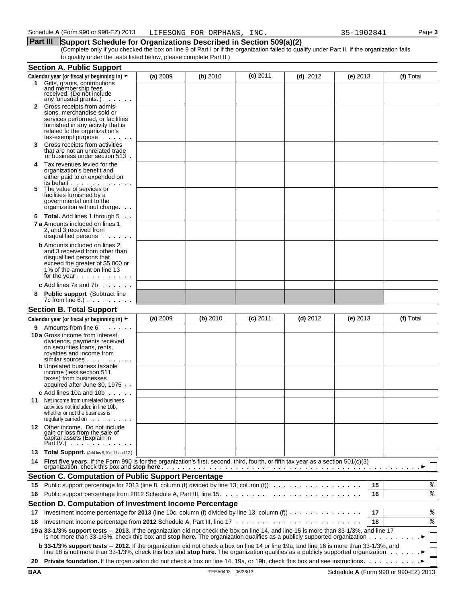#### **Part III** Support Schedule for Organizations Described in Section 509(a)(2)

(Complete only if you checked the box on line 9 of Part I or if the organization failed to qualify under Part II. If the organization fails to qualify under the tests listed below, please complete Part II.)

|    | <b>Section A. Public Support</b>                                                                                                                                                                                                                                                    |          |          |            |            |          |    |           |
|----|-------------------------------------------------------------------------------------------------------------------------------------------------------------------------------------------------------------------------------------------------------------------------------------|----------|----------|------------|------------|----------|----|-----------|
|    | Calendar year (or fiscal yr beginning in) ►                                                                                                                                                                                                                                         | (a) 2009 | (b) 2010 | $(c)$ 2011 | $(d)$ 2012 | (e) 2013 |    | (f) Total |
|    | 1 Gifts, grants, contributions<br>and membership fees<br>received. (Do not include<br>any 'unusual grants.') $\cdots$                                                                                                                                                               |          |          |            |            |          |    |           |
| 2  | Gross receipts from admis-<br>sions, merchandise sold or<br>services performed, or facilities<br>furnished in any activity that is<br>related to the organization's                                                                                                                 |          |          |            |            |          |    |           |
| 3  | $tax$ -exempt purpose $\ldots$<br>Gross receipts from activities<br>that are not an unrelated trade<br>or business under section 513.                                                                                                                                               |          |          |            |            |          |    |           |
| 4  | Tax revenues levied for the<br>organization's benefit and<br>either paid to or expended on<br>its behalf                                                                                                                                                                            |          |          |            |            |          |    |           |
| 5  | The value of services or<br>facilities furnished by a<br>governmental unit to the<br>organization without charge                                                                                                                                                                    |          |          |            |            |          |    |           |
| 6  | <b>Total.</b> Add lines 1 through 5                                                                                                                                                                                                                                                 |          |          |            |            |          |    |           |
|    | <b>7 a</b> Amounts included on lines 1.<br>2. and 3 received from<br>disqualified persons                                                                                                                                                                                           |          |          |            |            |          |    |           |
|    | <b>b</b> Amounts included on lines 2<br>and 3 received from other than<br>disqualified persons that<br>exceed the greater of \$5,000 or<br>1% of the amount on line 13<br>for the year $\cdots$                                                                                     |          |          |            |            |          |    |           |
|    | <b>c</b> Add lines 7a and 7b $\ldots$                                                                                                                                                                                                                                               |          |          |            |            |          |    |           |
| 8  | <b>Public support</b> (Subtract line<br>$7c$ from line $6.$ ) $\ldots$ $\ldots$ $\ldots$                                                                                                                                                                                            |          |          |            |            |          |    |           |
|    | <b>Section B. Total Support</b>                                                                                                                                                                                                                                                     |          |          |            |            |          |    |           |
|    | Calendar year (or fiscal yr beginning in) ►                                                                                                                                                                                                                                         | (a) 2009 | (b) 2010 | $(c)$ 2011 | $(d)$ 2012 | (e) 2013 |    | (f) Total |
| 9. | Amounts from line 6                                                                                                                                                                                                                                                                 |          |          |            |            |          |    |           |
|    | <b>10 a</b> Gross income from interest,<br>dividends, payments received<br>on securities loans, rents,<br>royalties and income from<br>similar sources<br><b>b</b> Unrelated business taxable<br>income (less section 511<br>taxes) from businesses<br>acquired after June 30, 1975 |          |          |            |            |          |    |           |
|    | $c$ Add lines 10a and 10b $\ldots$                                                                                                                                                                                                                                                  |          |          |            |            |          |    |           |
| 11 | Net income from unrelated business<br>activities not included in line 10b,<br>whether or not the business is<br>requiarly carried on                                                                                                                                                |          |          |            |            |          |    |           |
|    | 12 Other income. Do not include<br>gain or loss from the sale of<br>čapital assets (Explain in<br>Part IV.) $\cdots$                                                                                                                                                                |          |          |            |            |          |    |           |
| 13 | <b>Total Support.</b> (Add Ins $9,10c$ , 11 and 12.)                                                                                                                                                                                                                                |          |          |            |            |          |    |           |
|    | 14 First five years. If the Form 990 is for the organization's first, second, third, fourth, or fifth tax year as a section 501(c)(3)                                                                                                                                               |          |          |            |            |          |    |           |
|    | <b>Section C. Computation of Public Support Percentage</b>                                                                                                                                                                                                                          |          |          |            |            |          |    |           |
| 15 | Public support percentage for 2013 (line 8, column (f) divided by line 13, column (f))                                                                                                                                                                                              |          |          |            |            |          | 15 | %         |
| 16 |                                                                                                                                                                                                                                                                                     |          |          |            |            |          | 16 | ್ಠಿ       |
|    | Section D. Computation of Investment Income Percentage                                                                                                                                                                                                                              |          |          |            |            |          |    |           |
| 17 | Investment income percentage for 2013 (line 10c, column (f) divided by line 13, column (f)) $\cdots$                                                                                                                                                                                |          |          |            |            |          | 17 | శి        |
| 18 |                                                                                                                                                                                                                                                                                     |          |          |            |            |          | 18 | %         |
|    | 19 a 33-1/3% support tests - 2013. If the organization did not check the box on line 14, and line 15 is more than 33-1/3%, and line 17<br>is not more than 33-1/3%, check this box and stop here. The organization qualifies as a publicly supported organization                   |          |          |            |            |          |    |           |
|    | b 33-1/3% support tests - 2012. If the organization did not check a box on line 14 or line 19a, and line 16 is more than 33-1/3%, and<br>line 18 is not more than 33-1/3%, check this box and stop here. The organization qualifies as a publicly supported organization            |          |          |            |            |          |    |           |
| 20 |                                                                                                                                                                                                                                                                                     |          |          |            |            |          |    |           |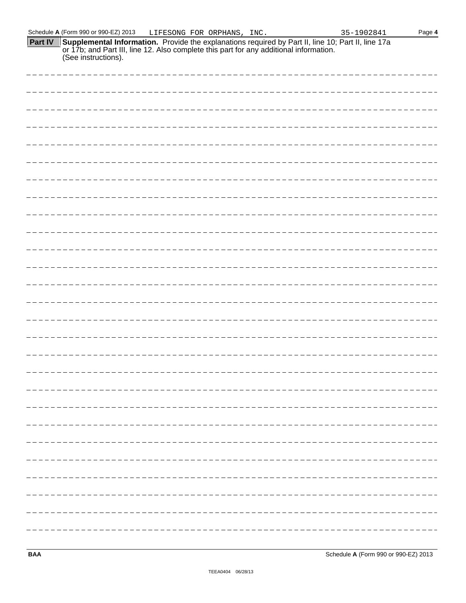|         | Schedule A (Form 990 or 990-EZ) 2013                                                                                                                                                                                 | LIFESONG FOR ORPHANS, INC. |  | 35-1902841 | Page 4 |
|---------|----------------------------------------------------------------------------------------------------------------------------------------------------------------------------------------------------------------------|----------------------------|--|------------|--------|
| Part IV | Supplemental Information. Provide the explanations required by Part II, line 10; Part II, line 17a<br>Tor 17b; and Part III, line 12. Also complete this part for any additional information.<br>(See instructions). |                            |  |            |        |
|         |                                                                                                                                                                                                                      |                            |  |            |        |
|         |                                                                                                                                                                                                                      |                            |  |            |        |
|         |                                                                                                                                                                                                                      |                            |  |            |        |
|         |                                                                                                                                                                                                                      |                            |  |            |        |
|         |                                                                                                                                                                                                                      |                            |  |            |        |
|         |                                                                                                                                                                                                                      |                            |  |            |        |
|         |                                                                                                                                                                                                                      |                            |  |            |        |
|         |                                                                                                                                                                                                                      |                            |  |            |        |
|         |                                                                                                                                                                                                                      |                            |  |            |        |
|         |                                                                                                                                                                                                                      |                            |  |            |        |
|         |                                                                                                                                                                                                                      |                            |  |            |        |
|         |                                                                                                                                                                                                                      |                            |  |            |        |
|         |                                                                                                                                                                                                                      |                            |  |            |        |
|         |                                                                                                                                                                                                                      |                            |  |            |        |
|         |                                                                                                                                                                                                                      |                            |  |            |        |
|         |                                                                                                                                                                                                                      |                            |  |            |        |
|         |                                                                                                                                                                                                                      |                            |  |            |        |
|         |                                                                                                                                                                                                                      |                            |  |            |        |
|         |                                                                                                                                                                                                                      |                            |  |            |        |
|         |                                                                                                                                                                                                                      |                            |  |            |        |
|         |                                                                                                                                                                                                                      |                            |  |            |        |
|         |                                                                                                                                                                                                                      |                            |  |            |        |
|         |                                                                                                                                                                                                                      |                            |  |            |        |
|         |                                                                                                                                                                                                                      |                            |  |            |        |
|         |                                                                                                                                                                                                                      |                            |  |            |        |
|         |                                                                                                                                                                                                                      |                            |  |            |        |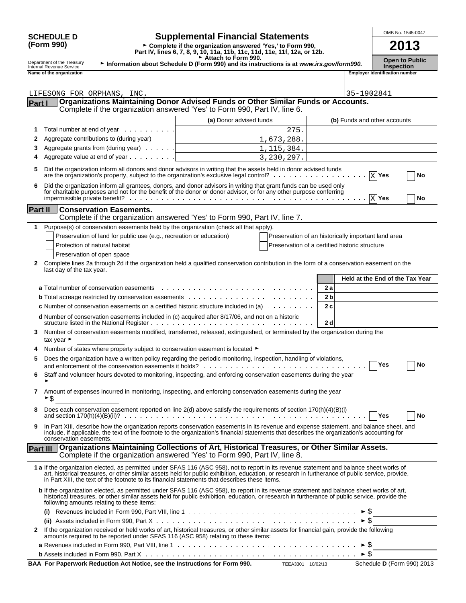# **(Form 990)**

# **SCHEDULE D**  $\begin{bmatrix} \text{OMB No. 1545-0047} \\ \text{OMB No. 1545-0047} \end{bmatrix}$

**Part IV, lines 6, 7, 8, 9, 10, 11a, 11b, 11c, 11d, 11e, 11f, 12a, or 12b.**<br>
Part IV, lines 6, 7, 8, 9, 10, 11a, 11b, 11c, 11d, 11e, 11f, 12a, or 12b.

**Department of the Treasury be Information about Schedule D (Form 990) and its instructions is at** *www.irs.gov/form990.* **Open to Public Inspection<br>Internal Revenue Service <b>Inspection** 

| <b>Open to Publi</b> |  |  |
|----------------------|--|--|
| Insnection           |  |  |

| Department of the Treasury<br>Internal Revenue Service |
|--------------------------------------------------------|
| Namo of the organization                               |

|                | Name of the organization                                                                                                                                                                                                                                                                                                                                                                        |                         |              | <b>Employer identification number</b>               |    |
|----------------|-------------------------------------------------------------------------------------------------------------------------------------------------------------------------------------------------------------------------------------------------------------------------------------------------------------------------------------------------------------------------------------------------|-------------------------|--------------|-----------------------------------------------------|----|
|                |                                                                                                                                                                                                                                                                                                                                                                                                 |                         |              |                                                     |    |
|                | LIFESONG FOR ORPHANS, INC.                                                                                                                                                                                                                                                                                                                                                                      |                         |              | 35-1902841                                          |    |
| Part I         | Organizations Maintaining Donor Advised Funds or Other Similar Funds or Accounts.                                                                                                                                                                                                                                                                                                               |                         |              |                                                     |    |
|                | Complete if the organization answered 'Yes' to Form 990, Part IV, line 6.                                                                                                                                                                                                                                                                                                                       |                         |              |                                                     |    |
|                |                                                                                                                                                                                                                                                                                                                                                                                                 | (a) Donor advised funds |              | (b) Funds and other accounts                        |    |
| 1              | Total number at end of year $\ldots$                                                                                                                                                                                                                                                                                                                                                            |                         | 275.         |                                                     |    |
| 2              | Aggregate contributions to (during year)                                                                                                                                                                                                                                                                                                                                                        |                         | 1,673,288.   |                                                     |    |
| 3              | Aggregate grants from (during year)                                                                                                                                                                                                                                                                                                                                                             |                         |              |                                                     |    |
|                |                                                                                                                                                                                                                                                                                                                                                                                                 |                         | 1, 115, 384. |                                                     |    |
|                | Aggregate value at end of year $\ldots$                                                                                                                                                                                                                                                                                                                                                         |                         | 3,230,297.   |                                                     |    |
| 5              | Did the organization inform all donors and donor advisors in writing that the assets held in donor advised funds                                                                                                                                                                                                                                                                                |                         |              | $X$ Yes                                             | No |
| 6              | Did the organization inform all grantees, donors, and donor advisors in writing that grant funds can be used only<br>for charitable purposes and not for the benefit of the donor or donor advisor, or for any other purpose conferring                                                                                                                                                         |                         |              | $X$ Yes                                             | No |
| <b>Part II</b> | <b>Conservation Easements.</b><br>Complete if the organization answered 'Yes' to Form 990, Part IV, line 7.                                                                                                                                                                                                                                                                                     |                         |              |                                                     |    |
| 1              | Purpose(s) of conservation easements held by the organization (check all that apply).                                                                                                                                                                                                                                                                                                           |                         |              |                                                     |    |
|                | Preservation of land for public use (e.g., recreation or education)                                                                                                                                                                                                                                                                                                                             |                         |              | Preservation of an historically important land area |    |
|                | Protection of natural habitat                                                                                                                                                                                                                                                                                                                                                                   |                         |              | Preservation of a certified historic structure      |    |
|                | Preservation of open space                                                                                                                                                                                                                                                                                                                                                                      |                         |              |                                                     |    |
| 2              | Complete lines 2a through 2d if the organization held a qualified conservation contribution in the form of a conservation easement on the<br>last day of the tax year.                                                                                                                                                                                                                          |                         |              |                                                     |    |
|                |                                                                                                                                                                                                                                                                                                                                                                                                 |                         |              | Held at the End of the Tax Year                     |    |
|                |                                                                                                                                                                                                                                                                                                                                                                                                 |                         |              | 2a                                                  |    |
|                |                                                                                                                                                                                                                                                                                                                                                                                                 |                         |              | 2 <sub>b</sub>                                      |    |
|                | <b>c</b> Number of conservation easements on a certified historic structure included in (a) $\ldots \ldots \ldots$                                                                                                                                                                                                                                                                              |                         |              | 2c                                                  |    |
|                | d Number of conservation easements included in (c) acquired after 8/17/06, and not on a historic                                                                                                                                                                                                                                                                                                |                         |              | 2d                                                  |    |
| 3              | Number of conservation easements modified, transferred, released, extinguished, or terminated by the organization during the<br>tax year $\blacktriangleright$                                                                                                                                                                                                                                  |                         |              |                                                     |    |
| 4              | Number of states where property subject to conservation easement is located ►                                                                                                                                                                                                                                                                                                                   |                         |              |                                                     |    |
| 5              | Does the organization have a written policy regarding the periodic monitoring, inspection, handling of violations,                                                                                                                                                                                                                                                                              |                         |              | Yes                                                 | No |
| 6              | Staff and volunteer hours devoted to monitoring, inspecting, and enforcing conservation easements during the year                                                                                                                                                                                                                                                                               |                         |              |                                                     |    |
|                |                                                                                                                                                                                                                                                                                                                                                                                                 |                         |              |                                                     |    |
| 7              | Amount of expenses incurred in monitoring, inspecting, and enforcing conservation easements during the year<br>► \$                                                                                                                                                                                                                                                                             |                         |              |                                                     |    |
|                | Does each conservation easement reported on line 2(d) above satisfy the requirements of section 170(h)(4)(B)(i)                                                                                                                                                                                                                                                                                 |                         |              | <b>Yes</b>                                          | No |
| 9              | In Part XIII, describe how the organization reports conservation easements in its revenue and expense statement, and balance sheet, and<br>include, if applicable, the text of the footnote to the organization's financial statements that describes the organization's accounting for<br>conservation easements.                                                                              |                         |              |                                                     |    |
|                | Organizations Maintaining Collections of Art, Historical Treasures, or Other Similar Assets.<br>Part III<br>Complete if the organization answered 'Yes' to Form 990, Part IV, line 8.                                                                                                                                                                                                           |                         |              |                                                     |    |
|                |                                                                                                                                                                                                                                                                                                                                                                                                 |                         |              |                                                     |    |
|                | 1 a If the organization elected, as permitted under SFAS 116 (ASC 958), not to report in its revenue statement and balance sheet works of<br>art, historical treasures, or other similar assets held for public exhibition, education, or research in furtherance of public service, provide,<br>in Part XIII, the text of the footnote to its financial statements that describes these items. |                         |              |                                                     |    |
|                | b If the organization elected, as permitted under SFAS 116 (ASC 958), to report in its revenue statement and balance sheet works of art,<br>historical treasures, or other similar assets held for public exhibition, education, or research in furtherance of public service, provide the<br>following amounts relating to these items:                                                        |                         |              |                                                     |    |
|                |                                                                                                                                                                                                                                                                                                                                                                                                 |                         |              |                                                     |    |
|                |                                                                                                                                                                                                                                                                                                                                                                                                 |                         |              | $\triangleright$ \$                                 |    |
| 2              | If the organization received or held works of art, historical treasures, or other similar assets for financial gain, provide the following<br>amounts required to be reported under SFAS 116 (ASC 958) relating to these items:                                                                                                                                                                 |                         |              |                                                     |    |
|                |                                                                                                                                                                                                                                                                                                                                                                                                 |                         |              |                                                     |    |
|                |                                                                                                                                                                                                                                                                                                                                                                                                 |                         |              |                                                     |    |

| BAA For Paperwork Reduction Act Notice, see the Instructions for Form 990. | TEEA3301 10/02/13 | Schedule <b>D</b> (Form 990) 2013 |
|----------------------------------------------------------------------------|-------------------|-----------------------------------|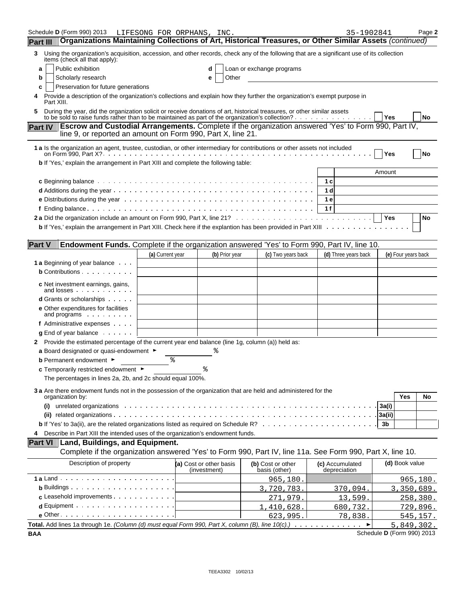| Schedule <b>D</b> (Form 990) 2013                                                                                                                                                            | LIFESONG FOR ORPHANS, INC. |    |                         |                                    | 35-1902841           |              |                     | Page 2          |
|----------------------------------------------------------------------------------------------------------------------------------------------------------------------------------------------|----------------------------|----|-------------------------|------------------------------------|----------------------|--------------|---------------------|-----------------|
| Organizations Maintaining Collections of Art, Historical Treasures, or Other Similar Assets (continued)<br><b>Part III</b>                                                                   |                            |    |                         |                                    |                      |              |                     |                 |
| Using the organization's acquisition, accession, and other records, check any of the following that are a significant use of its collection<br>3<br>items (check all that apply):            |                            |    |                         |                                    |                      |              |                     |                 |
| Public exhibition<br>a                                                                                                                                                                       |                            |    | d                       | Loan or exchange programs          |                      |              |                     |                 |
| Scholarly research<br>b                                                                                                                                                                      |                            |    | Other<br>е              |                                    |                      |              |                     |                 |
| Preservation for future generations<br>c                                                                                                                                                     |                            |    |                         |                                    |                      |              |                     |                 |
| Provide a description of the organization's collections and explain how they further the organization's exempt purpose in<br>4<br>Part XIII.                                                 |                            |    |                         |                                    |                      |              |                     |                 |
| During the year, did the organization solicit or receive donations of art, historical treasures, or other similar assets                                                                     |                            |    |                         |                                    |                      | Yes          |                     | No              |
| <b>Escrow and Custodial Arrangements.</b> Complete if the organization answered 'Yes' to Form 990, Part IV,<br><b>Part IV</b><br>line 9, or reported an amount on Form 990, Part X, line 21. |                            |    |                         |                                    |                      |              |                     |                 |
| 1 a Is the organization an agent, trustee, custodian, or other intermediary for contributions or other assets not included                                                                   |                            |    |                         |                                    |                      | Yes          |                     | <b>No</b>       |
| b If 'Yes,' explain the arrangement in Part XIII and complete the following table:                                                                                                           |                            |    |                         |                                    |                      |              |                     |                 |
|                                                                                                                                                                                              |                            |    |                         |                                    |                      | Amount       |                     |                 |
|                                                                                                                                                                                              |                            |    |                         |                                    | 1 c                  |              |                     |                 |
|                                                                                                                                                                                              |                            |    |                         |                                    | 1 <sub>d</sub>       |              |                     |                 |
|                                                                                                                                                                                              |                            |    |                         |                                    | 1 e                  |              |                     |                 |
|                                                                                                                                                                                              |                            |    |                         |                                    | 1f                   | Yes          |                     |                 |
| b If 'Yes,' explain the arrangement in Part XIII. Check here if the explantion has been provided in Part XIII                                                                                |                            |    |                         |                                    |                      |              |                     | No              |
|                                                                                                                                                                                              |                            |    |                         |                                    |                      |              |                     |                 |
| <b>Part V</b><br>Endowment Funds. Complete if the organization answered 'Yes' to Form 990, Part IV, line 10.                                                                                 |                            |    |                         |                                    |                      |              |                     |                 |
|                                                                                                                                                                                              | (a) Current year           |    | (b) Prior year          | (c) Two years back                 | (d) Three years back |              | (e) Four years back |                 |
| <b>1 a</b> Beginning of year balance                                                                                                                                                         |                            |    |                         |                                    |                      |              |                     |                 |
| <b>b</b> Contributions                                                                                                                                                                       |                            |    |                         |                                    |                      |              |                     |                 |
| <b>c</b> Net investment earnings, gains,<br>and losses                                                                                                                                       |                            |    |                         |                                    |                      |              |                     |                 |
| <b>d</b> Grants or scholarships                                                                                                                                                              |                            |    |                         |                                    |                      |              |                     |                 |
| <b>e</b> Other expenditures for facilities<br>and programs                                                                                                                                   |                            |    |                         |                                    |                      |              |                     |                 |
| f Administrative expenses                                                                                                                                                                    |                            |    |                         |                                    |                      |              |                     |                 |
| $g$ End of year balance $\ldots$ .                                                                                                                                                           |                            |    |                         |                                    |                      |              |                     |                 |
| 2 Provide the estimated percentage of the current year end balance (line 1g, column (a)) held as:                                                                                            |                            |    |                         |                                    |                      |              |                     |                 |
| a Board designated or quasi-endowment $\blacktriangleright$                                                                                                                                  |                            |    |                         |                                    |                      |              |                     |                 |
| <b>b</b> Permanent endowment ►                                                                                                                                                               |                            | နွ |                         |                                    |                      |              |                     |                 |
| c Temporarily restricted endowment $\blacktriangleright$                                                                                                                                     |                            |    |                         |                                    |                      |              |                     |                 |
| The percentages in lines 2a, 2b, and 2c should equal 100%.                                                                                                                                   |                            |    |                         |                                    |                      |              |                     |                 |
| 3 a Are there endowment funds not in the possession of the organization that are held and administered for the                                                                               |                            |    |                         |                                    |                      |              |                     |                 |
| organization by:                                                                                                                                                                             |                            |    |                         |                                    |                      |              | Yes                 | No              |
| (i)                                                                                                                                                                                          |                            |    |                         |                                    |                      | 3a(i)        |                     |                 |
|                                                                                                                                                                                              |                            |    |                         |                                    |                      | 3a(ii)<br>3b |                     |                 |
| Describe in Part XIII the intended uses of the organization's endowment funds.<br>4                                                                                                          |                            |    |                         |                                    |                      |              |                     |                 |
| Land, Buildings, and Equipment.<br><b>Part VI</b>                                                                                                                                            |                            |    |                         |                                    |                      |              |                     |                 |
| Complete if the organization answered 'Yes' to Form 990, Part IV, line 11a. See Form 990, Part X, line 10.                                                                                   |                            |    |                         |                                    |                      |              |                     |                 |
| Description of property                                                                                                                                                                      |                            |    | (a) Cost or other basis |                                    | (c) Accumulated      |              | (d) Book value      |                 |
|                                                                                                                                                                                              |                            |    | (investment)            | (b) Cost or other<br>basis (other) | depreciation         |              |                     |                 |
|                                                                                                                                                                                              |                            |    |                         | 965,180                            |                      |              |                     | 965, 180.       |
| <b>b</b> Buildings $\cdots$ $\cdots$ $\cdots$ $\cdots$ $\cdots$ $\cdots$                                                                                                                     |                            |    |                         | 3,720,783.                         | 370,094.             |              | 3,350,689.          |                 |
| c Leasehold improvements                                                                                                                                                                     |                            |    |                         | 271,979.                           | 13,599.              |              |                     | <u>258,380.</u> |
| $d$ Equipment $\cdots$ $\cdots$ $\cdots$ $\cdots$ $\cdots$ $\cdots$ $\cdots$                                                                                                                 |                            |    |                         | 1,410,628                          | 680,732.             |              |                     | 729,896.        |
| $e$ Other $\cdots$ $\cdots$ $\cdots$ $\cdots$ $\cdots$ $\cdots$ $\cdots$ $\cdots$                                                                                                            |                            |    |                         | 623,995                            | <u>78,838.</u>       |              |                     | 545,157.        |
| Total. Add lines 1a through 1e. (Column (d) must equal Form 990, Part X, column (B), line 10(c).)                                                                                            |                            |    |                         |                                    |                      |              | 5,849,302.          |                 |

**BAA** Schedule **D** (Form 990) 2013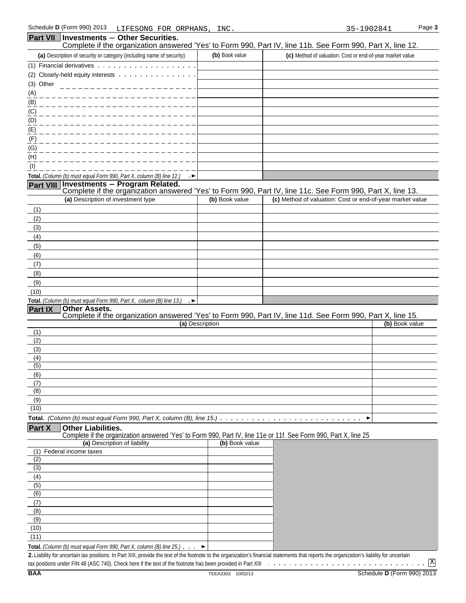| Part VII         | <b>Investments - Other Securities.</b>                                                                                                        |                 | Complete if the organization answered 'Yes' to Form 990, Part IV, line 11b. See Form 990, Part X, line 12.                                   |
|------------------|-----------------------------------------------------------------------------------------------------------------------------------------------|-----------------|----------------------------------------------------------------------------------------------------------------------------------------------|
|                  | (a) Description of security or category (including name of security)                                                                          | (b) Book value  | (c) Method of valuation: Cost or end-of-year market value                                                                                    |
|                  | (1) Financial derivatives                                                                                                                     |                 |                                                                                                                                              |
|                  | (2) Closely-held equity interests                                                                                                             |                 |                                                                                                                                              |
| (3) Other        |                                                                                                                                               |                 |                                                                                                                                              |
| (A)              |                                                                                                                                               |                 |                                                                                                                                              |
| (B)              |                                                                                                                                               |                 |                                                                                                                                              |
| (C)              |                                                                                                                                               |                 |                                                                                                                                              |
| (D)              |                                                                                                                                               |                 |                                                                                                                                              |
| (E)              |                                                                                                                                               |                 |                                                                                                                                              |
| (F)              |                                                                                                                                               |                 |                                                                                                                                              |
| (G)              |                                                                                                                                               |                 |                                                                                                                                              |
| (H)<br>(1)       |                                                                                                                                               |                 |                                                                                                                                              |
|                  | Total. (Column (b) must equal Form 990, Part X, column (B) line 12.)                                                                          |                 |                                                                                                                                              |
| <b>Part VIII</b> | – . ►                                                                                                                                         |                 |                                                                                                                                              |
|                  |                                                                                                                                               |                 | Investments - Program Related.<br>Complete if the organization answered 'Yes' to Form 990, Part IV, line 11c. See Form 990, Part X, line 13. |
|                  | (a) Description of investment type                                                                                                            | (b) Book value  | (c) Method of valuation: Cost or end-of-year market value                                                                                    |
| (1)              |                                                                                                                                               |                 |                                                                                                                                              |
| (2)              |                                                                                                                                               |                 |                                                                                                                                              |
| (3)              |                                                                                                                                               |                 |                                                                                                                                              |
| (4)              |                                                                                                                                               |                 |                                                                                                                                              |
| (5)<br>(6)       |                                                                                                                                               |                 |                                                                                                                                              |
| (7)              |                                                                                                                                               |                 |                                                                                                                                              |
| (8)              |                                                                                                                                               |                 |                                                                                                                                              |
| (9)              |                                                                                                                                               |                 |                                                                                                                                              |
| (10)             |                                                                                                                                               |                 |                                                                                                                                              |
|                  | Total. (Column (b) must equal Form 990, Part X, column (B) line 13.)                                                                          |                 |                                                                                                                                              |
| Part IX          | <b>Other Assets.</b>                                                                                                                          |                 |                                                                                                                                              |
|                  |                                                                                                                                               | (a) Description | Complete if the organization answered 'Yes' to Form 990, Part IV, line 11d. See Form 990, Part X, line 15.<br>(b) Book value                 |
| (1)              |                                                                                                                                               |                 |                                                                                                                                              |
| (2)              |                                                                                                                                               |                 |                                                                                                                                              |
| (3)              |                                                                                                                                               |                 |                                                                                                                                              |
| (4)              |                                                                                                                                               |                 |                                                                                                                                              |
| (5)<br>(6)       |                                                                                                                                               |                 |                                                                                                                                              |
| (7)              |                                                                                                                                               |                 |                                                                                                                                              |
| (8)              |                                                                                                                                               |                 |                                                                                                                                              |
| (9)              |                                                                                                                                               |                 |                                                                                                                                              |
| (10)             |                                                                                                                                               |                 |                                                                                                                                              |
|                  | <b>Total.</b> (Column (b) must equal Form 990, Part X, column (B), line 15.) $\ldots \ldots \ldots \ldots \ldots \ldots \ldots$               |                 | ▶                                                                                                                                            |
| Part X           | <b>Other Liabilities.</b><br>Complete if the organization answered 'Yes' to Form 990, Part IV, line 11e or 11f. See Form 990, Part X, line 25 |                 |                                                                                                                                              |
|                  | (a) Description of liability                                                                                                                  | (b) Book value  |                                                                                                                                              |
| (1)              | Federal income taxes                                                                                                                          |                 |                                                                                                                                              |
| (2)              |                                                                                                                                               |                 |                                                                                                                                              |
| (3)              |                                                                                                                                               |                 |                                                                                                                                              |
| (4)<br>(5)       |                                                                                                                                               |                 |                                                                                                                                              |
| (6)              |                                                                                                                                               |                 |                                                                                                                                              |
| (7)              |                                                                                                                                               |                 |                                                                                                                                              |
| (8)              |                                                                                                                                               |                 |                                                                                                                                              |
| (9)              |                                                                                                                                               |                 |                                                                                                                                              |
| (10)             |                                                                                                                                               |                 |                                                                                                                                              |
| (11)             |                                                                                                                                               |                 |                                                                                                                                              |
|                  | Total. (Column (b) must equal Form 990, Part X, column (B) line 25.) $\ldots$                                                                 |                 |                                                                                                                                              |

2. Liability for uncertain tax positions. In Part XIII, provide the text of the footnote to the organization's financial statements that reports the organization's liability for uncertain tax positions under FIN 48 (ASC 740). Check here if the text of the footnote has been provided in Part XIII  $\ldots \ldots \ldots \ldots \ldots \ldots \ldots$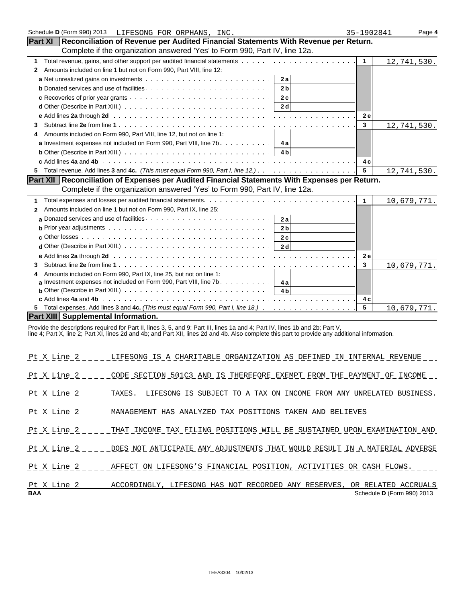| Schedule D (Form 990) 2013<br>LIFESONG FOR ORPHANS, INC.                                                                                                                                                  | 35-1902841     | Page 4      |
|-----------------------------------------------------------------------------------------------------------------------------------------------------------------------------------------------------------|----------------|-------------|
| Reconciliation of Revenue per Audited Financial Statements With Revenue per Return.<br><b>Part XI</b>                                                                                                     |                |             |
| Complete if the organization answered 'Yes' to Form 990, Part IV, line 12a.                                                                                                                               |                |             |
| 1                                                                                                                                                                                                         | $\overline{1}$ | 12,741,530. |
| Amounts included on line 1 but not on Form 990, Part VIII, line 12:<br>2                                                                                                                                  |                |             |
| 2a                                                                                                                                                                                                        |                |             |
| 2 <sub>b</sub>                                                                                                                                                                                            |                |             |
|                                                                                                                                                                                                           |                |             |
| <b>d</b> Other (Describe in Part XIII.) $\ldots \ldots \ldots \ldots \ldots \ldots \ldots \ldots \ldots \ldots \ldots \ldots$   2d                                                                        |                |             |
|                                                                                                                                                                                                           | <b>2e</b>      |             |
| 3                                                                                                                                                                                                         | $\mathbf{3}$   | 12,741,530. |
| Amounts included on Form 990, Part VIII, line 12, but not on line 1:<br>4                                                                                                                                 |                |             |
|                                                                                                                                                                                                           |                |             |
| <b>b</b> Other (Describe in Part XIII.) $\ldots \ldots \ldots \ldots \ldots \ldots \ldots \ldots \ldots \ldots \ldots$   4b                                                                               |                |             |
|                                                                                                                                                                                                           | 4 c            |             |
| 5.                                                                                                                                                                                                        | 5              | 12,741,530. |
| Part XII Reconciliation of Expenses per Audited Financial Statements With Expenses per Return.                                                                                                            |                |             |
| Complete if the organization answered 'Yes' to Form 990, Part IV, line 12a.                                                                                                                               |                |             |
| 1                                                                                                                                                                                                         | $\mathbf{1}$   | 10,679,771. |
| Amounts included on line 1 but not on Form 990, Part IX, line 25:<br>$\mathbf{2}$                                                                                                                         |                |             |
|                                                                                                                                                                                                           |                |             |
| <b>b</b> Prior year adjustments $\ldots \ldots \ldots \ldots \ldots \ldots \ldots \ldots \ldots \ldots \ldots$<br>2 <sub>b</sub>                                                                          |                |             |
|                                                                                                                                                                                                           |                |             |
| <b>d</b> Other (Describe in Part XIII.) $\ldots \ldots \ldots \ldots \ldots \ldots \ldots \ldots \ldots \ldots \ldots$                                                                                    |                |             |
|                                                                                                                                                                                                           | <b>2e</b>      |             |
| 3                                                                                                                                                                                                         | $\mathbf{3}$   | 10,679,771. |
| Amounts included on Form 990, Part IX, line 25, but not on line 1:<br>4                                                                                                                                   |                |             |
| <b>a</b> Investment expenses not included on Form 990, Part VIII, line 7b. $\dots$ 4a                                                                                                                     |                |             |
| <b>b</b> Other (Describe in Part XIII.) $\cdots$ $\cdots$ $\cdots$ $\cdots$ $\cdots$ $\cdots$ $\cdots$ $\cdots$ $\cdots$ $\cdots$ $\cdots$ $\cdots$ $\cdots$ $\cdots$ $\cdots$ $\cdots$ $\cdots$ $\cdots$ |                |             |
|                                                                                                                                                                                                           | 4 c            |             |
| 5.                                                                                                                                                                                                        | 5              | 10,679,771. |
| <b>Part XIII Supplemental Information.</b>                                                                                                                                                                |                |             |

Provide the descriptions required for Part II, lines 3, 5, and 9; Part III, lines 1a and 4; Part IV, lines 1b and 2b; Part V,

line 4; Part X, line 2; Part XI, lines 2d and 4b; and Part XII, lines 2d and 4b. Also complete this part to provide any additional information.

| <b>BAA</b>  | Schedule D (Form 990) 2013                                                                  |
|-------------|---------------------------------------------------------------------------------------------|
| Pt X Line 2 | ACCORDINGLY, LIFESONG HAS NOT RECORDED ANY RESERVES, OR RELATED ACCRUALS                    |
|             | Pt X Line 2 AFFECT ON LIFESONG'S FINANCIAL POSITION, ACTIVITIES OR CASH FLOWS.              |
|             | Pt X Line 2 DOES NOT ANTICIPATE ANY ADJUSTMENTS THAT WOULD RESULT IN A MATERIAL ADVERSE     |
|             | Pt X Line 2 _ _ _ _ THAT INCOME TAX FILING POSITIONS WILL BE SUSTAINED UPON EXAMINATION AND |
|             | Pt X Line 2 MANAGEMENT HAS ANALYZED TAX POSITIONS TAKEN AND BELIEVES                        |
|             | Pt X Line 2 TAXES. LIFESONG IS SUBJECT TO A TAX ON INCOME FROM ANY UNRELATED BUSINESS.      |
|             | Pt X Line 2 CODE SECTION 501C3 AND IS THEREFORE EXEMPT FROM THE PAYMENT OF INCOME           |
|             | Pt X Line 2 LIFESONG IS A CHARITABLE ORGANIZATION AS DEFINED IN INTERNAL REVENUE            |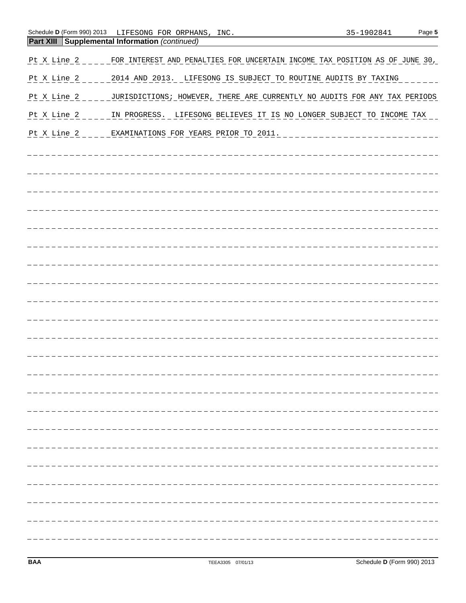| Schedule <b>D</b> (Form 990) 2013                     | LIFESONG FOR ORPHANS, | INC. | 35-1902841 | Page 5 |
|-------------------------------------------------------|-----------------------|------|------------|--------|
| <b>Part XIII Supplemental Information (continued)</b> |                       |      |            |        |

| Pt X Line 2 _ _ _ _ FOR INTEREST AND PENALTIES FOR UNCERTAIN INCOME TAX POSITION AS OF JUNE 30, |
|-------------------------------------------------------------------------------------------------|
| Pt X Line 2 _ _ _ _ 2014 AND 2013. LIFESONG IS SUBJECT TO ROUTINE AUDITS BY TAXING _ _ _ _      |
| Pt X Line 2 _ _ _ _ JURISDICTIONS; HOWEVER, THERE ARE CURRENTLY NO AUDITS FOR ANY TAX PERIODS   |
| Pt X Line 2 _ _ _ _ IN PROGRESS. LIFESONG BELIEVES IT IS NO LONGER SUBJECT TO INCOME TAX        |
|                                                                                                 |
|                                                                                                 |
|                                                                                                 |
|                                                                                                 |
|                                                                                                 |
|                                                                                                 |
|                                                                                                 |
|                                                                                                 |
|                                                                                                 |
|                                                                                                 |
|                                                                                                 |
|                                                                                                 |
|                                                                                                 |
|                                                                                                 |
| _____________________                                                                           |
|                                                                                                 |
|                                                                                                 |
|                                                                                                 |
|                                                                                                 |
|                                                                                                 |
|                                                                                                 |
|                                                                                                 |
|                                                                                                 |
|                                                                                                 |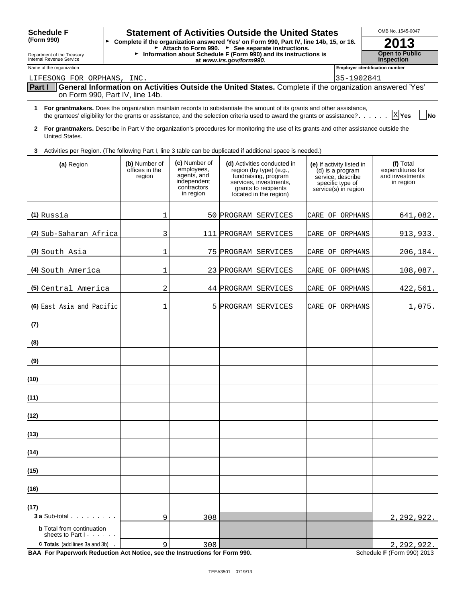| <b>Schedule F</b>                                                              |                                           |                                                                                       | <b>Statement of Activities Outside the United States</b>                                                                                                                                                                                                                 |                                                                                                                | OMB No. 1545-0047                                             |  |  |
|--------------------------------------------------------------------------------|-------------------------------------------|---------------------------------------------------------------------------------------|--------------------------------------------------------------------------------------------------------------------------------------------------------------------------------------------------------------------------------------------------------------------------|----------------------------------------------------------------------------------------------------------------|---------------------------------------------------------------|--|--|
| (Form 990)                                                                     |                                           |                                                                                       | ► Complete if the organization answered 'Yes' on Form 990, Part IV, line 14b, 15, or 16.                                                                                                                                                                                 |                                                                                                                | 2013                                                          |  |  |
| Department of the Treasury<br>Internal Revenue Service                         |                                           |                                                                                       | $\triangleright$ Attach to Form 990. ► See separate instructions.<br>► Information about Schedule F (Form 990) and its instructions is<br>at www.irs.gov/form990.                                                                                                        |                                                                                                                | <b>Open to Public</b><br><b>Inspection</b>                    |  |  |
| Name of the organization                                                       |                                           |                                                                                       |                                                                                                                                                                                                                                                                          |                                                                                                                | <b>Employer identification number</b>                         |  |  |
| LIFESONG FOR ORPHANS, INC.                                                     |                                           |                                                                                       | General Information on Activities Outside the United States. Complete if the organization answered 'Yes'                                                                                                                                                                 | 35-1902841                                                                                                     |                                                               |  |  |
| Part I                                                                         | on Form 990, Part IV, line 14b.           |                                                                                       |                                                                                                                                                                                                                                                                          |                                                                                                                |                                                               |  |  |
| 1                                                                              |                                           |                                                                                       | For grantmakers. Does the organization maintain records to substantiate the amount of its grants and other assistance,<br>the grantees' eligibility for the grants or assistance, and the selection criteria used to award the grants or assistance? $\ldots$ , $x $ Yes |                                                                                                                | <b>No</b>                                                     |  |  |
| United States.                                                                 |                                           |                                                                                       | 2 For grantmakers. Describe in Part V the organization's procedures for monitoring the use of its grants and other assistance outside the                                                                                                                                |                                                                                                                |                                                               |  |  |
| 3.                                                                             |                                           |                                                                                       | Activities per Region. (The following Part I, line 3 table can be duplicated if additional space is needed.)                                                                                                                                                             |                                                                                                                |                                                               |  |  |
| (a) Region                                                                     | (b) Number of<br>offices in the<br>region | (c) Number of<br>employees,<br>agents, and<br>independent<br>contractors<br>in region | (d) Activities conducted in<br>region (by type) (e.g.,<br>fundraising, program<br>services, investments,<br>grants to recipients<br>located in the region)                                                                                                               | (e) If activity listed in<br>(d) is a program<br>service, describe<br>specific type of<br>service(s) in region | (f) Total<br>expenditures for<br>and investments<br>in region |  |  |
| $(1)$ Russia                                                                   | 1                                         |                                                                                       | 50 PROGRAM SERVICES                                                                                                                                                                                                                                                      | CARE OF ORPHANS                                                                                                | 641,082.                                                      |  |  |
| (2) Sub-Saharan Africa                                                         | 3                                         |                                                                                       | 111 PROGRAM SERVICES                                                                                                                                                                                                                                                     | CARE OF ORPHANS                                                                                                | 913,933.                                                      |  |  |
| (3) South Asia                                                                 | 1                                         |                                                                                       | 75 PROGRAM SERVICES                                                                                                                                                                                                                                                      | CARE OF ORPHANS                                                                                                | 206,184.                                                      |  |  |
| (4) South America                                                              | 1                                         |                                                                                       | 23 PROGRAM SERVICES                                                                                                                                                                                                                                                      | CARE OF ORPHANS                                                                                                | 108,087.                                                      |  |  |
| (5) Central America                                                            | 2                                         |                                                                                       | 44 PROGRAM SERVICES                                                                                                                                                                                                                                                      | CARE OF ORPHANS                                                                                                | 422,561.                                                      |  |  |
| (6) East Asia and Pacific                                                      | 1                                         |                                                                                       | 5 PROGRAM SERVICES                                                                                                                                                                                                                                                       | CARE OF ORPHANS                                                                                                | 1,075.                                                        |  |  |
| (7)                                                                            |                                           |                                                                                       |                                                                                                                                                                                                                                                                          |                                                                                                                |                                                               |  |  |
| (8)                                                                            |                                           |                                                                                       |                                                                                                                                                                                                                                                                          |                                                                                                                |                                                               |  |  |
| (9)                                                                            |                                           |                                                                                       |                                                                                                                                                                                                                                                                          |                                                                                                                |                                                               |  |  |
| (10)                                                                           |                                           |                                                                                       |                                                                                                                                                                                                                                                                          |                                                                                                                |                                                               |  |  |
| (11)                                                                           |                                           |                                                                                       |                                                                                                                                                                                                                                                                          |                                                                                                                |                                                               |  |  |
| (12)                                                                           |                                           |                                                                                       |                                                                                                                                                                                                                                                                          |                                                                                                                |                                                               |  |  |
| (13)                                                                           |                                           |                                                                                       |                                                                                                                                                                                                                                                                          |                                                                                                                |                                                               |  |  |
| (14)                                                                           |                                           |                                                                                       |                                                                                                                                                                                                                                                                          |                                                                                                                |                                                               |  |  |
| (15)                                                                           |                                           |                                                                                       |                                                                                                                                                                                                                                                                          |                                                                                                                |                                                               |  |  |
| (16)                                                                           |                                           |                                                                                       |                                                                                                                                                                                                                                                                          |                                                                                                                |                                                               |  |  |
| (17)                                                                           |                                           |                                                                                       |                                                                                                                                                                                                                                                                          |                                                                                                                |                                                               |  |  |
| <b>3 a Sub-total</b> .<br><b>b</b> Total from continuation<br>sheets to Part I | 9                                         | 308                                                                                   |                                                                                                                                                                                                                                                                          |                                                                                                                | 2,292,922.                                                    |  |  |
| <b>c</b> Totals (add lines 3a and 3b)                                          | 9                                         | 308                                                                                   |                                                                                                                                                                                                                                                                          |                                                                                                                | 2,292,922.                                                    |  |  |

BAA For Paperwork Reduction Act Notice, see the Instructions for Form 990. Schedule F (Form 990) 2013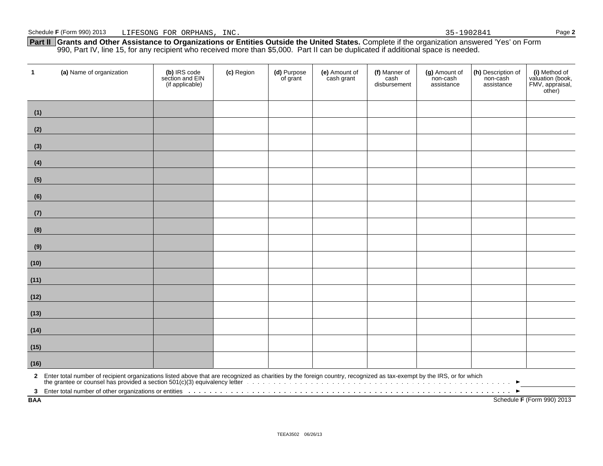**Part II Grants and Other Assistance to Organizations or Entities Outside the United States.** Complete if the organization answered 'Yes' on Form 990, Part IV, line 15, for any recipient who received more than \$5,000. Part II can be duplicated if additional space is needed.

| $\mathbf{1}$              | (a) Name of organization                                                                                                                                                                                                            | (b) IRS code<br>section and EIN<br>(if applicable) | (c) Region | (d) Purpose<br>of grant | (e) Amount of<br>cash grant | (f) Manner of<br>cash<br>disbursement | (g) Amount of<br>non-cash<br>assistance | (h) Description of<br>non-cash<br>assistance | (i) Method of<br>valuation (book,<br>FMV, appraisal,<br>other) |
|---------------------------|-------------------------------------------------------------------------------------------------------------------------------------------------------------------------------------------------------------------------------------|----------------------------------------------------|------------|-------------------------|-----------------------------|---------------------------------------|-----------------------------------------|----------------------------------------------|----------------------------------------------------------------|
| (1)                       |                                                                                                                                                                                                                                     |                                                    |            |                         |                             |                                       |                                         |                                              |                                                                |
| (2)                       |                                                                                                                                                                                                                                     |                                                    |            |                         |                             |                                       |                                         |                                              |                                                                |
| (3)                       |                                                                                                                                                                                                                                     |                                                    |            |                         |                             |                                       |                                         |                                              |                                                                |
| (4)                       |                                                                                                                                                                                                                                     |                                                    |            |                         |                             |                                       |                                         |                                              |                                                                |
| (5)                       |                                                                                                                                                                                                                                     |                                                    |            |                         |                             |                                       |                                         |                                              |                                                                |
| (6)                       |                                                                                                                                                                                                                                     |                                                    |            |                         |                             |                                       |                                         |                                              |                                                                |
| (7)                       |                                                                                                                                                                                                                                     |                                                    |            |                         |                             |                                       |                                         |                                              |                                                                |
| (8)                       |                                                                                                                                                                                                                                     |                                                    |            |                         |                             |                                       |                                         |                                              |                                                                |
| (9)                       |                                                                                                                                                                                                                                     |                                                    |            |                         |                             |                                       |                                         |                                              |                                                                |
| (10)                      |                                                                                                                                                                                                                                     |                                                    |            |                         |                             |                                       |                                         |                                              |                                                                |
| (11)                      |                                                                                                                                                                                                                                     |                                                    |            |                         |                             |                                       |                                         |                                              |                                                                |
| (12)                      |                                                                                                                                                                                                                                     |                                                    |            |                         |                             |                                       |                                         |                                              |                                                                |
| (13)                      |                                                                                                                                                                                                                                     |                                                    |            |                         |                             |                                       |                                         |                                              |                                                                |
| (14)                      |                                                                                                                                                                                                                                     |                                                    |            |                         |                             |                                       |                                         |                                              |                                                                |
| (15)                      |                                                                                                                                                                                                                                     |                                                    |            |                         |                             |                                       |                                         |                                              |                                                                |
| (16)                      |                                                                                                                                                                                                                                     |                                                    |            |                         |                             |                                       |                                         |                                              |                                                                |
|                           | 2 Enter total number of recipient organizations listed above that are recognized as charities by the foreign country, recognized as tax-exempt by the IRS, or for which                                                             |                                                    |            |                         |                             |                                       |                                         |                                              |                                                                |
| $3^{\circ}$<br><b>BAA</b> | Enter total number of other organizations or entities <b>with a construct on the construct of the construct on</b> the construct on the construct on the construct of the construct on the set of the construct of the construct on |                                                    |            |                         |                             |                                       |                                         |                                              | Schedule F (Form 990) 2013                                     |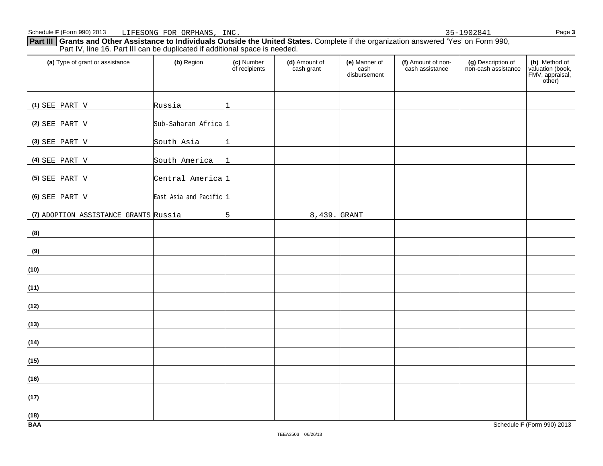**Part III Grants and Other Assistance to Individuals Outside the United States.** Complete if the organization answered 'Yes' on Form 990, Part IV, line 16. Part III can be duplicated if additional space is needed.

| (a) Type of grant or assistance       | (b) Region                   | (c) Number<br>of recipients | (d) Amount of<br>cash grant | (e) Manner of<br>cash<br>disbursement | (f) Amount of non-<br>cash assistance | (g) Description of<br>non-cash assistance | (h) Method of<br>valuation (book,<br>FMV, appraisal,<br>other) |
|---------------------------------------|------------------------------|-----------------------------|-----------------------------|---------------------------------------|---------------------------------------|-------------------------------------------|----------------------------------------------------------------|
| (1) SEE PART V                        | Russia                       | 11                          |                             |                                       |                                       |                                           |                                                                |
| (2) SEE PART V                        | Sub-Saharan Africa 1         |                             |                             |                                       |                                       |                                           |                                                                |
| (3) SEE PART V                        | South Asia                   | 1                           |                             |                                       |                                       |                                           |                                                                |
| (4) SEE PART V                        | South America                | 1                           |                             |                                       |                                       |                                           |                                                                |
| (5) SEE PART V                        | Central America <sub>1</sub> |                             |                             |                                       |                                       |                                           |                                                                |
| (6) SEE PART V                        | East Asia and Pacific 1      |                             |                             |                                       |                                       |                                           |                                                                |
| (7) ADOPTION ASSISTANCE GRANTS Russia |                              | 5                           | 8,439.                      | <b>GRANT</b>                          |                                       |                                           |                                                                |
| (8)                                   |                              |                             |                             |                                       |                                       |                                           |                                                                |
| (9)                                   |                              |                             |                             |                                       |                                       |                                           |                                                                |
| (10)                                  |                              |                             |                             |                                       |                                       |                                           |                                                                |
| (11)                                  |                              |                             |                             |                                       |                                       |                                           |                                                                |
| (12)                                  |                              |                             |                             |                                       |                                       |                                           |                                                                |
| (13)                                  |                              |                             |                             |                                       |                                       |                                           |                                                                |
| (14)                                  |                              |                             |                             |                                       |                                       |                                           |                                                                |
| (15)                                  |                              |                             |                             |                                       |                                       |                                           |                                                                |
| (16)                                  |                              |                             |                             |                                       |                                       |                                           |                                                                |
| (17)                                  |                              |                             |                             |                                       |                                       |                                           |                                                                |
| (18)<br><b>BAA</b>                    |                              |                             |                             |                                       |                                       |                                           | Schedule F (Form 990) 2013                                     |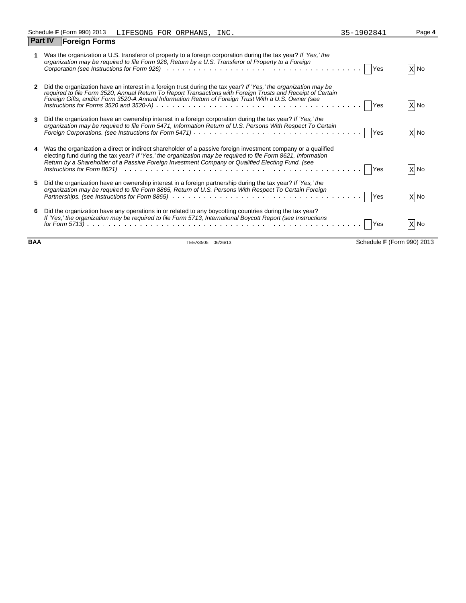|              | Was the organization a U.S. transferor of property to a foreign corporation during the tax year? If 'Yes,' the<br>organization may be required to file Form 926, Return by a U.S. Transferor of Property to a Foreign                                                                                                                                                                                                                                                         | X No     |
|--------------|-------------------------------------------------------------------------------------------------------------------------------------------------------------------------------------------------------------------------------------------------------------------------------------------------------------------------------------------------------------------------------------------------------------------------------------------------------------------------------|----------|
| $\mathbf{2}$ | Did the organization have an interest in a foreign trust during the tax year? If 'Yes,' the organization may be<br>Lequired to file Form 3520, Annual Return To Report Transactions with Foreign Trusts and Receipt of Certain<br>Foreign Gifts, and/or Form 3520-A Annual Information Return of Foreign Trust With a U.S. Owner (see<br>Instructions for Forms 3520 and 3520-A) $\ldots \ldots \ldots \ldots \ldots \ldots \ldots \ldots \ldots \ldots \ldots \ldots \ldots$ | X No     |
| 3            | Did the organization have an ownership interest in a foreign corporation during the tax year? If 'Yes,' the<br>organization may be required to file Form 5471, Information Return of U.S. Persons With Respect To Certain<br>Yes                                                                                                                                                                                                                                              | X No     |
| 4            | Was the organization a direct or indirect shareholder of a passive foreign investment company or a qualified<br>electing fund during the tax year? If 'Yes,' the organization may be required to file Form 8621, Information<br>Return by a Shareholder of a Passive Foreign Investment Company or Qualified Electing Fund. (see                                                                                                                                              | $X$ No   |
| 5            | Did the organization have an ownership interest in a foreign partnership during the tax year? If 'Yes,' the<br>organization may be required to file Form 8865, Return of U.S. Persons With Respect To Certain Foreign<br><b>Yes</b>                                                                                                                                                                                                                                           | $ X $ No |
| 6            | Did the organization have any operations in or related to any boycotting countries during the tax year?<br>If 'Yes,' the organization may be required to file Form 5713, International Boycott Report (see Instructions<br><b>IYes</b>                                                                                                                                                                                                                                        | $X$ No   |

**BAA** TEEA3505 06/26/13 Schedule **F** (Form 990) 2013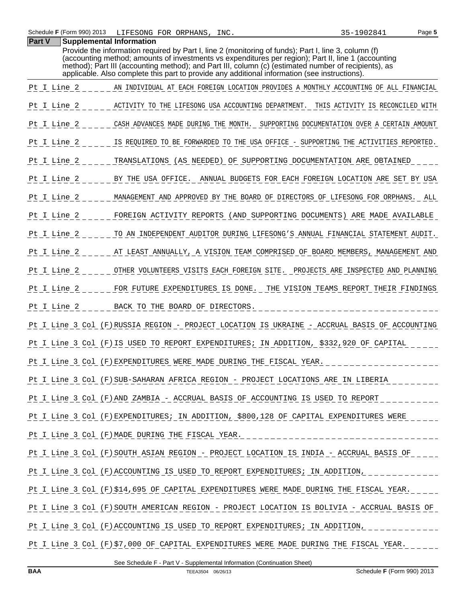**Part V Supplemental Information**

| Provide the information required by Part I, line 2 (monitoring of funds); Part I, line 3, column (f)<br>(accounting method; amounts of investments vs expenditures per region); Part II, line 1 (accounting<br>method); Part III (accounting method); and Part III, column (c) (estimated number of recipients), as<br>applicable. Also complete this part to provide any additional information (see instructions). |
|----------------------------------------------------------------------------------------------------------------------------------------------------------------------------------------------------------------------------------------------------------------------------------------------------------------------------------------------------------------------------------------------------------------------|
| Pt I Line 2<br>AN INDIVIDUAL AT EACH FOREIGN LOCATION PROVIDES A MONTHLY ACCOUNTING OF ALL FINANCIAL                                                                                                                                                                                                                                                                                                                 |
| Pt I Line 2<br>ACTIVITY TO THE LIFESONG USA ACCOUNTING DEPARTMENT.<br>THIS ACTIVITY IS RECONCILED WITH                                                                                                                                                                                                                                                                                                               |
| Pt I Line 2<br>CASH ADVANCES MADE DURING THE MONTH.<br>SUPPORTING DOCUMENTATION OVER A CERTAIN AMOUNT                                                                                                                                                                                                                                                                                                                |
| Pt I Line 2<br>IS REQUIRED TO BE FORWARDED TO THE USA OFFICE - SUPPORTING THE ACTIVITIES REPORTED.                                                                                                                                                                                                                                                                                                                   |
| Pt I Line 2<br>TRANSLATIONS (AS NEEDED) OF SUPPORTING DOCUMENTATION ARE OBTAINED                                                                                                                                                                                                                                                                                                                                     |
| Pt I Line 2<br>BY THE USA OFFICE.<br>ANNUAL BUDGETS FOR EACH FOREIGN LOCATION ARE SET BY USA                                                                                                                                                                                                                                                                                                                         |
| Pt I Line 2<br>MANAGEMENT AND APPROVED BY THE BOARD OF DIRECTORS OF LIFESONG FOR ORPHANS. ALL                                                                                                                                                                                                                                                                                                                        |
| Pt I Line 2<br>FOREIGN ACTIVITY REPORTS (AND SUPPORTING DOCUMENTS) ARE MADE AVAILABLE                                                                                                                                                                                                                                                                                                                                |
| Pt I Line 2<br>TO AN INDEPENDENT AUDITOR DURING LIFESONG'S ANNUAL FINANCIAL STATEMENT AUDIT.                                                                                                                                                                                                                                                                                                                         |
| Pt I Line 2<br>AT LEAST ANNUALLY, A VISION TEAM COMPRISED OF BOARD MEMBERS, MANAGEMENT AND                                                                                                                                                                                                                                                                                                                           |
| Pt I Line 2<br>OTHER VOLUNTEERS VISITS EACH FOREIGN SITE. PROJECTS ARE INSPECTED AND PLANNING                                                                                                                                                                                                                                                                                                                        |
| Pt I Line 2<br>FOR FUTURE EXPENDITURES IS DONE.<br>THE VISION TEAMS REPORT THEIR FINDINGS                                                                                                                                                                                                                                                                                                                            |
| Pt I Line 2<br>BACK TO THE BOARD OF DIRECTORS.                                                                                                                                                                                                                                                                                                                                                                       |
| Pt I Line 3 Col (F)RUSSIA REGION - PROJECT LOCATION IS UKRAINE - ACCRUAL BASIS OF ACCOUNTING                                                                                                                                                                                                                                                                                                                         |
| Pt I Line 3 Col (F) IS USED TO REPORT EXPENDITURES; IN ADDITION, \$332,920 OF CAPITAL                                                                                                                                                                                                                                                                                                                                |
| Pt I Line 3 Col (F) EXPENDITURES WERE MADE DURING THE FISCAL YEAR.                                                                                                                                                                                                                                                                                                                                                   |
| Pt I Line 3 Col (F) SUB-SAHARAN AFRICA REGION - PROJECT LOCATIONS ARE IN LIBERIA                                                                                                                                                                                                                                                                                                                                     |
| Pt I Line 3 Col (F) AND ZAMBIA - ACCRUAL BASIS OF ACCOUNTING IS USED TO REPORT                                                                                                                                                                                                                                                                                                                                       |
| Pt I Line 3 Col (F) EXPENDITURES; IN ADDITION, \$800, 128 OF CAPITAL EXPENDITURES WERE                                                                                                                                                                                                                                                                                                                               |
| Pt I_Line 3 Col (F) MADE DURING THE FISCAL YEAR. _______________________________                                                                                                                                                                                                                                                                                                                                     |
| Pt I Line 3 Col (F) SOUTH ASIAN REGION - PROJECT LOCATION IS INDIA - ACCRUAL BASIS OF                                                                                                                                                                                                                                                                                                                                |
| Pt I Line 3 Col (F) ACCOUNTING IS USED TO REPORT EXPENDITURES; IN ADDITION, ____________                                                                                                                                                                                                                                                                                                                             |
| Pt I Line 3 Col (F)\$14,695 OF CAPITAL EXPENDITURES WERE MADE DURING THE FISCAL YEAR.                                                                                                                                                                                                                                                                                                                                |
| Pt I Line 3 Col (F) SOUTH AMERICAN REGION - PROJECT LOCATION IS BOLIVIA - ACCRUAL BASIS OF                                                                                                                                                                                                                                                                                                                           |
| Pt I Line 3 Col (F) ACCOUNTING IS USED TO REPORT EXPENDITURES; IN ADDITION, ____________                                                                                                                                                                                                                                                                                                                             |
| Pt I Line 3 Col (F)\$7,000 OF CAPITAL EXPENDITURES WERE MADE DURING THE FISCAL YEAR.                                                                                                                                                                                                                                                                                                                                 |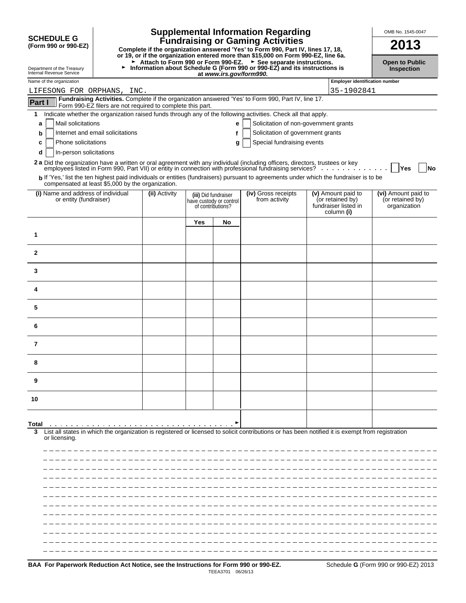|                                                                                                                                                                                                                                                                                                                               |                                                                                                                                                                                                                               |               |                      |                                              | <b>Supplemental Information Regarding</b>                                                                                                                                                                                                                                                                                                                                |  |                                                                              | OMB No. 1545-0047                                       |
|-------------------------------------------------------------------------------------------------------------------------------------------------------------------------------------------------------------------------------------------------------------------------------------------------------------------------------|-------------------------------------------------------------------------------------------------------------------------------------------------------------------------------------------------------------------------------|---------------|----------------------|----------------------------------------------|--------------------------------------------------------------------------------------------------------------------------------------------------------------------------------------------------------------------------------------------------------------------------------------------------------------------------------------------------------------------------|--|------------------------------------------------------------------------------|---------------------------------------------------------|
| <b>SCHEDULE G</b><br>(Form 990 or 990-EZ)                                                                                                                                                                                                                                                                                     |                                                                                                                                                                                                                               |               |                      |                                              | <b>Fundraising or Gaming Activities</b><br>Complete if the organization answered 'Yes' to Form 990, Part IV, lines 17, 18,                                                                                                                                                                                                                                               |  |                                                                              | 2013                                                    |
| or 19, or if the organization entered more than \$15,000 on Form 990-EZ, line 6a.<br>► Attach to Form 990 or Form 990-EZ. ► See separate instructions.<br>Information about Schedule G (Form 990 or 990-EZ) and its instructions is<br>►<br>Department of the Treasury<br>Internal Revenue Service<br>at www.irs.gov/form990. |                                                                                                                                                                                                                               |               |                      |                                              |                                                                                                                                                                                                                                                                                                                                                                          |  |                                                                              | <b>Open to Public</b><br>Inspection                     |
| Name of the organization                                                                                                                                                                                                                                                                                                      |                                                                                                                                                                                                                               |               |                      |                                              |                                                                                                                                                                                                                                                                                                                                                                          |  | <b>Employer identification number</b>                                        |                                                         |
| LIFESONG FOR ORPHANS, INC.                                                                                                                                                                                                                                                                                                    |                                                                                                                                                                                                                               |               |                      |                                              | Fundraising Activities. Complete if the organization answered 'Yes' to Form 990, Part IV, line 17.                                                                                                                                                                                                                                                                       |  | 35-1902841                                                                   |                                                         |
| <b>Part I</b>                                                                                                                                                                                                                                                                                                                 | Form 990-EZ filers are not required to complete this part.                                                                                                                                                                    |               |                      |                                              |                                                                                                                                                                                                                                                                                                                                                                          |  |                                                                              |                                                         |
| 1                                                                                                                                                                                                                                                                                                                             |                                                                                                                                                                                                                               |               |                      |                                              | Indicate whether the organization raised funds through any of the following activities. Check all that apply.                                                                                                                                                                                                                                                            |  |                                                                              |                                                         |
| Mail solicitations<br>a                                                                                                                                                                                                                                                                                                       |                                                                                                                                                                                                                               |               |                      | е                                            | Solicitation of non-government grants                                                                                                                                                                                                                                                                                                                                    |  |                                                                              |                                                         |
| b                                                                                                                                                                                                                                                                                                                             | Internet and email solicitations                                                                                                                                                                                              |               |                      | f                                            | Solicitation of government grants                                                                                                                                                                                                                                                                                                                                        |  |                                                                              |                                                         |
| Phone solicitations<br>c                                                                                                                                                                                                                                                                                                      |                                                                                                                                                                                                                               |               |                      | g                                            | Special fundraising events                                                                                                                                                                                                                                                                                                                                               |  |                                                                              |                                                         |
| In-person solicitations<br>d                                                                                                                                                                                                                                                                                                  |                                                                                                                                                                                                                               |               |                      |                                              |                                                                                                                                                                                                                                                                                                                                                                          |  |                                                                              |                                                         |
|                                                                                                                                                                                                                                                                                                                               |                                                                                                                                                                                                                               |               |                      |                                              | 2a Did the organization have a written or oral agreement with any individual (including officers, directors, trustees or key employees listed in Form 990, Part VII) or entity in connection with professional fundraising ser<br>b If 'Yes,' list the ten highest paid individuals or entities (fundraisers) pursuant to agreements under which the fundraiser is to be |  |                                                                              | Yes<br>No                                               |
|                                                                                                                                                                                                                                                                                                                               | compensated at least \$5,000 by the organization.                                                                                                                                                                             |               |                      |                                              |                                                                                                                                                                                                                                                                                                                                                                          |  |                                                                              |                                                         |
| (i) Name and address of individual<br>or entity (fundraiser)                                                                                                                                                                                                                                                                  |                                                                                                                                                                                                                               | (ii) Activity | (iii) Did fundraiser | have custody or control<br>of contributions? | (iv) Gross receipts<br>from activity                                                                                                                                                                                                                                                                                                                                     |  | (v) Amount paid to<br>(or retained by)<br>fundraiser listed in<br>column (i) | (vi) Amount paid to<br>(or retained by)<br>organization |
|                                                                                                                                                                                                                                                                                                                               |                                                                                                                                                                                                                               |               | Yes                  | No                                           |                                                                                                                                                                                                                                                                                                                                                                          |  |                                                                              |                                                         |
| 1                                                                                                                                                                                                                                                                                                                             |                                                                                                                                                                                                                               |               |                      |                                              |                                                                                                                                                                                                                                                                                                                                                                          |  |                                                                              |                                                         |
| $\mathbf{2}$                                                                                                                                                                                                                                                                                                                  |                                                                                                                                                                                                                               |               |                      |                                              |                                                                                                                                                                                                                                                                                                                                                                          |  |                                                                              |                                                         |
| 3                                                                                                                                                                                                                                                                                                                             |                                                                                                                                                                                                                               |               |                      |                                              |                                                                                                                                                                                                                                                                                                                                                                          |  |                                                                              |                                                         |
| 4                                                                                                                                                                                                                                                                                                                             |                                                                                                                                                                                                                               |               |                      |                                              |                                                                                                                                                                                                                                                                                                                                                                          |  |                                                                              |                                                         |
| 5                                                                                                                                                                                                                                                                                                                             |                                                                                                                                                                                                                               |               |                      |                                              |                                                                                                                                                                                                                                                                                                                                                                          |  |                                                                              |                                                         |
| 6                                                                                                                                                                                                                                                                                                                             |                                                                                                                                                                                                                               |               |                      |                                              |                                                                                                                                                                                                                                                                                                                                                                          |  |                                                                              |                                                         |
| 7                                                                                                                                                                                                                                                                                                                             |                                                                                                                                                                                                                               |               |                      |                                              |                                                                                                                                                                                                                                                                                                                                                                          |  |                                                                              |                                                         |
| 8                                                                                                                                                                                                                                                                                                                             |                                                                                                                                                                                                                               |               |                      |                                              |                                                                                                                                                                                                                                                                                                                                                                          |  |                                                                              |                                                         |
| 9                                                                                                                                                                                                                                                                                                                             |                                                                                                                                                                                                                               |               |                      |                                              |                                                                                                                                                                                                                                                                                                                                                                          |  |                                                                              |                                                         |
| 10                                                                                                                                                                                                                                                                                                                            |                                                                                                                                                                                                                               |               |                      |                                              |                                                                                                                                                                                                                                                                                                                                                                          |  |                                                                              |                                                         |
|                                                                                                                                                                                                                                                                                                                               |                                                                                                                                                                                                                               |               |                      |                                              |                                                                                                                                                                                                                                                                                                                                                                          |  |                                                                              |                                                         |
| Total<br>or licensing.                                                                                                                                                                                                                                                                                                        | a constitution of the constitution of the constitution of the constitution of the constitution of the constitution of the constitution of the constitution of the constitution of the constitution of the constitution of the |               |                      |                                              | List all states in which the organization is registered or licensed to solicit contributions or has been notified it is exempt from registration                                                                                                                                                                                                                         |  |                                                                              |                                                         |
|                                                                                                                                                                                                                                                                                                                               |                                                                                                                                                                                                                               |               |                      |                                              |                                                                                                                                                                                                                                                                                                                                                                          |  |                                                                              |                                                         |
|                                                                                                                                                                                                                                                                                                                               |                                                                                                                                                                                                                               |               |                      |                                              |                                                                                                                                                                                                                                                                                                                                                                          |  |                                                                              |                                                         |
|                                                                                                                                                                                                                                                                                                                               |                                                                                                                                                                                                                               |               |                      |                                              |                                                                                                                                                                                                                                                                                                                                                                          |  |                                                                              |                                                         |
|                                                                                                                                                                                                                                                                                                                               |                                                                                                                                                                                                                               |               |                      |                                              |                                                                                                                                                                                                                                                                                                                                                                          |  |                                                                              |                                                         |
|                                                                                                                                                                                                                                                                                                                               |                                                                                                                                                                                                                               |               |                      |                                              |                                                                                                                                                                                                                                                                                                                                                                          |  |                                                                              |                                                         |
|                                                                                                                                                                                                                                                                                                                               |                                                                                                                                                                                                                               |               |                      |                                              |                                                                                                                                                                                                                                                                                                                                                                          |  |                                                                              |                                                         |
|                                                                                                                                                                                                                                                                                                                               |                                                                                                                                                                                                                               |               |                      |                                              |                                                                                                                                                                                                                                                                                                                                                                          |  |                                                                              |                                                         |
|                                                                                                                                                                                                                                                                                                                               |                                                                                                                                                                                                                               |               |                      |                                              |                                                                                                                                                                                                                                                                                                                                                                          |  |                                                                              |                                                         |
|                                                                                                                                                                                                                                                                                                                               |                                                                                                                                                                                                                               |               |                      |                                              |                                                                                                                                                                                                                                                                                                                                                                          |  |                                                                              |                                                         |
|                                                                                                                                                                                                                                                                                                                               |                                                                                                                                                                                                                               |               |                      |                                              |                                                                                                                                                                                                                                                                                                                                                                          |  |                                                                              |                                                         |
|                                                                                                                                                                                                                                                                                                                               |                                                                                                                                                                                                                               |               |                      |                                              |                                                                                                                                                                                                                                                                                                                                                                          |  |                                                                              |                                                         |
|                                                                                                                                                                                                                                                                                                                               |                                                                                                                                                                                                                               |               |                      |                                              |                                                                                                                                                                                                                                                                                                                                                                          |  |                                                                              |                                                         |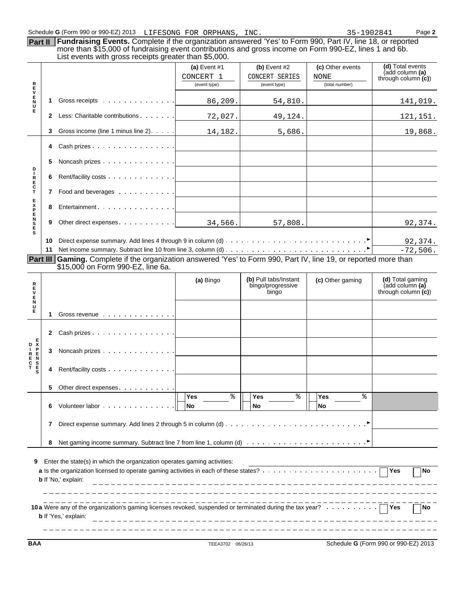**5** Noncash prizes

**R 6** Rent/facility costs

 $\alpha$  $\bar{z}$  $\bar{z}$ 

 $\sim$  10  $\pm$ 

**T 7** Food and beverages

**8** Entertainment **Parameter** 

**9** Other direct expenses . . . . . . .

|             | Schedule G (Form 990 or 990-EZ) 2013 LIFESONG FOR ORPHANS, INC.                                                                                                                                                                                                                      |                                             |                                                  | 35-1902841                                 | Page 2                                                     |
|-------------|--------------------------------------------------------------------------------------------------------------------------------------------------------------------------------------------------------------------------------------------------------------------------------------|---------------------------------------------|--------------------------------------------------|--------------------------------------------|------------------------------------------------------------|
| Part II     | <b>Fundraising Events.</b> Complete if the organization answered 'Yes' to Form 990, Part IV, line 18, or reported<br>more than \$15,000 of fundraising event contributions and gross income on Form 990-EZ, lines 1 and 6b.<br>List events with gross receipts greater than \$5,000. |                                             |                                                  |                                            |                                                            |
| R<br>E      |                                                                                                                                                                                                                                                                                      | (a) Event $#1$<br>CONCERT 1<br>(event type) | (b) Event $#2$<br>CONCERT SERIES<br>(event type) | (c) Other events<br>NONE<br>(total number) | (d) Total events<br>(add column (a)<br>through column (c)) |
| E<br>U<br>E | Gross receipts                                                                                                                                                                                                                                                                       | 86, 209.                                    | 54,810.                                          |                                            | 141,019.                                                   |
|             | Less: Charitable contributions                                                                                                                                                                                                                                                       | 72,027.                                     | 49,124.                                          |                                            | 121,151.                                                   |
|             | Gross income (line 1 minus line 2). $\ldots$                                                                                                                                                                                                                                         | 14,182.                                     | 5,686.                                           |                                            | 19,868.                                                    |
|             | Cash prizes                                                                                                                                                                                                                                                                          |                                             |                                                  |                                            |                                                            |

|  |                                                                                                                                  | 92,374.     |
|--|----------------------------------------------------------------------------------------------------------------------------------|-------------|
|  | Net income summary. Subtract line 10 from line 3, column (d) $\dots \dots \dots \dots \dots \dots \dots \dots \dots \dots \dots$ | $-72.506$ . |

34,566. 57,808. 92,374.

**Part III Gaming.** Complete if the organization answered 'Yes' to Form 990, Part IV, line 19, or reported more than \$15,000 on Form 990-EZ, line 6a.

| R<br>Е<br>E |   |                                                                          | (a) Bingo                    | (b) Pull tabs/Instant<br>bingo/progressive<br>bingo | (c) Other gaming             | (d) Total gaming<br>(add column (a)<br>through column $(c)$ |
|-------------|---|--------------------------------------------------------------------------|------------------------------|-----------------------------------------------------|------------------------------|-------------------------------------------------------------|
| N<br>U<br>Е | 1 | Gross revenue                                                            |                              |                                                     |                              |                                                             |
|             | 2 | Cash prizes                                                              |                              |                                                     |                              |                                                             |
|             | 3 | Noncash prizes $\ldots$ $\ldots$ $\ldots$ $\ldots$ $\ldots$              |                              |                                                     |                              |                                                             |
|             | 4 |                                                                          |                              |                                                     |                              |                                                             |
|             | 5 | Other direct expenses.                                                   |                              |                                                     |                              |                                                             |
|             | 6 | Volunteer labor                                                          | <b>Yes</b><br>⊱<br><b>No</b> | <b>Yes</b><br>⊱<br><b>No</b>                        | <b>Yes</b><br>⊱<br><b>No</b> |                                                             |
|             | 7 |                                                                          |                              |                                                     |                              |                                                             |
|             | 8 |                                                                          |                              |                                                     |                              |                                                             |
| 9           |   | Enter the state(s) in which the organization operates gaming activities: |                              |                                                     |                              | TNo.                                                        |
|             |   | <b>b</b> If 'No,' explain:                                               |                              |                                                     |                              |                                                             |
|             |   | <b>b</b> If 'Yes,' explain:                                              |                              |                                                     |                              | No                                                          |

**BAA** TEEA3702 06/26/13 Schedule **G** (Form 990 or 990-EZ) 2013

**D I** 

L,

**E C**

**E** 

**E N**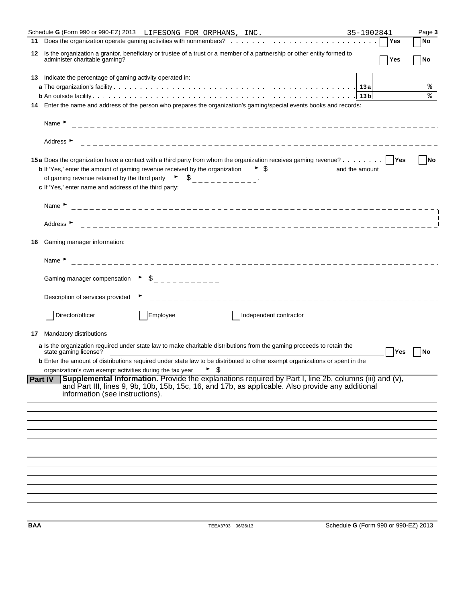|                | Schedule G (Form 990 or 990-EZ) 2013 LIFESONG FOR ORPHANS, INC.                                                                                                                                                                                                                                                 | 35-1902841                           |     | Page 3    |
|----------------|-----------------------------------------------------------------------------------------------------------------------------------------------------------------------------------------------------------------------------------------------------------------------------------------------------------------|--------------------------------------|-----|-----------|
| 11             |                                                                                                                                                                                                                                                                                                                 |                                      | Yes | <b>No</b> |
| 12             | Is the organization a grantor, beneficiary or trustee of a trust or a member of a partnership or other entity formed to                                                                                                                                                                                         |                                      | Yes | <b>No</b> |
| 13             | Indicate the percentage of gaming activity operated in:                                                                                                                                                                                                                                                         |                                      |     |           |
|                |                                                                                                                                                                                                                                                                                                                 |                                      |     | ႜ         |
|                |                                                                                                                                                                                                                                                                                                                 | 13 <sub>b</sub>                      |     | ৡ         |
| 14             | Enter the name and address of the person who prepares the organization's gaming/special events books and records:                                                                                                                                                                                               |                                      |     |           |
|                | Name $\blacktriangleright$                                                                                                                                                                                                                                                                                      |                                      |     |           |
|                | Address $\blacktriangleright$                                                                                                                                                                                                                                                                                   |                                      |     |           |
|                | 15a Does the organization have a contact with a third party from whom the organization receives gaming revenue?   Yes<br><b>b</b> If 'Yes,' enter the amount of gaming revenue received by the organization $\bullet$ $\circ$                                                                                   |                                      |     | <b>No</b> |
|                | of gaming revenue retained by the third party $\begin{array}{ccc} \bullet & \bullet & \end{array}$ $\begin{array}{ccc} \bullet & \bullet & \end{array}$<br>c If 'Yes,' enter name and address of the third party:                                                                                               |                                      |     |           |
|                | Name $\blacktriangleright$                                                                                                                                                                                                                                                                                      |                                      |     |           |
|                | Address $\blacktriangleright$                                                                                                                                                                                                                                                                                   |                                      |     |           |
| 16             | Gaming manager information:                                                                                                                                                                                                                                                                                     |                                      |     |           |
|                | Name $\blacktriangleright$                                                                                                                                                                                                                                                                                      |                                      |     |           |
|                | Gaming manager compensation $\rightarrow$ $\frac{1}{2}$ $\rightarrow$ $\rightarrow$ $\rightarrow$ $\rightarrow$ $\rightarrow$ $\rightarrow$ $\rightarrow$                                                                                                                                                       |                                      |     |           |
|                | Description of services provided                                                                                                                                                                                                                                                                                |                                      |     |           |
|                | Director/officer<br>Employee<br>Independent contractor                                                                                                                                                                                                                                                          |                                      |     |           |
| 17             | Mandatory distributions                                                                                                                                                                                                                                                                                         |                                      |     |           |
|                | a Is the organization required under state law to make charitable distributions from the gaming proceeds to retain the<br>state gaming license?                                                                                                                                                                 |                                      | Yes | No        |
|                | <b>b</b> Enter the amount of distributions required under state law to be distributed to other exempt organizations or spent in the                                                                                                                                                                             |                                      |     |           |
| <b>Part IV</b> | organization's own exempt activities during the tax year ▶ \$<br>Supplemental Information. Provide the explanations required by Part I, line 2b, columns (iii) and (v),<br>and Part III, lines 9, 9b, 10b, 15b, 15c, 16, and 17b, as applicable. Also provide any additional<br>information (see instructions). |                                      |     |           |
|                |                                                                                                                                                                                                                                                                                                                 |                                      |     |           |
|                |                                                                                                                                                                                                                                                                                                                 |                                      |     |           |
|                |                                                                                                                                                                                                                                                                                                                 |                                      |     |           |
|                |                                                                                                                                                                                                                                                                                                                 |                                      |     |           |
|                |                                                                                                                                                                                                                                                                                                                 |                                      |     |           |
|                |                                                                                                                                                                                                                                                                                                                 |                                      |     |           |
|                |                                                                                                                                                                                                                                                                                                                 |                                      |     |           |
|                |                                                                                                                                                                                                                                                                                                                 |                                      |     |           |
| BAA            | TEEA3703 06/26/13                                                                                                                                                                                                                                                                                               | Schedule G (Form 990 or 990-EZ) 2013 |     |           |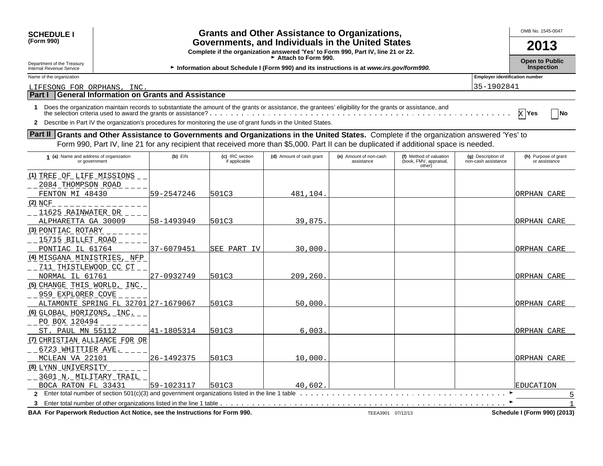| <b>SCHEDULE I</b>                                                                                                                                |                                                                                                                                                                                                       |                                  |                                                                                                                                                                                                                                                                             |                                      |                                                             |                                           | OMB No. 1545-0047                          |
|--------------------------------------------------------------------------------------------------------------------------------------------------|-------------------------------------------------------------------------------------------------------------------------------------------------------------------------------------------------------|----------------------------------|-----------------------------------------------------------------------------------------------------------------------------------------------------------------------------------------------------------------------------------------------------------------------------|--------------------------------------|-------------------------------------------------------------|-------------------------------------------|--------------------------------------------|
| (Form 990)                                                                                                                                       | <b>Grants and Other Assistance to Organizations,</b><br>Governments, and Individuals in the United States<br>2013<br>Complete if the organization answered 'Yes' to Form 990, Part IV, line 21 or 22. |                                  |                                                                                                                                                                                                                                                                             |                                      |                                                             |                                           |                                            |
| Department of the Treasury<br>Internal Revenue Service                                                                                           |                                                                                                                                                                                                       |                                  | Attach to Form 990.<br>Information about Schedule I (Form 990) and its instructions is at www.irs.gov/form990.                                                                                                                                                              |                                      |                                                             |                                           | <b>Open to Public</b><br><b>Inspection</b> |
| Name of the organization                                                                                                                         |                                                                                                                                                                                                       |                                  |                                                                                                                                                                                                                                                                             |                                      |                                                             | <b>Employer identification number</b>     |                                            |
| LIFESONG FOR ORPHANS, INC.                                                                                                                       |                                                                                                                                                                                                       |                                  |                                                                                                                                                                                                                                                                             |                                      |                                                             | 35-1902841                                |                                            |
| <b>Part I</b>                                                                                                                                    | <b>General Information on Grants and Assistance</b>                                                                                                                                                   |                                  |                                                                                                                                                                                                                                                                             |                                      |                                                             |                                           |                                            |
|                                                                                                                                                  |                                                                                                                                                                                                       |                                  | Does the organization maintain records to substantiate the amount of the grants or assistance, the grantees' eligibility for the grants or assistance, and<br>Describe in Part IV the organization's procedures for monitoring the use of grant funds in the United States. |                                      |                                                             |                                           | χ  Υes<br><b>No</b>                        |
| <b>Part II</b> Grants and Other Assistance to Governments and Organizations in the United States. Complete if the organization answered 'Yes' to |                                                                                                                                                                                                       |                                  | Form 990, Part IV, line 21 for any recipient that received more than \$5,000. Part II can be duplicated if additional space is needed.                                                                                                                                      |                                      |                                                             |                                           |                                            |
| 1 (a) Name and address of organization<br>or government                                                                                          | $(b)$ EIN                                                                                                                                                                                             | (c) IRC section<br>if applicable | (d) Amount of cash grant                                                                                                                                                                                                                                                    | (e) Amount of non-cash<br>assistance | (f) Method of valuation<br>(book, FMV, appraisal,<br>other) | (g) Description of<br>non-cash assistance | (h) Purpose of grant<br>or assistance      |
| (1) TREE OF LIFE MISSIONS<br>2084 THOMPSON ROAD<br>FENTON MI 48430                                                                               | 59-2547246                                                                                                                                                                                            | 501C3                            | 481.104                                                                                                                                                                                                                                                                     |                                      |                                                             |                                           | ORPHAN CARE                                |
| (2) NCF<br>11625 RAINWATER DR                                                                                                                    |                                                                                                                                                                                                       |                                  |                                                                                                                                                                                                                                                                             |                                      |                                                             |                                           |                                            |
| ALPHARETTA GA 30009                                                                                                                              | 58–1493949                                                                                                                                                                                            | 501C3                            | 39,875                                                                                                                                                                                                                                                                      |                                      |                                                             |                                           | ORPHAN CARE                                |
| (3) PONTIAC ROTARY<br>15715 BILLET ROAD                                                                                                          |                                                                                                                                                                                                       |                                  |                                                                                                                                                                                                                                                                             |                                      |                                                             |                                           |                                            |

PONTIAC IL 61764 37-6079451 SEE PART IV 30,000.

| (4) MISGANA MINISTRIES, NFP                                                |                 |       |          |                   |                              |
|----------------------------------------------------------------------------|-----------------|-------|----------|-------------------|------------------------------|
| 711 THISTLEWOOD CC CT                                                      |                 |       |          |                   |                              |
| NORMAL IL 61761                                                            | $127 - 0932749$ | 501C3 | 209,260. |                   | ORPHAN CARE                  |
| (5) CHANGE THIS WORLD, INC.                                                |                 |       |          |                   |                              |
| 959 EXPLORER COVE                                                          |                 |       |          |                   |                              |
| ALTAMONTE SPRING FL 32701 27-1679067                                       |                 | 501C3 | 50,000.  |                   | ORPHAN CARE                  |
| (6) GLOBAL HORIZONS, INC.                                                  |                 |       |          |                   |                              |
| PO BOX 120494                                                              |                 |       |          |                   |                              |
| ST. PAUL MN 55112                                                          | 141-1805314     | 501C3 | 6.003.   |                   | ORPHAN CARE                  |
| (7) CHRISTIAN ALLIANCE FOR OR                                              |                 |       |          |                   |                              |
| 6723 WHITTIER AVE.                                                         |                 |       |          |                   |                              |
| MCLEAN VA 22101                                                            | 26-1492375      | 501C3 | 10,000.  |                   | ORPHAN CARE                  |
| (8) LYNN UNIVERSITY                                                        |                 |       |          |                   |                              |
| 3601 N. MILITARY TRAIL                                                     |                 |       |          |                   |                              |
| BOCA RATON FL 33431                                                        | 59-1023117      | 501C3 | 40,602.  |                   | <b>EDUCATION</b>             |
|                                                                            |                 |       |          |                   |                              |
|                                                                            |                 |       |          |                   |                              |
| BAA For Paperwork Reduction Act Notice, see the Instructions for Form 990. |                 |       |          | TEEA3901 07/12/13 | Schedule I (Form 990) (2013) |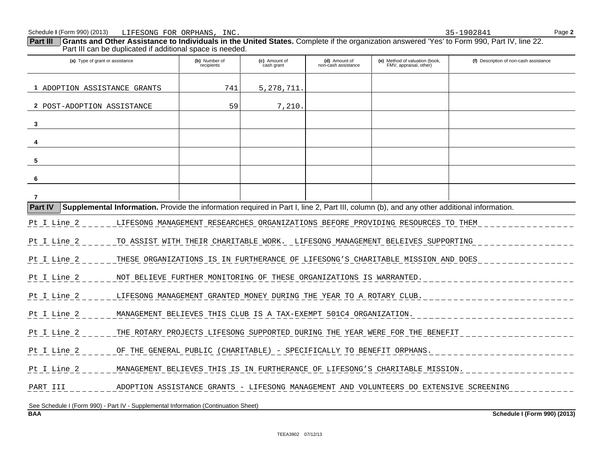|                                                                                                                                                             | Part III can be duplicated if additional space is needed.             |                             |                                      |                                                                                        |                                        |  |
|-------------------------------------------------------------------------------------------------------------------------------------------------------------|-----------------------------------------------------------------------|-----------------------------|--------------------------------------|----------------------------------------------------------------------------------------|----------------------------------------|--|
| (a) Type of grant or assistance                                                                                                                             | (b) Number of<br>recipients                                           | (c) Amount of<br>cash grant | (d) Amount of<br>non-cash assistance | (e) Method of valuation (book,<br>FMV, appraisal, other)                               | (f) Description of non-cash assistance |  |
| 1 ADOPTION ASSISTANCE GRANTS                                                                                                                                | 741                                                                   | 5, 278, 711.                |                                      |                                                                                        |                                        |  |
| 2 POST-ADOPTION ASSISTANCE                                                                                                                                  | 59                                                                    | 7,210.                      |                                      |                                                                                        |                                        |  |
| 3                                                                                                                                                           |                                                                       |                             |                                      |                                                                                        |                                        |  |
|                                                                                                                                                             |                                                                       |                             |                                      |                                                                                        |                                        |  |
| 5                                                                                                                                                           |                                                                       |                             |                                      |                                                                                        |                                        |  |
| 6                                                                                                                                                           |                                                                       |                             |                                      |                                                                                        |                                        |  |
| $\overline{7}$                                                                                                                                              |                                                                       |                             |                                      |                                                                                        |                                        |  |
| <b>Part IV</b><br>Supplemental Information. Provide the information required in Part I, line 2, Part III, column (b), and any other additional information. |                                                                       |                             |                                      |                                                                                        |                                        |  |
| Pt I Line 2                                                                                                                                                 |                                                                       |                             |                                      | LIFESONG MANAGEMENT RESEARCHES ORGANIZATIONS BEFORE PROVIDING RESOURCES TO THEM        |                                        |  |
| Pt I Line 2                                                                                                                                                 |                                                                       |                             |                                      | TO ASSIST WITH THEIR CHARITABLE WORK. LIFESONG MANAGEMENT BELEIVES SUPPORTING          |                                        |  |
| Pt I Line 2                                                                                                                                                 |                                                                       |                             |                                      | THESE ORGANIZATIONS IS IN FURTHERANCE OF LIFESONG'S CHARITABLE MISSION AND DOES        |                                        |  |
| Pt I Line 2                                                                                                                                                 | NOT BELIEVE FURTHER MONITORING OF THESE ORGANIZATIONS IS WARRANTED.   |                             |                                      |                                                                                        |                                        |  |
| Pt I Line 2                                                                                                                                                 | LIFESONG MANAGEMENT GRANTED MONEY DURING THE YEAR TO A ROTARY CLUB.   |                             |                                      |                                                                                        |                                        |  |
| Pt I Line 2                                                                                                                                                 | MANAGEMENT BELIEVES THIS CLUB IS A TAX-EXEMPT 501C4 ORGANIZATION.     |                             |                                      |                                                                                        |                                        |  |
| Pt I Line 2                                                                                                                                                 |                                                                       |                             |                                      | THE ROTARY PROJECTS LIFESONG SUPPORTED DURING THE YEAR WERE FOR THE BENEFIT            |                                        |  |
| Pt I Line 2                                                                                                                                                 | OF THE GENERAL PUBLIC (CHARITABLE) - SPECIFICALLY TO BENEFIT ORPHANS. |                             |                                      |                                                                                        |                                        |  |
| Pt I Line 2                                                                                                                                                 |                                                                       |                             |                                      | MANAGEMENT BELIEVES THIS IS IN FURTHERANCE OF LIFESONG'S CHARITABLE MISSION.           |                                        |  |
| PART III                                                                                                                                                    |                                                                       |                             |                                      | ADOPTION ASSISTANCE GRANTS - LIFESONG MANAGEMENT AND VOLUNTEERS DO EXTENSIVE SCREENING |                                        |  |
| See Schedule I (Form 990) - Part IV - Supplemental Information (Continuation Sheet)                                                                         |                                                                       |                             |                                      |                                                                                        |                                        |  |
| <b>BAA</b>                                                                                                                                                  |                                                                       |                             |                                      |                                                                                        | Schedule I (Form 990) (2013)           |  |

**Part III Grants and Other Assistance to Individuals in the United States.** Complete if the organization answered 'Yes' to Form 990, Part IV, line 22.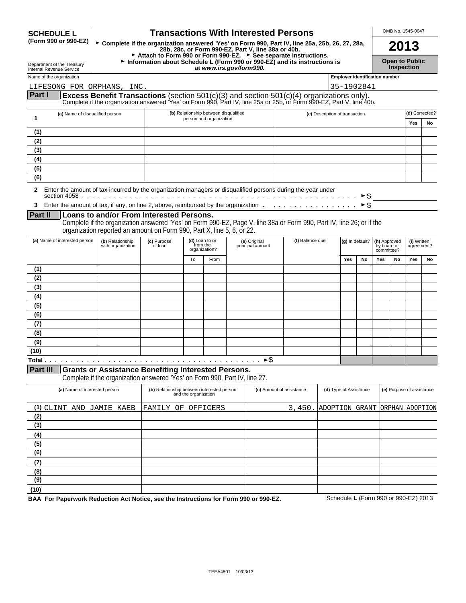| <b>SCHEDULE L</b> |  |
|-------------------|--|
|                   |  |

# OMB No. 1545-0047 **SCHEDULE L Transactions With Interested Persons**

| Department of the Treasury<br>Internal Revenue Service |  |
|--------------------------------------------------------|--|
|                                                        |  |

**(5) (6) (7) (8) (9) (10)**

(Form 990 or 990-EZ) Complete if the organization answered 'Yes' on Form 990, Part IV, line 25a, 25b, 26, 27, 28a,<br>28b, 28c, or Form 990-EZ, Part V, line 38a or 40b.<br>• Attach to Form 990 or Form 990-EZ. ► See separate ins **Department of the Treasury and Proportion about Schedule L (Form 990 or 990-EZ) and its instructions is <b>Open to Public** <br>Internal Revenue Service **at** *www.irs.gov/form990.* **Inspection** 

|                 | Name of the organization                                                                                                      |                                                                                                                                                                                                                   |                                                                                                |    |                                                                  |                                  |                 |                                |                                                              |                           | <b>Employer identification number</b> |    |     |                |
|-----------------|-------------------------------------------------------------------------------------------------------------------------------|-------------------------------------------------------------------------------------------------------------------------------------------------------------------------------------------------------------------|------------------------------------------------------------------------------------------------|----|------------------------------------------------------------------|----------------------------------|-----------------|--------------------------------|--------------------------------------------------------------|---------------------------|---------------------------------------|----|-----|----------------|
|                 | LIFESONG FOR ORPHANS, INC.                                                                                                    |                                                                                                                                                                                                                   |                                                                                                |    |                                                                  |                                  |                 |                                |                                                              | 35-1902841                |                                       |    |     |                |
| Part I          |                                                                                                                               | Excess Benefit Transactions (section 501(c)(3) and section 501(c)(4) organizations only).<br>Complete if the organization answered 'Yes' on Form 990, Part IV, line 25a or 25b, or Form 990-EZ, Part V, line 40b. |                                                                                                |    |                                                                  |                                  |                 |                                |                                                              |                           |                                       |    |     |                |
| 1               | (a) Name of disqualified person                                                                                               |                                                                                                                                                                                                                   |                                                                                                |    | (b) Relationship between disqualified<br>person and organization |                                  |                 | (c) Description of transaction |                                                              |                           |                                       |    |     | (d) Corrected? |
|                 |                                                                                                                               |                                                                                                                                                                                                                   |                                                                                                |    |                                                                  |                                  |                 |                                |                                                              |                           |                                       |    | Yes | No             |
| (1)             |                                                                                                                               |                                                                                                                                                                                                                   |                                                                                                |    |                                                                  |                                  |                 |                                |                                                              |                           |                                       |    |     |                |
| (2)             |                                                                                                                               |                                                                                                                                                                                                                   |                                                                                                |    |                                                                  |                                  |                 |                                |                                                              |                           |                                       |    |     |                |
| (3)<br>(4)      |                                                                                                                               |                                                                                                                                                                                                                   |                                                                                                |    |                                                                  |                                  |                 |                                |                                                              |                           |                                       |    |     |                |
| (5)             |                                                                                                                               |                                                                                                                                                                                                                   |                                                                                                |    |                                                                  |                                  |                 |                                |                                                              |                           |                                       |    |     |                |
| (6)             |                                                                                                                               |                                                                                                                                                                                                                   |                                                                                                |    |                                                                  |                                  |                 |                                |                                                              |                           |                                       |    |     |                |
|                 |                                                                                                                               |                                                                                                                                                                                                                   |                                                                                                |    |                                                                  |                                  |                 |                                |                                                              |                           |                                       |    |     |                |
| 2               | Enter the amount of tax incurred by the organization managers or disqualified persons during the year under                   |                                                                                                                                                                                                                   |                                                                                                |    |                                                                  |                                  |                 |                                |                                                              | ► \$                      |                                       |    |     |                |
| 3               | Enter the amount of tax, if any, on line 2, above, reimbursed by the organization $\dots \dots \dots \dots \dots \dots \dots$ |                                                                                                                                                                                                                   |                                                                                                |    |                                                                  |                                  |                 |                                |                                                              | $\triangleright$ \$       |                                       |    |     |                |
| Part II         |                                                                                                                               | Loans to and/or From Interested Persons.                                                                                                                                                                          |                                                                                                |    |                                                                  |                                  |                 |                                |                                                              |                           |                                       |    |     |                |
|                 |                                                                                                                               | Complete if the organization answered 'Yes' on Form 990-EZ, Page V, line 38a or Form 990, Part IV, line 26; or if the<br>organization reported an amount on Form 990, Part X, line 5, 6, or 22.                   |                                                                                                |    |                                                                  |                                  |                 |                                |                                                              |                           |                                       |    |     |                |
|                 | (a) Name of interested person                                                                                                 | (b) Relationship<br>with organization                                                                                                                                                                             | (c) Purpose<br>of loan                                                                         |    | (d) Loan to or<br>from the<br>organization?                      | (e) Original<br>principal amount | (f) Balance due |                                | (g) In default?<br>(h) Approved<br>by board or<br>committee? |                           | (i) Written<br>agreement?             |    |     |                |
|                 |                                                                                                                               |                                                                                                                                                                                                                   |                                                                                                | To | From                                                             |                                  |                 |                                | Yes                                                          | No                        | Yes                                   | No | Yes | No             |
| (1)             |                                                                                                                               |                                                                                                                                                                                                                   |                                                                                                |    |                                                                  |                                  |                 |                                |                                                              |                           |                                       |    |     |                |
| (2)             |                                                                                                                               |                                                                                                                                                                                                                   |                                                                                                |    |                                                                  |                                  |                 |                                |                                                              |                           |                                       |    |     |                |
| (3)             |                                                                                                                               |                                                                                                                                                                                                                   |                                                                                                |    |                                                                  |                                  |                 |                                |                                                              |                           |                                       |    |     |                |
| (4)             |                                                                                                                               |                                                                                                                                                                                                                   |                                                                                                |    |                                                                  |                                  |                 |                                |                                                              |                           |                                       |    |     |                |
| (5)             |                                                                                                                               |                                                                                                                                                                                                                   |                                                                                                |    |                                                                  |                                  |                 |                                |                                                              |                           |                                       |    |     |                |
| (6)             |                                                                                                                               |                                                                                                                                                                                                                   |                                                                                                |    |                                                                  |                                  |                 |                                |                                                              |                           |                                       |    |     |                |
| (7)             |                                                                                                                               |                                                                                                                                                                                                                   |                                                                                                |    |                                                                  |                                  |                 |                                |                                                              |                           |                                       |    |     |                |
| (8)             |                                                                                                                               |                                                                                                                                                                                                                   |                                                                                                |    |                                                                  |                                  |                 |                                |                                                              |                           |                                       |    |     |                |
| (9)             |                                                                                                                               |                                                                                                                                                                                                                   |                                                                                                |    |                                                                  |                                  |                 |                                |                                                              |                           |                                       |    |     |                |
| (10)            |                                                                                                                               |                                                                                                                                                                                                                   |                                                                                                |    |                                                                  | $\blacktriangleright$ \$         |                 |                                |                                                              |                           |                                       |    |     |                |
| <b>Part III</b> |                                                                                                                               |                                                                                                                                                                                                                   |                                                                                                |    |                                                                  |                                  |                 |                                |                                                              |                           |                                       |    |     |                |
|                 |                                                                                                                               | <b>Grants or Assistance Benefiting Interested Persons.</b><br>Complete if the organization answered 'Yes' on Form 990, Part IV, line 27.                                                                          |                                                                                                |    |                                                                  |                                  |                 |                                |                                                              |                           |                                       |    |     |                |
|                 | (a) Name of interested person                                                                                                 |                                                                                                                                                                                                                   | (b) Relationship between interested person<br>(c) Amount of assistance<br>and the organization |    | (d) Type of Assistance                                           |                                  |                 |                                |                                                              | (e) Purpose of assistance |                                       |    |     |                |
| (2)             | (1) CLINT AND JAMIE KAEB                                                                                                      |                                                                                                                                                                                                                   | FAMILY OF OFFICERS                                                                             |    |                                                                  |                                  | 3.450.          | ADOPTION GRANT ORPHAN ADOPTION |                                                              |                           |                                       |    |     |                |
| (3)             |                                                                                                                               |                                                                                                                                                                                                                   |                                                                                                |    |                                                                  |                                  |                 |                                |                                                              |                           |                                       |    |     |                |
| (4)             |                                                                                                                               |                                                                                                                                                                                                                   |                                                                                                |    |                                                                  |                                  |                 |                                |                                                              |                           |                                       |    |     |                |

**BAA For Paperwork Reduction Act Notice, see the Instructions for Form 990 or 990-EZ.** Schedule **L** (Form 990 or 990-EZ) 2013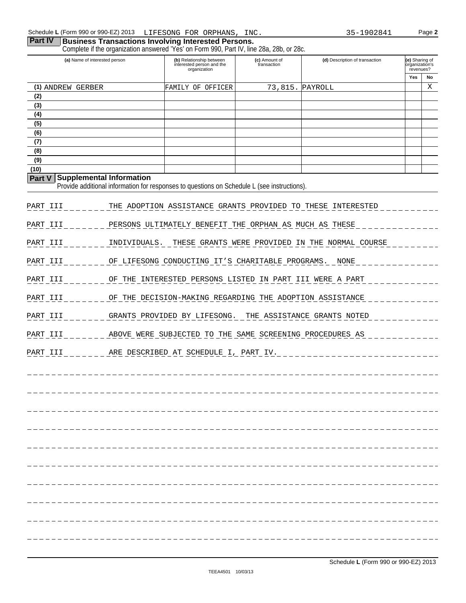# **Part IV Business Transactions Involving Interested Persons.**

Complete if the organization answered 'Yes' on Form 990, Part IV, line 28a, 28b, or 28c.

| (a) Name of interested person |                                 | Complete if the organization answered. This lot Form 770, Fart IV, line 20a, 200, or 20a.<br>(b) Relationship between<br>interested person and the<br>organization | (c) Amount of<br>transaction | (d) Description of transaction                              | (e) Sharing of<br>organization's<br>revenues?<br>Yes | No |
|-------------------------------|---------------------------------|--------------------------------------------------------------------------------------------------------------------------------------------------------------------|------------------------------|-------------------------------------------------------------|------------------------------------------------------|----|
| (1) ANDREW GERBER             |                                 | FAMILY OF OFFICER                                                                                                                                                  | 73,815.                      | PAYROLL                                                     |                                                      | Χ  |
| (2)                           |                                 |                                                                                                                                                                    |                              |                                                             |                                                      |    |
| (3)                           |                                 |                                                                                                                                                                    |                              |                                                             |                                                      |    |
| (4)                           |                                 |                                                                                                                                                                    |                              |                                                             |                                                      |    |
| (5)                           |                                 |                                                                                                                                                                    |                              |                                                             |                                                      |    |
| (6)                           |                                 |                                                                                                                                                                    |                              |                                                             |                                                      |    |
| (7)                           |                                 |                                                                                                                                                                    |                              |                                                             |                                                      |    |
| (8)                           |                                 |                                                                                                                                                                    |                              |                                                             |                                                      |    |
| (9)<br>(10)                   |                                 |                                                                                                                                                                    |                              |                                                             |                                                      |    |
| <b>Part V</b>                 | <b>Supplemental Information</b> | Provide additional information for responses to questions on Schedule L (see instructions).                                                                        |                              |                                                             |                                                      |    |
| PART III                      |                                 |                                                                                                                                                                    |                              | THE ADOPTION ASSISTANCE GRANTS PROVIDED TO THESE INTERESTED |                                                      |    |
| PART III                      |                                 | PERSONS ULTIMATELY BENEFIT THE ORPHAN AS MUCH AS THESE                                                                                                             |                              |                                                             |                                                      |    |
| PART III                      | INDIVIDUALS.                    |                                                                                                                                                                    |                              | THESE GRANTS WERE PROVIDED IN THE NORMAL COURSE             |                                                      |    |
| PART III                      |                                 | OF LIFESONG CONDUCTING IT'S CHARITABLE PROGRAMS. NONE                                                                                                              |                              |                                                             |                                                      |    |
| PART III                      |                                 | OF THE INTERESTED PERSONS LISTED IN PART III WERE A PART                                                                                                           |                              |                                                             |                                                      |    |
| PART III                      |                                 | OF THE DECISION-MAKING REGARDING THE ADOPTION ASSISTANCE                                                                                                           |                              |                                                             |                                                      |    |
| PART III                      |                                 | GRANTS PROVIDED BY LIFESONG. THE ASSISTANCE GRANTS NOTED                                                                                                           |                              |                                                             |                                                      |    |
| PART III                      |                                 | ABOVE WERE SUBJECTED TO THE SAME SCREENING PROCEDURES AS                                                                                                           |                              |                                                             |                                                      |    |
| PART III                      |                                 | ARE DESCRIBED AT SCHEDULE I, PART IV.                                                                                                                              |                              |                                                             |                                                      |    |
|                               |                                 |                                                                                                                                                                    |                              |                                                             |                                                      |    |
|                               |                                 |                                                                                                                                                                    |                              |                                                             |                                                      |    |
|                               |                                 |                                                                                                                                                                    |                              |                                                             |                                                      |    |
|                               |                                 |                                                                                                                                                                    |                              |                                                             |                                                      |    |
|                               |                                 |                                                                                                                                                                    |                              |                                                             |                                                      |    |
|                               |                                 |                                                                                                                                                                    |                              |                                                             |                                                      |    |
|                               |                                 |                                                                                                                                                                    |                              |                                                             |                                                      |    |
|                               |                                 |                                                                                                                                                                    |                              |                                                             |                                                      |    |
|                               |                                 |                                                                                                                                                                    |                              |                                                             |                                                      |    |
|                               |                                 |                                                                                                                                                                    |                              |                                                             |                                                      |    |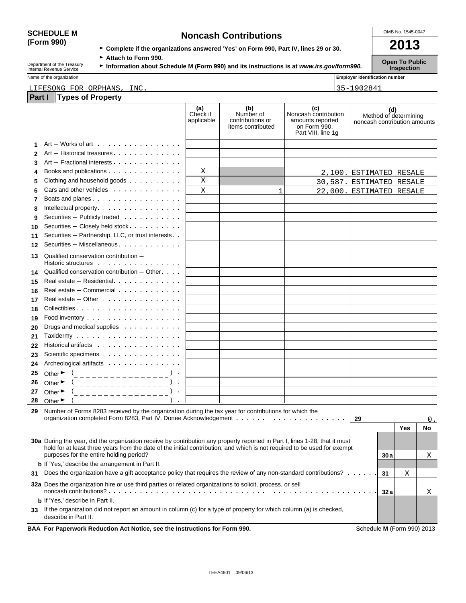# **(Form 990)**

| <b>SCHEDULE M</b> | <b>Noncash Contributions</b>                                                         | OMB No. 1545-0047 |
|-------------------|--------------------------------------------------------------------------------------|-------------------|
| (Form 990)        | ► Complete if the organizations answered 'Yes' on Form 990, Part IV, lines 29 or 30. | 2013              |
|                   |                                                                                      |                   |

Department of the Treasury **Company Fattach to Form 990. Public Instructions is at** *www.irs.gov/form990.* **Copen To Public Inspection <b>Internal Revenue Service Inspection** 

Name of the organization **Name of the organization Employer identification number** 

# LIFESONG FOR ORPHANS, INC. 35-1902841

| Part I | <b>Types of Property</b>                                                                                                                                                                                                                                |                               |                                                           |                                                                                       |                              |     |                       |           |
|--------|---------------------------------------------------------------------------------------------------------------------------------------------------------------------------------------------------------------------------------------------------------|-------------------------------|-----------------------------------------------------------|---------------------------------------------------------------------------------------|------------------------------|-----|-----------------------|-----------|
|        |                                                                                                                                                                                                                                                         | (a)<br>Check if<br>applicable | (b)<br>Number of<br>contributions or<br>items contributed | (c)<br>Noncash contribution<br>amounts reported<br>on Form 990,<br>Part VIII, line 1g | noncash contribution amounts | (d) | Method of determining |           |
| 1      | $Art - Works$ of art $\cdots$ $\cdots$ $\cdots$ $\cdots$ $\cdots$                                                                                                                                                                                       |                               |                                                           |                                                                                       |                              |     |                       |           |
| 2      | Art - Historical treasures                                                                                                                                                                                                                              |                               |                                                           |                                                                                       |                              |     |                       |           |
| 3      | Art - Fractional interests                                                                                                                                                                                                                              |                               |                                                           |                                                                                       |                              |     |                       |           |
| 4      | Books and publications                                                                                                                                                                                                                                  | Χ                             |                                                           | 2,100.                                                                                | <b>ESTIMATED RESALE</b>      |     |                       |           |
| 5      | Clothing and household goods                                                                                                                                                                                                                            | X                             |                                                           | 30,587.                                                                               | ESTIMATED RESALE             |     |                       |           |
| 6      | Cars and other vehicles                                                                                                                                                                                                                                 | X                             | 1                                                         | 22,000.                                                                               | ESTIMATED RESALE             |     |                       |           |
| 7      | Boats and planes                                                                                                                                                                                                                                        |                               |                                                           |                                                                                       |                              |     |                       |           |
| 8      | Intellectual property.                                                                                                                                                                                                                                  |                               |                                                           |                                                                                       |                              |     |                       |           |
| 9      | Securities - Publicly traded                                                                                                                                                                                                                            |                               |                                                           |                                                                                       |                              |     |                       |           |
| 10     | Securities - Closely held stock                                                                                                                                                                                                                         |                               |                                                           |                                                                                       |                              |     |                       |           |
| 11     | Securities - Partnership, LLC, or trust interests                                                                                                                                                                                                       |                               |                                                           |                                                                                       |                              |     |                       |           |
| 12     | Securities - Miscellaneous.                                                                                                                                                                                                                             |                               |                                                           |                                                                                       |                              |     |                       |           |
|        |                                                                                                                                                                                                                                                         |                               |                                                           |                                                                                       |                              |     |                       |           |
| 13     | Qualified conservation contribution -<br>Historic structures                                                                                                                                                                                            |                               |                                                           |                                                                                       |                              |     |                       |           |
| 14     | Qualified conservation contribution $-$ Other $\cdots$                                                                                                                                                                                                  |                               |                                                           |                                                                                       |                              |     |                       |           |
| 15     | Real estate – Residential et al., and a set al., a set al., a set al., a set al., a set al., a set a                                                                                                                                                    |                               |                                                           |                                                                                       |                              |     |                       |           |
| 16     | Real estate - Commercial                                                                                                                                                                                                                                |                               |                                                           |                                                                                       |                              |     |                       |           |
| 17     | Real estate - Other                                                                                                                                                                                                                                     |                               |                                                           |                                                                                       |                              |     |                       |           |
| 18     |                                                                                                                                                                                                                                                         |                               |                                                           |                                                                                       |                              |     |                       |           |
| 19     | Food inventory                                                                                                                                                                                                                                          |                               |                                                           |                                                                                       |                              |     |                       |           |
| 20     | Drugs and medical supplies                                                                                                                                                                                                                              |                               |                                                           |                                                                                       |                              |     |                       |           |
| 21     |                                                                                                                                                                                                                                                         |                               |                                                           |                                                                                       |                              |     |                       |           |
| 22     | Historical artifacts                                                                                                                                                                                                                                    |                               |                                                           |                                                                                       |                              |     |                       |           |
| 23     | Scientific specimens                                                                                                                                                                                                                                    |                               |                                                           |                                                                                       |                              |     |                       |           |
| 24     | Archeological artifacts                                                                                                                                                                                                                                 |                               |                                                           |                                                                                       |                              |     |                       |           |
| 25     |                                                                                                                                                                                                                                                         |                               |                                                           |                                                                                       |                              |     |                       |           |
|        | Other $\bullet$ $($                                                                                                                                                                                                                                     |                               |                                                           |                                                                                       |                              |     |                       |           |
| 26     | Other $\blacktriangleright$<br>(________________                                                                                                                                                                                                        |                               |                                                           |                                                                                       |                              |     |                       |           |
| 27     | Other $\blacktriangleright$<br>______________                                                                                                                                                                                                           |                               |                                                           |                                                                                       |                              |     |                       |           |
| 28     | Other $\blacktriangleright$                                                                                                                                                                                                                             |                               |                                                           |                                                                                       |                              |     |                       |           |
| 29.    | Number of Forms 8283 received by the organization during the tax year for contributions for which the                                                                                                                                                   |                               |                                                           |                                                                                       | 29                           |     |                       | 0.        |
|        |                                                                                                                                                                                                                                                         |                               |                                                           |                                                                                       |                              |     | Yes                   | <b>No</b> |
|        |                                                                                                                                                                                                                                                         |                               |                                                           |                                                                                       |                              |     |                       |           |
|        | 30a During the year, did the organization receive by contribution any property reported in Part I, lines 1-28, that it must<br>hold for at least three years from the date of the initial contribution, and which is not required to be used for exempt |                               |                                                           |                                                                                       |                              |     |                       |           |
|        |                                                                                                                                                                                                                                                         |                               |                                                           |                                                                                       |                              | 30a |                       | X         |
|        | <b>b</b> If 'Yes,' describe the arrangement in Part II.                                                                                                                                                                                                 |                               |                                                           |                                                                                       |                              |     |                       |           |
| 31     | Does the organization have a gift acceptance policy that requires the review of any non-standard contributions?                                                                                                                                         |                               |                                                           |                                                                                       |                              | 31  | Χ                     |           |
|        | <b>32a</b> Does the organization hire or use third parties or related organizations to solicit, process, or sell                                                                                                                                        |                               |                                                           |                                                                                       |                              | 32a |                       | х         |
|        | <b>b</b> If 'Yes,' describe in Part II.                                                                                                                                                                                                                 |                               |                                                           |                                                                                       |                              |     |                       |           |
| 33     | If the organization did not report an amount in column (c) for a type of property for which column (a) is checked,<br>describe in Part II.                                                                                                              |                               |                                                           |                                                                                       |                              |     |                       |           |
|        | BAA For Paperwork Reduction Act Notice, see the Instructions for Form 990.                                                                                                                                                                              |                               |                                                           |                                                                                       | Schedule M (Form 990) 2013   |     |                       |           |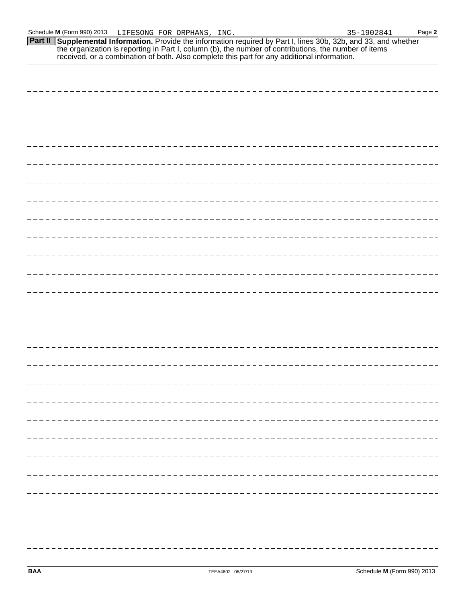**Part II** Supplemental Information. Provide the information required by Part I, lines 30b, 32b, and 33, and whether the organization is reporting in Part I, column (b), the number of contributions, the number of items received, or a combination of both. Also complete this part for any additional information.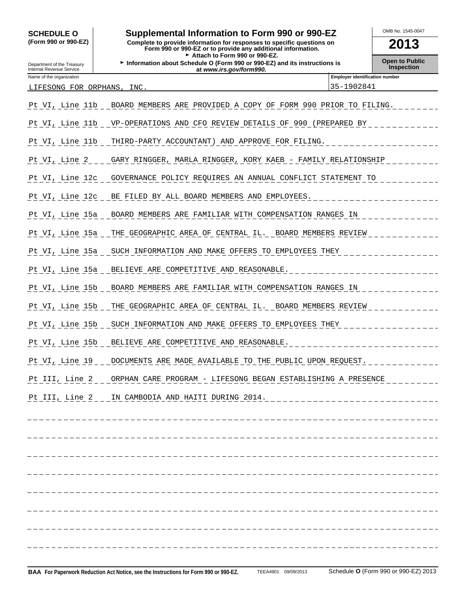# SCHEDULE O **combination to Form 990 or 990-EZ COMB No. 1545-0047**

**(Form 990 or 990-EZ) Complete to provide information for responses to specific questions on Form 990 or 990-EZ or to provide any additional information. 2013** Attach to Form 990 or 990-EZ.

**Department of the Treasury <b>Information about Schedule O (Form 990 or 990-EZ) and its instructions is Departion Depart of Public**<br>Internal Revenue Service **Inspection at** *www.irs.gov/form990.* **at** *at www.irs.gov/f* 

|                                                                   |                 | <u>ut www.ii.aomonic.com</u>                                   |  |  |  |  |  |  |  |
|-------------------------------------------------------------------|-----------------|----------------------------------------------------------------|--|--|--|--|--|--|--|
| <b>Employer identification number</b><br>Name of the organization |                 |                                                                |  |  |  |  |  |  |  |
| 35-1902841<br>LIFESONG FOR ORPHANS, INC.                          |                 |                                                                |  |  |  |  |  |  |  |
|                                                                   |                 |                                                                |  |  |  |  |  |  |  |
|                                                                   | Pt VI, Line 11b | BOARD MEMBERS ARE PROVIDED A COPY OF FORM 990 PRIOR TO FILING. |  |  |  |  |  |  |  |
|                                                                   |                 |                                                                |  |  |  |  |  |  |  |

| Pt VI, Line 11b VP-OPERATIONS AND CFO REVIEW DETAILS OF 990 (PREPARED BY              |
|---------------------------------------------------------------------------------------|
| Pt VI, Line 11b __ THIRD-PARTY_ACCOUNTANT)_AND_APPROVE_FOR_FILING.___________________ |
| Pt VI, Line 2 _ _ GARY RINGGER, MARLA RINGGER, KORY KAEB - FAMILY RELATIONSHIP        |
| Pt VI, Line 12c _ GOVERNANCE POLICY REQUIRES AN ANNUAL CONFLICT STATEMENT TO ________ |
| Pt VI, Line 12c BE FILED BY ALL BOARD MEMBERS AND EMPLOYEES.                          |
| Pt VI, Line 15a _ BOARD MEMBERS ARE FAMILIAR WITH COMPENSATION RANGES IN ___________  |
| Pt VI, Line 15a _ THE GEOGRAPHIC AREA OF CENTRAL IL. _ BOARD MEMBERS REVIEW           |
| Pt VI, Line 15a _ SUCH INFORMATION AND MAKE OFFERS TO EMPLOYEES THEY ____________     |
|                                                                                       |
| Pt VI, Line 15b _ BOARD MEMBERS ARE FAMILIAR WITH COMPENSATION RANGES IN              |
| Pt VI, Line 15b THE GEOGRAPHIC AREA OF CENTRAL IL. BOARD MEMBERS REVIEW               |
| Pt VI, Line 15b _ SUCH INFORMATION AND MAKE OFFERS TO EMPLOYEES THEY __________       |
| Pt VI, Line 15b __ BELIEVE ARE COMPETITIVE AND REASONABLE.                            |
| Pt VI, Line 19 _ _ DOCUMENTS ARE MADE AVAILABLE TO THE PUBLIC UPON REQUEST.           |
| Pt III, Line 2 _ _ ORPHAN CARE PROGRAM - LIFESONG BEGAN ESTABLISHING A PRESENCE       |
|                                                                                       |
|                                                                                       |
|                                                                                       |
|                                                                                       |
|                                                                                       |
|                                                                                       |
|                                                                                       |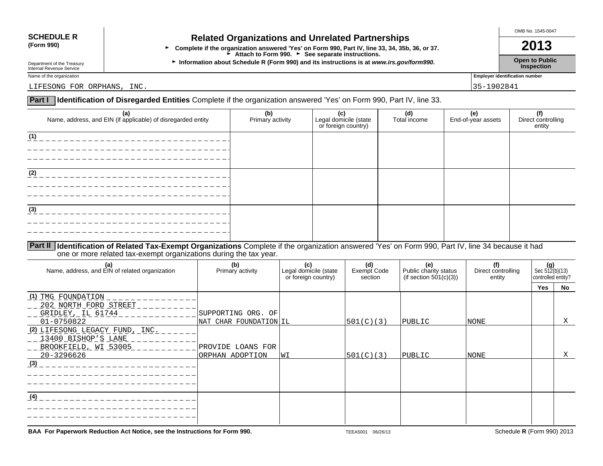| (Form 990) |  |
|------------|--|
|------------|--|

# SCHEDULE R **Related Organizations and Unrelated Partnerships**

**(Form 990)** <sup>G</sup>**Complete if the organization answered 'Yes' on Form 990, Part IV, line 33, 34, 35b, 36, or 37. 2013** Attach to Form 990. **Corners** See separate instructions.

Department of the Treasury **Information about Schedule R (Form 990) and its instructions is at** *www.irs.gov/form990.* **Open to Public <b>Inspection**<br>Internal Revenue Service **Inspection** Department of the Treasury<br>Internal Revenue Service **Inspection**<br>Internal Revenue Service **Inspection** 

OMB No. 1545-0047

Name of the organization **Employer identification number** 

LIFESONG FOR ORPHANS, INC. 2002/04/12 and 2003/04/2003 135-1902/04/2004 135-1902/04/2004 15-1902

# **Part I Identification of Disregarded Entities** Complete if the organization answered 'Yes' on Form 990, Part IV, line 33.

| (a)<br>Name, address, and EIN (if applicable) of disregarded entity | (b)<br>Primary activity | (c)<br>Legal domicile (state<br>or foreign country) | (d)<br>Total income | (e)<br>End-of-year assets | Direct controlling<br>  Direct controlling<br>  entity |
|---------------------------------------------------------------------|-------------------------|-----------------------------------------------------|---------------------|---------------------------|--------------------------------------------------------|
| (1)                                                                 |                         |                                                     |                     |                           |                                                        |
| (2)                                                                 |                         |                                                     |                     |                           |                                                        |
| (3)                                                                 |                         |                                                     |                     |                           |                                                        |
|                                                                     |                         |                                                     |                     |                           |                                                        |

**Part II Identification of Related Tax-Exempt Organizations** Complete if the organization answered 'Yes' on Form 990, Part IV, line 34 because it had one or more related tax-exempt organizations during the tax year.

| (a)<br>Name, address, and EIN of related organization                                                     | (b)<br>Primary activity                                        | (c)<br>Legal domicile (state<br>or foreign country) | (d)<br>Exempt Code<br>section | (e)<br>Public charity status<br>(if section $501(c)(3)$ ) | (f)<br>Direct controlling<br>entity | $(g)$<br>Sec 512(b)(13)<br>controlled entity? |    |
|-----------------------------------------------------------------------------------------------------------|----------------------------------------------------------------|-----------------------------------------------------|-------------------------------|-----------------------------------------------------------|-------------------------------------|-----------------------------------------------|----|
|                                                                                                           |                                                                |                                                     |                               |                                                           |                                     | <b>Yes</b>                                    | No |
| (1) TMG FOUNDATION<br>202 NORTH FORD STREET<br>GRIDLEY, IL 61744                                          | SUPPORTING ORG. OF                                             |                                                     |                               |                                                           |                                     |                                               | Χ  |
| 01-0750822<br>(2) LIFESONG LEGACY FUND, INC.<br>13400 BISHOP'S LANE<br>BROOKFIELD, WI 53005<br>20-3296626 | NAT CHAR FOUNDATION IL<br>PROVIDE LOANS FOR<br>ORPHAN ADOPTION | WΙ                                                  | 501(C)(3) <br>501(C)(3)       | PUBLIC<br>PUBLIC                                          | NONE<br><b>NONE</b>                 |                                               | X  |
| (3)                                                                                                       |                                                                |                                                     |                               |                                                           |                                     |                                               |    |
| (4)                                                                                                       |                                                                |                                                     |                               |                                                           |                                     |                                               |    |

**BAA For Paperwork Reduction Act Notice, see the Instructions for Form 990.** TEEA5001 06/26/13 Schedule **R** (Form 990) 2013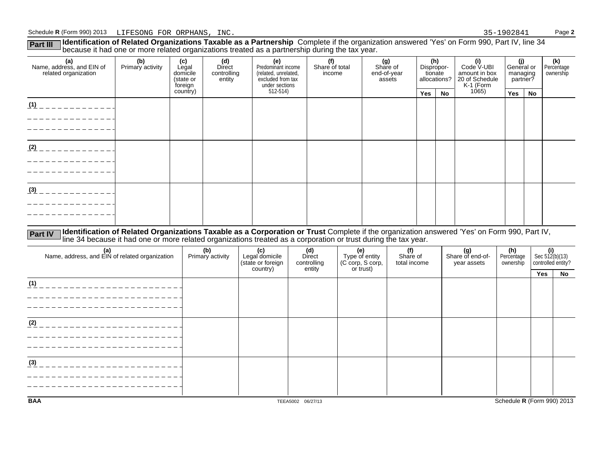Part III Ildentification of Related Organizations Taxable as a Partnership Complete if the organization answered 'Yes' on Form 990, Part IV, line 34<br>because it had one or more related organizations treated as a partnership

| (a)<br>Name, address, and EIN of<br>related organization | (b)<br>Primary activity | (c)<br>Legal<br>domicile<br>(state or<br>foreign | (d)<br>Direct<br>controlling<br>entity | (e)<br>Predominant income<br>(related, unrelated,<br>excluded from tax<br>under sections | (f)<br>Share of total<br>income | (g)<br>Share of<br>end-of-year<br>assets |     | (h)<br>Dispropor-<br>(i)<br>Code V-UBI<br>amount in box<br>tionate<br>allocations?<br>20 of Schedule |                    | (j)<br>General or<br>managing<br>partner? |    | (k)<br>Percentage<br>ownership |
|----------------------------------------------------------|-------------------------|--------------------------------------------------|----------------------------------------|------------------------------------------------------------------------------------------|---------------------------------|------------------------------------------|-----|------------------------------------------------------------------------------------------------------|--------------------|-------------------------------------------|----|--------------------------------|
|                                                          |                         | country)                                         |                                        | 512-514)                                                                                 |                                 |                                          | Yes | No                                                                                                   | K-1 (Form<br>1065) | Yes                                       | No |                                |
| (1)                                                      |                         |                                                  |                                        |                                                                                          |                                 |                                          |     |                                                                                                      |                    |                                           |    |                                |
|                                                          |                         |                                                  |                                        |                                                                                          |                                 |                                          |     |                                                                                                      |                    |                                           |    |                                |
| (2)                                                      |                         |                                                  |                                        |                                                                                          |                                 |                                          |     |                                                                                                      |                    |                                           |    |                                |
|                                                          |                         |                                                  |                                        |                                                                                          |                                 |                                          |     |                                                                                                      |                    |                                           |    |                                |
| (3)                                                      |                         |                                                  |                                        |                                                                                          |                                 |                                          |     |                                                                                                      |                    |                                           |    |                                |
|                                                          |                         |                                                  |                                        |                                                                                          |                                 |                                          |     |                                                                                                      |                    |                                           |    |                                |

Part IV Identification of Related Organizations Taxable as a Corporation or Trust Complete if the organization answered 'Yes' on Form 990, Part IV,<br>line 34 because it had one or more related organizations treated as a corp

| (a)<br>Name, address, and EIN of related organization | (b)<br>Primary activity | (c)<br>Legal domicile<br>(state or foreign<br>country) | (d)<br>Direct<br>controlling<br>entity | (e)<br>Type of entity<br>(C corp, S corp,<br>or trust) | (f)<br>Share of<br>total income | (g)<br>Share of end-of-<br>year assets | (h)<br>Percentage<br>ownership | $\left\{\n \begin{array}{l}\n \text{(i)} \\  \text{Sec } 512(b)(13) \\  \text{controlled entity?}\n \end{array}\n\right.$ |    |
|-------------------------------------------------------|-------------------------|--------------------------------------------------------|----------------------------------------|--------------------------------------------------------|---------------------------------|----------------------------------------|--------------------------------|---------------------------------------------------------------------------------------------------------------------------|----|
|                                                       |                         |                                                        |                                        |                                                        |                                 |                                        |                                | Yes                                                                                                                       | No |
| (1)                                                   |                         |                                                        |                                        |                                                        |                                 |                                        |                                |                                                                                                                           |    |
|                                                       |                         |                                                        |                                        |                                                        |                                 |                                        |                                |                                                                                                                           |    |
|                                                       |                         |                                                        |                                        |                                                        |                                 |                                        |                                |                                                                                                                           |    |
| (2)                                                   |                         |                                                        |                                        |                                                        |                                 |                                        |                                |                                                                                                                           |    |
|                                                       |                         |                                                        |                                        |                                                        |                                 |                                        |                                |                                                                                                                           |    |
|                                                       |                         |                                                        |                                        |                                                        |                                 |                                        |                                |                                                                                                                           |    |
| (3)                                                   |                         |                                                        |                                        |                                                        |                                 |                                        |                                |                                                                                                                           |    |
|                                                       |                         |                                                        |                                        |                                                        |                                 |                                        |                                |                                                                                                                           |    |
|                                                       |                         |                                                        |                                        |                                                        |                                 |                                        |                                |                                                                                                                           |    |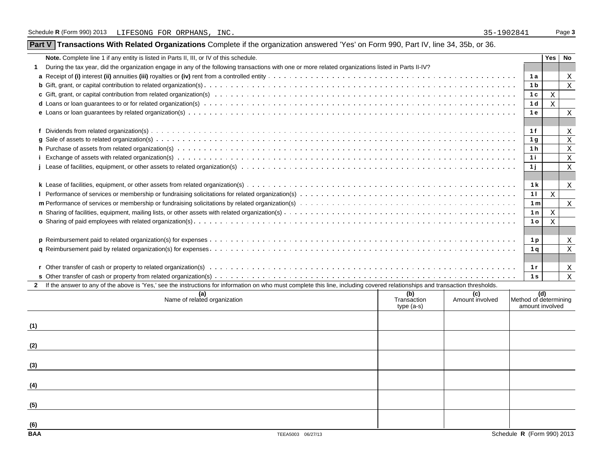| Part V Transactions With Related Organizations Complete if the organization answered 'Yes' on Form 990, Part IV, line 34, 35b, or 36. |  |
|---------------------------------------------------------------------------------------------------------------------------------------|--|
|                                                                                                                                       |  |

|              | <b>Note.</b> Complete line 1 if any entity is listed in Parts II, III, or IV of this schedule.                                                                                                                                 |                              | Yes No       |                           |
|--------------|--------------------------------------------------------------------------------------------------------------------------------------------------------------------------------------------------------------------------------|------------------------------|--------------|---------------------------|
|              | During the tax year, did the organization engage in any of the following transactions with one or more related organizations listed in Parts II-IV?                                                                            |                              |              |                           |
|              |                                                                                                                                                                                                                                | 1 a                          |              | X                         |
|              |                                                                                                                                                                                                                                | 1 <sub>b</sub>               |              | $\boldsymbol{\mathrm{X}}$ |
|              |                                                                                                                                                                                                                                | 1 <sub>c</sub>               | X            |                           |
|              | d Loans or loan guarantees to or for related organization(s) we want with the content of the content of the content of the content of the content of the content or content of the content of the content of the content of th | 1 <sub>d</sub>               | X            |                           |
|              |                                                                                                                                                                                                                                | 1 e                          |              | $\mathbf{X}$              |
|              |                                                                                                                                                                                                                                |                              |              |                           |
|              |                                                                                                                                                                                                                                | 1 f                          |              | X                         |
|              |                                                                                                                                                                                                                                | 1 <sub>q</sub>               |              | $\boldsymbol{\mathrm{X}}$ |
|              |                                                                                                                                                                                                                                | 1 <sub>h</sub>               |              | X                         |
|              |                                                                                                                                                                                                                                | 1 i                          |              | $\mathbf{X}$              |
|              |                                                                                                                                                                                                                                | 1j                           |              | X                         |
|              |                                                                                                                                                                                                                                |                              |              |                           |
|              |                                                                                                                                                                                                                                | 1 k                          |              | X                         |
|              |                                                                                                                                                                                                                                | 11                           | $\mathbf{x}$ |                           |
|              |                                                                                                                                                                                                                                | 1 <sub>m</sub>               |              | $\mathbf{X}$              |
|              |                                                                                                                                                                                                                                | 1n                           | X            |                           |
|              |                                                                                                                                                                                                                                | 1 <sub>o</sub>               | X            |                           |
|              |                                                                                                                                                                                                                                |                              |              |                           |
|              |                                                                                                                                                                                                                                | 1 <sub>p</sub>               |              | $\mathbf{X}$              |
|              |                                                                                                                                                                                                                                | 1 <sub>a</sub>               |              | $\boldsymbol{\mathrm{X}}$ |
|              |                                                                                                                                                                                                                                |                              |              |                           |
|              |                                                                                                                                                                                                                                | 1r                           |              | X                         |
|              |                                                                                                                                                                                                                                | 1 <sub>s</sub>               |              | $\mathbf{X}$              |
| $\mathbf{2}$ | If the answer to any of the above is 'Yes,' see the instructions for information on who must complete this line, including covered relationships and transaction thresholds.                                                   |                              |              |                           |
|              | (b)<br>(c)<br>(a)<br>Name of related organization<br>Amount involved<br>Trancaction                                                                                                                                            | (d)<br>Method of determining |              |                           |
|              |                                                                                                                                                                                                                                |                              |              |                           |

|            | (a)<br>Name of related organization | (b)<br>Transaction<br>type (a-s) | (c)<br>Amount involved | (d)<br>Method of determining<br>amount involved |
|------------|-------------------------------------|----------------------------------|------------------------|-------------------------------------------------|
| (1)        |                                     |                                  |                        |                                                 |
| (2)        |                                     |                                  |                        |                                                 |
| (3)        |                                     |                                  |                        |                                                 |
| (4)        |                                     |                                  |                        |                                                 |
| (5)        |                                     |                                  |                        |                                                 |
| (6)        |                                     |                                  |                        |                                                 |
| <b>BAA</b> | TEEA5003 06/27/13                   |                                  |                        | Schedule R (Form 990) 2013                      |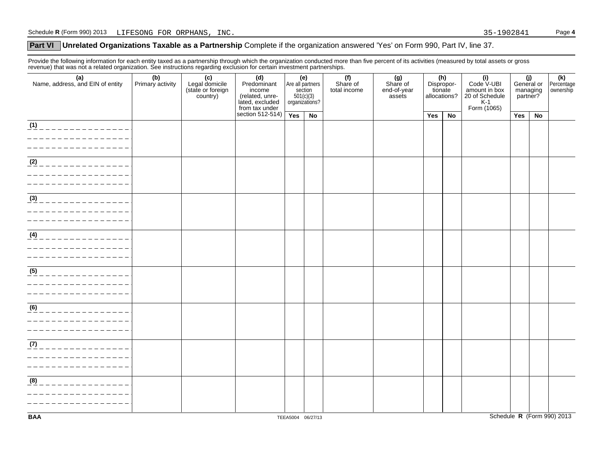## **Part VI** Unrelated Organizations Taxable as a Partnership Complete if the organization answered 'Yes' on Form 990, Part IV, line 37.

Provide the following information for each entity taxed as a partnership through which the organization conducted more than five percent of its activities (measured by total assets or gross revenue) that was not a related organization. See instructions regarding exclusion for certain investment partnerships.

| (a)<br>Name, address, and EIN of entity                             | (b)<br>Primary activity | (c)<br>Legal domicile<br>(state or foreign<br>country) | (d)<br>Predominant<br>income<br>(related, unre-<br>lated, excluded<br>from tax under | (e)<br>Are all partners<br>section<br>501(c)(3)<br>organizations? |                   | (f)<br>Share of<br>total income | (g)<br>Share of<br>end-of-year<br>assets | (h)<br>Dispropor-<br>tionate<br>allocations? |    | (i)<br>Code V-UBI<br>amount in box<br>20 of Schedule<br>$K-1$<br>Form (1065) | (j)<br>General or<br>managing<br>partner? |    | (k)<br>Percentage<br>ownership |
|---------------------------------------------------------------------|-------------------------|--------------------------------------------------------|--------------------------------------------------------------------------------------|-------------------------------------------------------------------|-------------------|---------------------------------|------------------------------------------|----------------------------------------------|----|------------------------------------------------------------------------------|-------------------------------------------|----|--------------------------------|
|                                                                     |                         |                                                        | section $512-514$ )                                                                  | Yes                                                               | No                |                                 |                                          | Yes                                          | No |                                                                              | Yes                                       | No |                                |
| (1)<br>______________                                               |                         |                                                        |                                                                                      |                                                                   |                   |                                 |                                          |                                              |    |                                                                              |                                           |    |                                |
| (2)<br><u>_______________</u>                                       |                         |                                                        |                                                                                      |                                                                   |                   |                                 |                                          |                                              |    |                                                                              |                                           |    |                                |
| (3)<br>______________                                               |                         |                                                        |                                                                                      |                                                                   |                   |                                 |                                          |                                              |    |                                                                              |                                           |    |                                |
| (4)<br>_______________                                              |                         |                                                        |                                                                                      |                                                                   |                   |                                 |                                          |                                              |    |                                                                              |                                           |    |                                |
| $(5)$ _ _ _ _ _ _ _ _ _ _ _ _ _ _ _ _                               |                         |                                                        |                                                                                      |                                                                   |                   |                                 |                                          |                                              |    |                                                                              |                                           |    |                                |
| (6)                                                                 |                         |                                                        |                                                                                      |                                                                   |                   |                                 |                                          |                                              |    |                                                                              |                                           |    |                                |
| (7)<br>______________<br><u>______________</u><br>_________________ |                         |                                                        |                                                                                      |                                                                   |                   |                                 |                                          |                                              |    |                                                                              |                                           |    |                                |
| (8)<br>_____________                                                |                         |                                                        |                                                                                      |                                                                   |                   |                                 |                                          |                                              |    |                                                                              |                                           |    |                                |
| <b>BAA</b>                                                          |                         |                                                        |                                                                                      |                                                                   | TEEA5004 06/27/13 |                                 |                                          |                                              |    |                                                                              |                                           |    | Schedule R (Form 990) 2013     |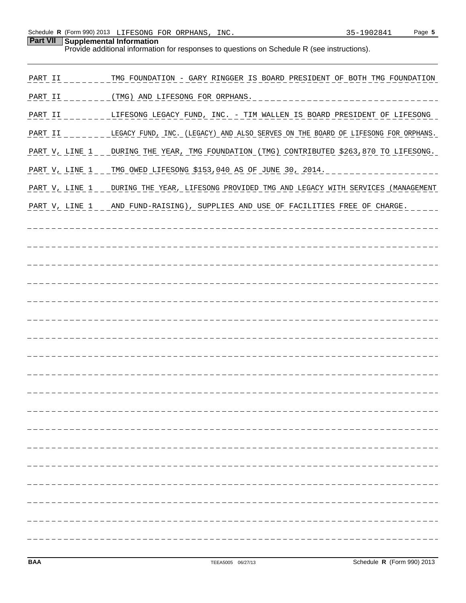**Part VII Supplemental Information**

| Provide additional information for responses to questions on Schedule R (see instructions). |                                                                                                       |  |  |  |  |  |
|---------------------------------------------------------------------------------------------|-------------------------------------------------------------------------------------------------------|--|--|--|--|--|
| PART II                                                                                     | TMG FOUNDATION - GARY RINGGER IS BOARD PRESIDENT OF BOTH TMG FOUNDATION                               |  |  |  |  |  |
| PART II                                                                                     | ________(TMG) AND LIFESONG FOR ORPHANS.                                                               |  |  |  |  |  |
|                                                                                             | PART II _ _ _ _ _ _ _ LIFESONG LEGACY FUND, INC. - TIM WALLEN IS BOARD PRESIDENT OF LIFESONG          |  |  |  |  |  |
|                                                                                             | PART II _______LEGACY FUND, INC. (LEGACY) AND ALSO SERVES ON THE BOARD OF LIFESONG FOR ORPHANS.       |  |  |  |  |  |
|                                                                                             | PART V, LINE 1 _ _ DURING THE YEAR, TMG FOUNDATION (TMG) CONTRIBUTED \$263,870 TO LIFESONG.           |  |  |  |  |  |
|                                                                                             | PART V, LINE 1 _ _ TMG OWED LIFESONG \$153,040 AS OF JUNE 30, 2014. _ _ _ _ _ _ _ _ _ _ _ _ _ _ _ _ _ |  |  |  |  |  |
|                                                                                             | PART V, LINE 1 _ _ _ DURING THE YEAR, LIFESONG PROVIDED TMG AND LEGACY WITH SERVICES (MANAGEMENT      |  |  |  |  |  |
|                                                                                             | PART V, LINE 1 _ _ _ AND_FUND-RAISING), SUPPLIES AND USE OF FACILITIES FREE OF CHARGE.                |  |  |  |  |  |
|                                                                                             |                                                                                                       |  |  |  |  |  |
|                                                                                             |                                                                                                       |  |  |  |  |  |
|                                                                                             |                                                                                                       |  |  |  |  |  |
|                                                                                             |                                                                                                       |  |  |  |  |  |
|                                                                                             |                                                                                                       |  |  |  |  |  |
|                                                                                             |                                                                                                       |  |  |  |  |  |
|                                                                                             |                                                                                                       |  |  |  |  |  |
|                                                                                             |                                                                                                       |  |  |  |  |  |
|                                                                                             |                                                                                                       |  |  |  |  |  |
|                                                                                             |                                                                                                       |  |  |  |  |  |
|                                                                                             |                                                                                                       |  |  |  |  |  |
|                                                                                             |                                                                                                       |  |  |  |  |  |
|                                                                                             |                                                                                                       |  |  |  |  |  |
|                                                                                             |                                                                                                       |  |  |  |  |  |
|                                                                                             |                                                                                                       |  |  |  |  |  |
|                                                                                             |                                                                                                       |  |  |  |  |  |
|                                                                                             |                                                                                                       |  |  |  |  |  |
|                                                                                             |                                                                                                       |  |  |  |  |  |
|                                                                                             |                                                                                                       |  |  |  |  |  |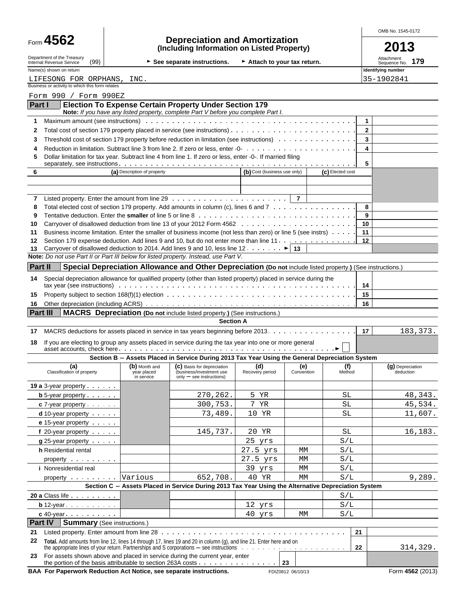| Form | 4562 |  |
|------|------|--|
|------|------|--|

# Form **4562 Depreciation and Amortization (Including Information on Listed Property) 2013**

OMB No. 1545-0172

|  | ZU' | и.<br>L |  |
|--|-----|---------|--|
|  |     |         |  |

| Department of the Treasury<br>(99)<br>Internal Revenue Service<br>Name(s) shown on return                                                                                                                                           |                             | See separate instructions.                                                                                  | Attach to your tax return.   |            |                  |              | Attachment<br>179<br>Sequence No.<br>Identifying number |
|-------------------------------------------------------------------------------------------------------------------------------------------------------------------------------------------------------------------------------------|-----------------------------|-------------------------------------------------------------------------------------------------------------|------------------------------|------------|------------------|--------------|---------------------------------------------------------|
| LIFESONG FOR ORPHANS, INC.                                                                                                                                                                                                          |                             |                                                                                                             |                              |            |                  |              |                                                         |
| Business or activity to which this form relates                                                                                                                                                                                     |                             |                                                                                                             |                              |            |                  |              | 35-1902841                                              |
| Form 990 / Form 990EZ                                                                                                                                                                                                               |                             |                                                                                                             |                              |            |                  |              |                                                         |
| <b>Part I</b>                                                                                                                                                                                                                       |                             | <b>Election To Expense Certain Property Under Section 179</b>                                               |                              |            |                  |              |                                                         |
|                                                                                                                                                                                                                                     |                             | Note: If you have any listed property, complete Part V before you complete Part I.                          |                              |            |                  |              |                                                         |
| Maximum amount (see instructions) with the content of the content of the content of the content of the content of the content of the content of the content of the content of the content of the content of the content of the<br>1 |                             |                                                                                                             |                              |            |                  | 1            |                                                         |
| 2                                                                                                                                                                                                                                   |                             |                                                                                                             |                              |            |                  | $\mathbf{2}$ |                                                         |
| Threshold cost of section 179 property before reduction in limitation (see instructions)<br>3                                                                                                                                       |                             |                                                                                                             |                              |            |                  | 3            |                                                         |
| 4                                                                                                                                                                                                                                   |                             |                                                                                                             |                              |            |                  | 4            |                                                         |
| Dollar limitation for tax year. Subtract line 4 from line 1. If zero or less, enter -0-. If married filing<br>5                                                                                                                     |                             |                                                                                                             |                              |            |                  |              |                                                         |
|                                                                                                                                                                                                                                     |                             |                                                                                                             |                              |            |                  | 5            |                                                         |
| 6                                                                                                                                                                                                                                   | (a) Description of property |                                                                                                             | (b) Cost (business use only) |            | (c) Elected cost |              |                                                         |
|                                                                                                                                                                                                                                     |                             |                                                                                                             |                              |            |                  |              |                                                         |
|                                                                                                                                                                                                                                     |                             |                                                                                                             |                              |            |                  |              |                                                         |
| 7<br>Total elected cost of section 179 property. Add amounts in column (c), lines 6 and 7<br>8                                                                                                                                      |                             |                                                                                                             |                              |            |                  | 8            |                                                         |
| 9                                                                                                                                                                                                                                   |                             |                                                                                                             |                              |            |                  | 9            |                                                         |
| 10                                                                                                                                                                                                                                  |                             |                                                                                                             |                              |            |                  | 10           |                                                         |
| Business income limitation. Enter the smaller of business income (not less than zero) or line 5 (see instrs)<br>11                                                                                                                  |                             |                                                                                                             |                              |            |                  | 11           |                                                         |
| Section 179 expense deduction. Add lines 9 and 10, but do not enter more than line 11.<br>12                                                                                                                                        |                             |                                                                                                             |                              |            |                  | 12           |                                                         |
| Carryover of disallowed deduction to 2014. Add lines 9 and 10, less line 12. $\blacktriangleright$   13<br>13                                                                                                                       |                             |                                                                                                             |                              |            |                  |              |                                                         |
| Note: Do not use Part II or Part III below for listed property. Instead, use Part V.                                                                                                                                                |                             |                                                                                                             |                              |            |                  |              |                                                         |
| <b>Part II</b>                                                                                                                                                                                                                      |                             | Special Depreciation Allowance and Other Depreciation (Do not include listed property.) (See instructions.) |                              |            |                  |              |                                                         |
| Special depreciation allowance for qualified property (other than listed property) placed in service during the<br>14                                                                                                               |                             |                                                                                                             |                              |            |                  |              |                                                         |
|                                                                                                                                                                                                                                     |                             |                                                                                                             |                              |            |                  | 14<br>15     |                                                         |
| 15<br>16                                                                                                                                                                                                                            |                             |                                                                                                             |                              |            |                  | 16           |                                                         |
| <b>Part III</b>                                                                                                                                                                                                                     |                             | <b>MACRS</b> Depreciation (Do not include listed property.) (See instructions.)                             |                              |            |                  |              |                                                         |
|                                                                                                                                                                                                                                     |                             | <b>Section A</b>                                                                                            |                              |            |                  |              |                                                         |
| MACRS deductions for assets placed in service in tax years beginning before 2013.<br>17                                                                                                                                             |                             |                                                                                                             |                              |            |                  | 17           | 183, 373.                                               |
| If you are electing to group any assets placed in service during the tax year into one or more general<br>18                                                                                                                        |                             |                                                                                                             |                              |            |                  |              |                                                         |
|                                                                                                                                                                                                                                     |                             | Section B - Assets Placed in Service During 2013 Tax Year Using the General Depreciation System             |                              |            |                  |              |                                                         |
| (a)                                                                                                                                                                                                                                 | (b) Month and               | (C) Basis for depreciation                                                                                  | (d)                          | (e)        | (f)              |              | (g) Depreciation                                        |
| Classification of property                                                                                                                                                                                                          | year placed<br>in service   | (business/investment use<br>$only - see$ instructions)                                                      | Recovery period              | Convention | Method           |              | deduction                                               |
| <b>19 a</b> 3-year property $\cdots$                                                                                                                                                                                                |                             |                                                                                                             |                              |            |                  |              |                                                         |
| $b 5-year property.$                                                                                                                                                                                                                |                             | 270,262.                                                                                                    | 5 YR                         |            | SL               |              | 48,343.                                                 |
| $c$ 7-year property $\cdots$                                                                                                                                                                                                        |                             | 300,753.                                                                                                    | 7 YR                         |            | SL               |              | 45,534.                                                 |
| $d$ 10-year property $\cdots$                                                                                                                                                                                                       |                             | 73,489.                                                                                                     | 10 YR                        |            | SL               |              | 11,607.                                                 |
| e 15-year property $\cdots$                                                                                                                                                                                                         |                             |                                                                                                             |                              |            |                  |              |                                                         |
| f 20-year property                                                                                                                                                                                                                  |                             | 145,737.                                                                                                    | 20 YR                        |            | SL               |              | 16,183.                                                 |
| $g$ 25-year property $\cdots$                                                                                                                                                                                                       |                             |                                                                                                             | 25 yrs                       |            | S/L              |              |                                                         |
| <b>h</b> Residential rental                                                                                                                                                                                                         |                             |                                                                                                             | 27.5 yrs                     | МM         | S/L              |              |                                                         |
| property exercise the contract of the contract of the contract of the contract of the contract of the contract of the contract of the contract of the contract of the contract of the contract of the contract of the contract      |                             |                                                                                                             | 27.5 yrs                     | МM         | S/L              |              |                                                         |
| <i>i</i> Nonresidential real                                                                                                                                                                                                        |                             |                                                                                                             | 39 yrs                       | МM         | S/L              |              |                                                         |
| property $\cdots$                                                                                                                                                                                                                   | Various                     | 652,708.                                                                                                    | 40 YR                        | МM         | S/L              |              | 9,289.                                                  |
|                                                                                                                                                                                                                                     |                             | Section C - Assets Placed in Service During 2013 Tax Year Using the Alternative Depreciation System         |                              |            |                  |              |                                                         |
| 20 a Class life                                                                                                                                                                                                                     |                             |                                                                                                             |                              |            | S/L              |              |                                                         |
| $b$ 12-year $\ldots$ $\ldots$ $\ldots$                                                                                                                                                                                              |                             |                                                                                                             | 12 yrs                       |            | S/L              |              |                                                         |
| $c$ 40-year $\ldots$ $\ldots$ $\ldots$                                                                                                                                                                                              |                             |                                                                                                             | 40 yrs                       | МM         | S/L              |              |                                                         |
| <b>Part IV</b><br><b>Summary (See instructions.)</b>                                                                                                                                                                                |                             |                                                                                                             |                              |            |                  |              |                                                         |
| Listed property. Enter amount from line 28<br>21                                                                                                                                                                                    |                             |                                                                                                             |                              |            | 21               |              |                                                         |
| 22<br>Total. Add amounts from line 12, lines 14 through 17, lines 19 and 20 in column (g), and line 21. Enter here and on                                                                                                           |                             |                                                                                                             |                              |            | 22               |              | 314,329.                                                |
|                                                                                                                                                                                                                                     |                             |                                                                                                             |                              |            |                  |              |                                                         |

**BAA For Paperwork Reduction Act Notice, see separate instructions.** FDIZ0812 06/10/13 FORM 4562 (2013)

**23** For assets shown above and placed in service during the current year, enter

the portion of the basis attributable to section 263A costs **2001 23 23**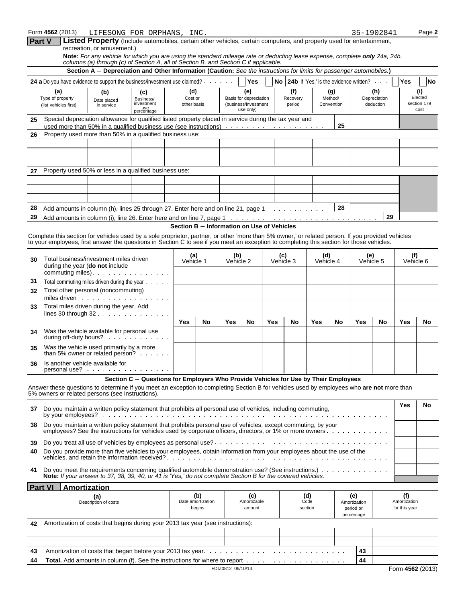| Form 4562 (2013) | LIFESONG FOR ORPHANS, INC.                                                                                                                                                                                          | 35-1902841                                                     | Page 2    |
|------------------|---------------------------------------------------------------------------------------------------------------------------------------------------------------------------------------------------------------------|----------------------------------------------------------------|-----------|
| <b>Part V</b>    | Listed Property (Include automobiles, certain other vehicles, certain computers, and property used for entertainment,<br>recreation, or amusement.)                                                                 |                                                                |           |
|                  | Note: For any vehicle for which you are using the standard mileage rate or deducting lease expense, complete only 24a, 24b,<br>columns (a) through (c) of Section A, all of Section B, and Section C if applicable. |                                                                |           |
|                  | Section A - Depreciation and Other Information (Caution: See the instructions for limits for passenger automobiles.)                                                                                                |                                                                |           |
|                  | Yes<br><b>24 a</b> Do you have evidence to support the business/investment use claimed?                                                                                                                             | <b>No 24b</b> If 'Yes.' is the evidence written?<br><b>Yes</b> | <b>No</b> |

| <b>24 a</b> Do you have evidence to support the business/investment use claimed?<br><b>24b</b> If 'Yes,' is the evidence written?<br><b>Yes</b><br>No l |                                                          |                                  |                                                     |                               |                                                                    |                           |                              | <b>No</b><br>Yes                 |                                |
|---------------------------------------------------------------------------------------------------------------------------------------------------------|----------------------------------------------------------|----------------------------------|-----------------------------------------------------|-------------------------------|--------------------------------------------------------------------|---------------------------|------------------------------|----------------------------------|--------------------------------|
|                                                                                                                                                         | (a)<br>Type of property<br>(list vehicles first)         | (b)<br>Date placed<br>in service | (c)<br>Business/<br>investment<br>use<br>percentage | (d)<br>Cost or<br>other basis | (e)<br>Basis for depreciation<br>(business/investment<br>use only) | (f)<br>Recovery<br>period | (g)<br>Method/<br>Convention | (h)<br>Depreciation<br>deduction | Elected<br>section 179<br>cost |
| Special depreciation allowance for qualified listed property placed in service during the tax year and<br>25<br>25                                      |                                                          |                                  |                                                     |                               |                                                                    |                           |                              |                                  |                                |
| 26                                                                                                                                                      | Property used more than 50% in a qualified business use: |                                  |                                                     |                               |                                                                    |                           |                              |                                  |                                |
|                                                                                                                                                         |                                                          |                                  |                                                     |                               |                                                                    |                           |                              |                                  |                                |
|                                                                                                                                                         |                                                          |                                  |                                                     |                               |                                                                    |                           |                              |                                  |                                |
|                                                                                                                                                         |                                                          |                                  |                                                     |                               |                                                                    |                           |                              |                                  |                                |
| 27                                                                                                                                                      | Property used 50% or less in a qualified business use:   |                                  |                                                     |                               |                                                                    |                           |                              |                                  |                                |
|                                                                                                                                                         |                                                          |                                  |                                                     |                               |                                                                    |                           |                              |                                  |                                |
|                                                                                                                                                         |                                                          |                                  |                                                     |                               |                                                                    |                           |                              |                                  |                                |
|                                                                                                                                                         |                                                          |                                  |                                                     |                               |                                                                    |                           |                              |                                  |                                |
| 28<br>28<br>Add amounts in column (h), lines 25 through 27. Enter here and on line 21, page 1 $\dots \dots \dots$                                       |                                                          |                                  |                                                     |                               |                                                                    |                           |                              |                                  |                                |
| 29<br>29                                                                                                                                                |                                                          |                                  |                                                     |                               |                                                                    |                           |                              |                                  |                                |

### **Section B - Information on Use of Vehicles**

Complete this section for vehicles used by a sole proprietor, partner, or other 'more than 5% owner,' or related person. If you provided vehicles to your employees, first answer the questions in Section C to see if you meet an exception to completing this section for those vehicles.

| 30                                                                                                                 | Total business/investment miles driven<br>during the year (do not include<br>commuting miles). $\cdots$                                                                                                                                                                              | (a)<br>Vehicle 1 |                                    | (b)<br>Vehicle 2 |                              | (c)<br>Vehicle 3 |    | (d)<br>Vehicle 4       |    | (e)<br>Vehicle 5                               |    | (f)<br>Vehicle 6                     |    |
|--------------------------------------------------------------------------------------------------------------------|--------------------------------------------------------------------------------------------------------------------------------------------------------------------------------------------------------------------------------------------------------------------------------------|------------------|------------------------------------|------------------|------------------------------|------------------|----|------------------------|----|------------------------------------------------|----|--------------------------------------|----|
| 31                                                                                                                 | Total commuting miles driven during the year                                                                                                                                                                                                                                         |                  |                                    |                  |                              |                  |    |                        |    |                                                |    |                                      |    |
| 32                                                                                                                 | Total other personal (noncommuting)                                                                                                                                                                                                                                                  |                  |                                    |                  |                              |                  |    |                        |    |                                                |    |                                      |    |
| 33                                                                                                                 | miles driven<br>Total miles driven during the year. Add                                                                                                                                                                                                                              |                  |                                    |                  |                              |                  |    |                        |    |                                                |    |                                      |    |
|                                                                                                                    | lines 30 through $32 \cdot \cdot \cdot \cdot \cdot \cdot \cdot \cdot \cdot \cdot$                                                                                                                                                                                                    |                  |                                    |                  |                              |                  |    |                        |    |                                                |    |                                      |    |
|                                                                                                                    |                                                                                                                                                                                                                                                                                      | <b>Yes</b>       | No                                 | <b>Yes</b>       | No                           | <b>Yes</b>       | No | <b>Yes</b>             | No | Yes                                            | No | Yes                                  | No |
| 34                                                                                                                 | Was the vehicle available for personal use<br>during off-duty hours?                                                                                                                                                                                                                 |                  |                                    |                  |                              |                  |    |                        |    |                                                |    |                                      |    |
| 35                                                                                                                 | Was the vehicle used primarily by a more<br>than 5% owner or related person? $\ldots$ .                                                                                                                                                                                              |                  |                                    |                  |                              |                  |    |                        |    |                                                |    |                                      |    |
| 36                                                                                                                 | Is another vehicle available for<br>personal use?                                                                                                                                                                                                                                    |                  |                                    |                  |                              |                  |    |                        |    |                                                |    |                                      |    |
|                                                                                                                    | Section C - Questions for Employers Who Provide Vehicles for Use by Their Employees<br>Answer these questions to determine if you meet an exception to completing Section B for vehicles used by employees who are not more than<br>5% owners or related persons (see instructions). |                  |                                    |                  |                              |                  |    |                        |    |                                                |    |                                      |    |
|                                                                                                                    |                                                                                                                                                                                                                                                                                      |                  |                                    |                  |                              |                  |    |                        |    |                                                |    | Yes                                  | No |
| Do you maintain a written policy statement that prohibits all personal use of vehicles, including commuting,<br>37 |                                                                                                                                                                                                                                                                                      |                  |                                    |                  |                              |                  |    |                        |    |                                                |    |                                      |    |
| 38                                                                                                                 | Do you maintain a written policy statement that prohibits personal use of vehicles, except commuting, by your<br>employees? See the instructions for vehicles used by corporate officers, directors, or 1% or more owners                                                            |                  |                                    |                  |                              |                  |    |                        |    |                                                |    |                                      |    |
| 39                                                                                                                 |                                                                                                                                                                                                                                                                                      |                  |                                    |                  |                              |                  |    |                        |    |                                                |    |                                      |    |
| 40                                                                                                                 | Do you provide more than five vehicles to your employees, obtain information from your employees about the use of the                                                                                                                                                                |                  |                                    |                  |                              |                  |    |                        |    |                                                |    |                                      |    |
| 41                                                                                                                 | Do you meet the requirements concerning qualified automobile demonstration use? (See instructions.)<br>Note: If your answer to 37, 38, 39, 40, or 41 is 'Yes,' do not complete Section B for the covered vehicles.                                                                   |                  |                                    |                  |                              |                  |    |                        |    |                                                |    |                                      |    |
|                                                                                                                    | Part VI<br>Amortization                                                                                                                                                                                                                                                              |                  |                                    |                  |                              |                  |    |                        |    |                                                |    |                                      |    |
|                                                                                                                    | (a)<br>Description of costs                                                                                                                                                                                                                                                          |                  | (b)<br>Date amortization<br>begins |                  | (c)<br>Amortizable<br>amount |                  |    | (d)<br>Code<br>section |    | (e)<br>Amortization<br>period or<br>percentage |    | (f)<br>Amortization<br>for this year |    |
| 42                                                                                                                 | Amortization of costs that begins during your 2013 tax year (see instructions):                                                                                                                                                                                                      |                  |                                    |                  |                              |                  |    |                        |    |                                                |    |                                      |    |
|                                                                                                                    |                                                                                                                                                                                                                                                                                      |                  |                                    |                  |                              |                  |    |                        |    |                                                |    |                                      |    |
|                                                                                                                    |                                                                                                                                                                                                                                                                                      |                  |                                    |                  |                              |                  |    |                        |    |                                                |    |                                      |    |
| 43                                                                                                                 |                                                                                                                                                                                                                                                                                      |                  |                                    |                  |                              |                  |    |                        |    | 43                                             |    |                                      |    |
| 44                                                                                                                 |                                                                                                                                                                                                                                                                                      |                  |                                    |                  |                              |                  |    |                        |    | 44                                             |    |                                      |    |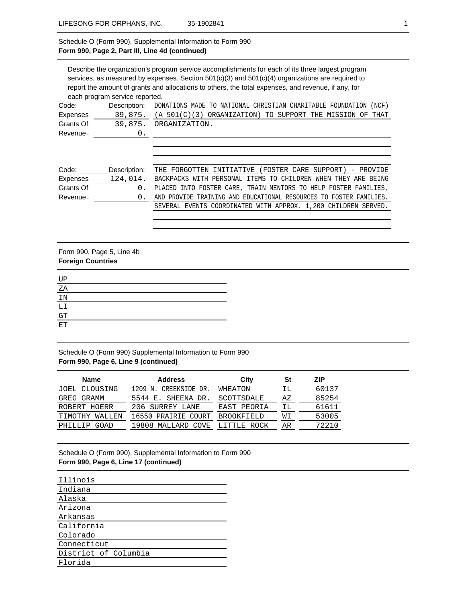# Schedule O (Form 990), Supplemental Information to Form 990 **Form 990, Page 2, Part III, Line 4d (continued)**

Describe the organization's program service accomplishments for each of its three largest program services, as measured by expenses. Section 501(c)(3) and 501(c)(4) organizations are required to report the amount of grants and allocations to others, the total expenses, and revenue, if any, for each program service reported. Code: Description: DONATIONS MADE TO NATIONAL CHRISTIAN CHARITABLE FOUNDATION (NCF) Expenses Grants Of Revenue 39,875. (A 501(C)(3) ORGANIZATION) TO SUPPORT THE MISSION OF THAT 39,875. ORGANIZATION. 0.

| Code:     | Description: | THE FORGOTTEN INITIATIVE (FOSTER CARE SUPPORT) - PROVIDE           |
|-----------|--------------|--------------------------------------------------------------------|
| Expenses  | 124,014.     | BACKPACKS WITH PERSONAL ITEMS TO CHILDREN WHEN THEY ARE BEING      |
| Grants Of |              | PLACED INTO FOSTER CARE, TRAIN MENTORS TO HELP FOSTER FAMILIES,    |
| Revenue.  |              | AND PROVIDE TRAINING AND EDUCATIONAL RESOURCES TO FOSTER FAMILIES. |
|           |              | SEVERAL EVENTS COORDINATED WITH APPROX. 1,200 CHILDREN SERVED.     |

# Form 990, Page 5, Line 4b **Foreign Countries**

| UP |  |  |  |
|----|--|--|--|
| ΖA |  |  |  |
| IN |  |  |  |
| LI |  |  |  |
| GT |  |  |  |
| ET |  |  |  |
|    |  |  |  |

Schedule O (Form 990) Supplemental Information to Form 990 **Form 990, Page 6, Line 9 (continued)**

| <b>Name</b>       | <b>Address</b>           | City              | St | <b>ZIP</b> |
|-------------------|--------------------------|-------------------|----|------------|
| JOEL CLOUSING     | 1209 N. CREEKSIDE DR.    | WHEATON           | ΙL | 60137      |
| GREG GRAMM        | 5544 E. SHEENA DR.       | SCOTTSDALE        | ΑZ | 85254      |
| ROBERT HOERR      | 206 SURREY LANE          | EAST PEORIA       | ΙL | 61611      |
| TIMOTHY<br>WALLEN | 16550 PRAIRIE COURT      | <b>BROOKFIELD</b> | WΙ | 53005      |
| PHTLLTP<br>GOAD   | MALLARD<br>19808<br>COVE | ROCK<br>LITTLE.   | AR | 72210      |

Schedule O (Form 990), Supplemental Information to Form 990 **Form 990, Page 6, Line 17 (continued)**

| Illinois             |
|----------------------|
| Indiana              |
| Alaska               |
| Arizona              |
| Arkansas             |
| California           |
| Colorado             |
| Connecticut          |
| District of Columbia |
| Florida              |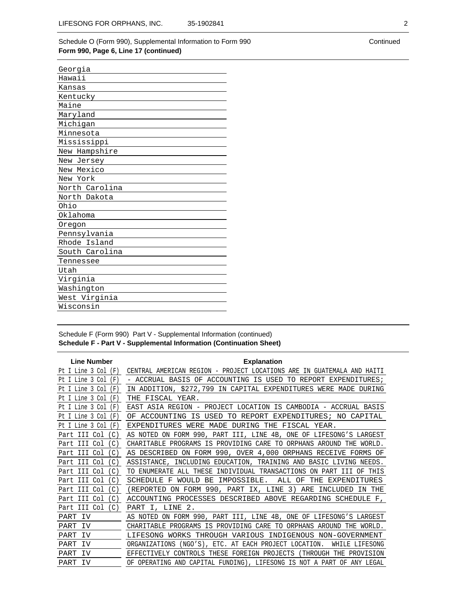## Schedule O (Form 990), Supplemental Information to Form 990 **Form 990, Page 6, Line 17 (continued)**

| Georgia        |
|----------------|
| Hawaii         |
| Kansas         |
| Kentucky       |
| Maine          |
| Maryland       |
| Michigan       |
| Minnesota      |
| Mississippi    |
| New Hampshire  |
| New Jersey     |
| New Mexico     |
| New York       |
| North Carolina |
| North Dakota   |
| Ohio           |
| Oklahoma       |
| Oregon         |
| Pennsylvania   |
| Rhode Island   |
| South Carolina |
| Tennessee      |
| Utah           |
| Virginia       |
| Washington     |
| West Virginia  |
| Wisconsin      |

## Schedule F (Form 990) Part V - Supplemental Information (continued) **Schedule F - Part V - Supplemental Information (Continuation Sheet)**

| <b>Line Number</b>                    | <b>Explanation</b>                                                                       |
|---------------------------------------|------------------------------------------------------------------------------------------|
| Pt I Line 3 Col<br>(F)                | CENTRAL AMERICAN REGION - PROJECT LOCATIONS ARE IN GUATEMALA AND HAITI                   |
| Pt I Line 3 Col<br>(F                 | - ACCRUAL BASIS OF ACCOUNTING<br>IS USED<br>TO<br>REPORT EXPENDITURES;                   |
| Pt I Line 3 Col<br>(F)                | IN ADDITION, \$272,799 IN CAPITAL EXPENDITURES WERE MADE DURING                          |
| Pt I Line 3 Col<br>(F)                | THE FISCAL YEAR.                                                                         |
| Pt I Line 3 Col<br>(F                 | EAST ASIA REGION - PROJECT LOCATION IS CAMBODIA - ACCRUAL BASIS                          |
| Pt I Line 3 Col<br>(F                 | TO<br>ACCOUNTING<br>ΙS<br>USED<br>REPORT<br>EXPENDITURES;<br>NO CAPITAL<br>OF            |
| Pt I Line 3 Col<br>(F                 | WERE<br>MADE<br>DURING<br>THE<br>EXPENDITURES<br>FISCAL YEAR.                            |
| Col<br>Part III<br>$\mathcal{C}$ )    | AS NOTED ON FORM 990, PART III, LINE 4B, ONE OF LIFESONG'S LARGEST                       |
| Col<br>C.<br>Part III                 | CHARITABLE PROGRAMS IS PROVIDING CARE TO<br>ORPHANS AROUND<br>WORLD.<br>THE              |
| III<br>Col<br>$\mathcal{C}$ )<br>Part | 990, OVER 4,000 ORPHANS RECEIVE<br>AS DESCRIBED ON FORM<br>FORMS<br>ΟF                   |
| Col<br>III.<br>$\mathsf{C}$<br>Part   | INCLUDING EDUCATION, TRAINING AND BASIC LIVING NEEDS.<br>ASSISTANCE,                     |
| Part III<br>Col<br>C)                 | ALL THESE<br>INDIVIDUAL TRANSACTIONS<br>ON PART<br>OF THIS<br>TO ENUMERATE<br>TTT        |
| Col<br>C)<br>III.<br>Part             | BE IMPOSSIBLE.<br>THE<br>EXPENDITURES<br>SCHEDULE<br>F<br>WOULD<br>ALL<br>OF             |
| Part III<br>Col<br>$\mathcal{C}$ )    | ON FORM 990, PART IX, LINE<br>3)<br>ARE<br>(REPORTED<br>INCLUDED<br>IN THE               |
| Col<br>C.<br>Part III                 | ACCOUNTING<br>PROCESSES DESCRIBED ABOVE REGARDING SCHEDULE F,                            |
| Part III Col<br>$\mathcal{C}$ )       | PART I, LINE 2.                                                                          |
| PART IV                               | ON FORM 990, PART III, LINE 4B, ONE OF LIFESONG'S LARGEST<br>AS NOTED                    |
| PART<br>TV                            | <b>CHARTTABLE</b><br>PROGRAMS<br>IS<br>PROVIDING CARE TO<br>ORPHANS AROUND<br>THE WORLD. |
| PART<br>TV                            | LIFESONG<br>WORKS<br>THROUGH VARIOUS<br>INDIGENOUS NON-GOVERNMENT                        |
| PART<br>IV                            | ORGANIZATIONS<br>(NGO'S), ETC. AT EACH PROJECT LOCATION.<br>WHILE LIFESONG               |
| PART<br>- TV                          | CONTROLS<br>FOREIGN PROJECTS<br>(THROUGH THE PROVISION<br>EFFECTIVELY<br>THESE           |
| PART<br>- TV                          | OF OPERATING AND CAPITAL FUNDING), LIFESONG IS NOT A PART OF<br>ANY LEGAL                |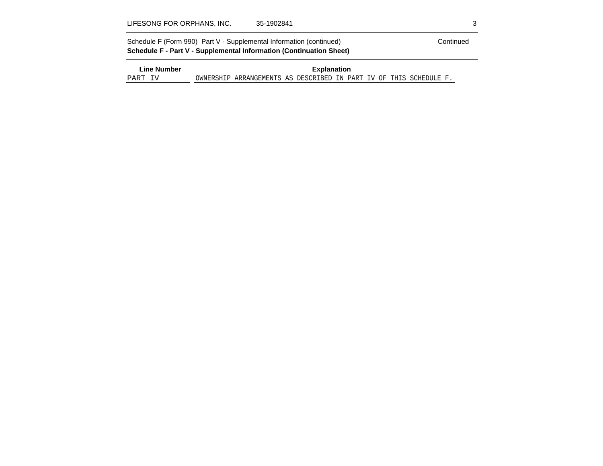| Schedule F (Form 990) Part V - Supplemental Information (continued) | Continued |
|---------------------------------------------------------------------|-----------|
| Schedule F - Part V - Supplemental Information (Continuation Sheet) |           |
|                                                                     |           |

| ∟ine Number | <b>Explanation</b> |                                                                    |  |  |  |  |  |  |  |  |  |
|-------------|--------------------|--------------------------------------------------------------------|--|--|--|--|--|--|--|--|--|
| PART IV     |                    | OWNERSHIP ARRANGEMENTS AS DESCRIBED IN PART IV OF THIS SCHEDULE F. |  |  |  |  |  |  |  |  |  |